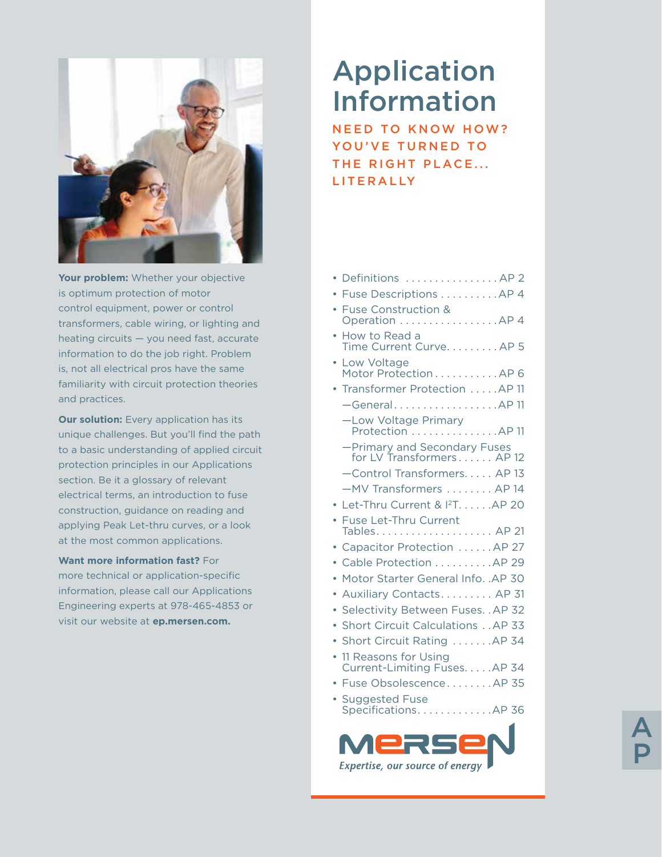

**Your problem:** Whether your objective is optimum protection of motor control equipment, power or control transformers, cable wiring, or lighting and heating circuits — you need fast, accurate information to do the job right. Problem is, not all electrical pros have the same familiarity with circuit protection theories and practices.

**Our solution:** Every application has its unique challenges. But you'll find the path to a basic understanding of applied circuit protection principles in our Applications section. Be it a glossary of relevant electrical terms, an introduction to fuse construction, guidance on reading and applying Peak Let-thru curves, or a look at the most common applications.

#### **Want more information fast?** For

more technical or application-specific information, please call our Applications Engineering experts at 978-465-4853 or visit our website at **ep.mersen.com.**

# Application Information

**NEED TO KNOW HOW?** YOU'VE TURNED TO THE RIGHT PLACE... LITERALLY

| • Definitions AP 2                                        |
|-----------------------------------------------------------|
| Fuse Descriptions AP 4                                    |
| · Fuse Construction &<br>Operation AP 4                   |
| • How to Read a<br>Time Current Curve. AP 5               |
| • Low Voltage<br>Motor Protection AP 6                    |
| Transformer Protection AP 11                              |
| -GeneralAP 11                                             |
| -Low Voltage Primary<br>Protection AP 11                  |
| -Primary and Secondary Fuses<br>for LV Transformers AP 12 |
| -Control Transformers AP 13                               |
| -MV Transformers  AP 14                                   |
| • Let-Thru Current & I <sup>2</sup> T. AP 20              |
| • Fuse Let-Thru Current                                   |
| • Capacitor Protection AP 27                              |
| Cable Protection AP 29                                    |
| Motor Starter General Info. .AP 30                        |
| Auxiliary Contacts AP 31                                  |
| Selectivity Between Fuses. . AP 32                        |
| Short Circuit Calculations AP 33                          |
| Short Circuit Rating AP 34                                |
| 11 Reasons for Using<br>Current-Limiting Fuses. AP 34     |
| Fuse ObsolescenceAP 35                                    |
| • Suggested Fuse<br>SpecificationsAP 36                   |
|                                                           |

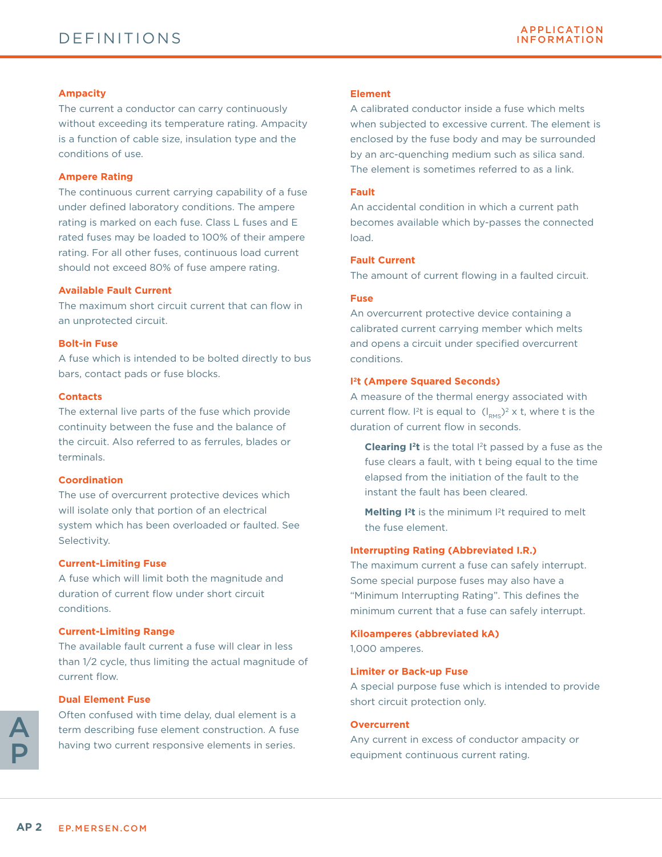#### **Ampacity**

The current a conductor can carry continuously without exceeding its temperature rating. Ampacity is a function of cable size, insulation type and the conditions of use.

#### **Ampere Rating**

The continuous current carrying capability of a fuse under defined laboratory conditions. The ampere rating is marked on each fuse. Class L fuses and E rated fuses may be loaded to 100% of their ampere rating. For all other fuses, continuous load current should not exceed 80% of fuse ampere rating.

#### **Available Fault Current**

The maximum short circuit current that can flow in an unprotected circuit.

#### **Bolt-in Fuse**

A fuse which is intended to be bolted directly to bus bars, contact pads or fuse blocks.

#### **Contacts**

The external live parts of the fuse which provide continuity between the fuse and the balance of the circuit. Also referred to as ferrules, blades or terminals.

#### **Coordination**

The use of overcurrent protective devices which will isolate only that portion of an electrical system which has been overloaded or faulted. See Selectivity.

#### **Current-Limiting Fuse**

A fuse which will limit both the magnitude and duration of current flow under short circuit conditions.

#### **Current-Limiting Range**

The available fault current a fuse will clear in less than 1/2 cycle, thus limiting the actual magnitude of current flow.

#### **Dual Element Fuse**

Often confused with time delay, dual element is a term describing fuse element construction. A fuse having two current responsive elements in series.

#### **Element**

A calibrated conductor inside a fuse which melts when subjected to excessive current. The element is enclosed by the fuse body and may be surrounded by an arc-quenching medium such as silica sand. The element is sometimes referred to as a link.

#### **Fault**

An accidental condition in which a current path becomes available which by-passes the connected load.

#### **Fault Current**

The amount of current flowing in a faulted circuit.

#### **Fuse**

An overcurrent protective device containing a calibrated current carrying member which melts and opens a circuit under specified overcurrent conditions.

#### **I 2t (Ampere Squared Seconds)**

A measure of the thermal energy associated with current flow. I<sup>2</sup>t is equal to  $(I_{\text{PMS}})^2 \times t$ , where t is the duration of current flow in seconds.

**Clearing I<sup>2</sup>t** is the total I<sup>2</sup>t passed by a fuse as the fuse clears a fault, with t being equal to the time elapsed from the initiation of the fault to the instant the fault has been cleared.

**Melting I<sup>2</sup>t** is the minimum I<sup>2</sup>t required to melt the fuse element.

#### **Interrupting Rating (Abbreviated I.R.)**

The maximum current a fuse can safely interrupt. Some special purpose fuses may also have a "Minimum Interrupting Rating". This defines the minimum current that a fuse can safely interrupt.

#### **Kiloamperes (abbreviated kA)**

1,000 amperes.

#### **Limiter or Back-up Fuse**

A special purpose fuse which is intended to provide short circuit protection only.

#### **Overcurrent**

Any current in excess of conductor ampacity or equipment continuous current rating.

A

P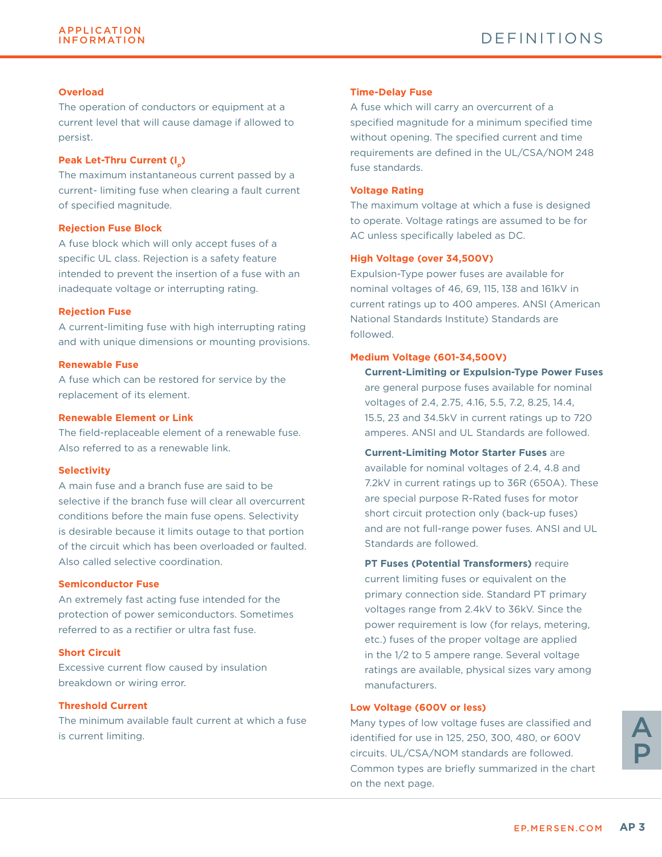#### **Overload**

The operation of conductors or equipment at a current level that will cause damage if allowed to persist.

#### **Peak Let-Thru Current (I<sub>n</sub>)**

The maximum instantaneous current passed by a current- limiting fuse when clearing a fault current of specified magnitude.

#### **Rejection Fuse Block**

A fuse block which will only accept fuses of a specific UL class. Rejection is a safety feature intended to prevent the insertion of a fuse with an inadequate voltage or interrupting rating.

#### **Rejection Fuse**

A current-limiting fuse with high interrupting rating and with unique dimensions or mounting provisions.

#### **Renewable Fuse**

A fuse which can be restored for service by the replacement of its element.

#### **Renewable Element or Link**

The field-replaceable element of a renewable fuse. Also referred to as a renewable link.

#### **Selectivity**

A main fuse and a branch fuse are said to be selective if the branch fuse will clear all overcurrent conditions before the main fuse opens. Selectivity is desirable because it limits outage to that portion of the circuit which has been overloaded or faulted. Also called selective coordination.

#### **Semiconductor Fuse**

An extremely fast acting fuse intended for the protection of power semiconductors. Sometimes referred to as a rectifier or ultra fast fuse.

#### **Short Circuit**

Excessive current flow caused by insulation breakdown or wiring error.

#### **Threshold Current**

The minimum available fault current at which a fuse is current limiting.

#### **Time-Delay Fuse**

A fuse which will carry an overcurrent of a specified magnitude for a minimum specified time without opening. The specified current and time requirements are defined in the UL/CSA/NOM 248 fuse standards.

#### **Voltage Rating**

The maximum voltage at which a fuse is designed to operate. Voltage ratings are assumed to be for AC unless specifically labeled as DC.

#### **High Voltage (over 34,500V)**

Expulsion-Type power fuses are available for nominal voltages of 46, 69, 115, 138 and 161kV in current ratings up to 400 amperes. ANSI (American National Standards Institute) Standards are followed.

#### **Medium Voltage (601-34,500V)**

**Current-Limiting or Expulsion-Type Power Fuses** are general purpose fuses available for nominal voltages of 2.4, 2.75, 4.16, 5.5, 7.2, 8.25, 14.4, 15.5, 23 and 34.5kV in current ratings up to 720 amperes. ANSI and UL Standards are followed.

#### **Current-Limiting Motor Starter Fuses** are

available for nominal voltages of 2.4, 4.8 and 7.2kV in current ratings up to 36R (650A). These are special purpose R-Rated fuses for motor short circuit protection only (back-up fuses) and are not full-range power fuses. ANSI and UL Standards are followed.

**PT Fuses (Potential Transformers)** require current limiting fuses or equivalent on the primary connection side. Standard PT primary voltages range from 2.4kV to 36kV. Since the power requirement is low (for relays, metering, etc.) fuses of the proper voltage are applied in the 1/2 to 5 ampere range. Several voltage ratings are available, physical sizes vary among manufacturers.

#### **Low Voltage (600V or less)**

Many types of low voltage fuses are classified and identified for use in 125, 250, 300, 480, or 600V circuits. UL/CSA/NOM standards are followed. Common types are briefly summarized in the chart on the next page.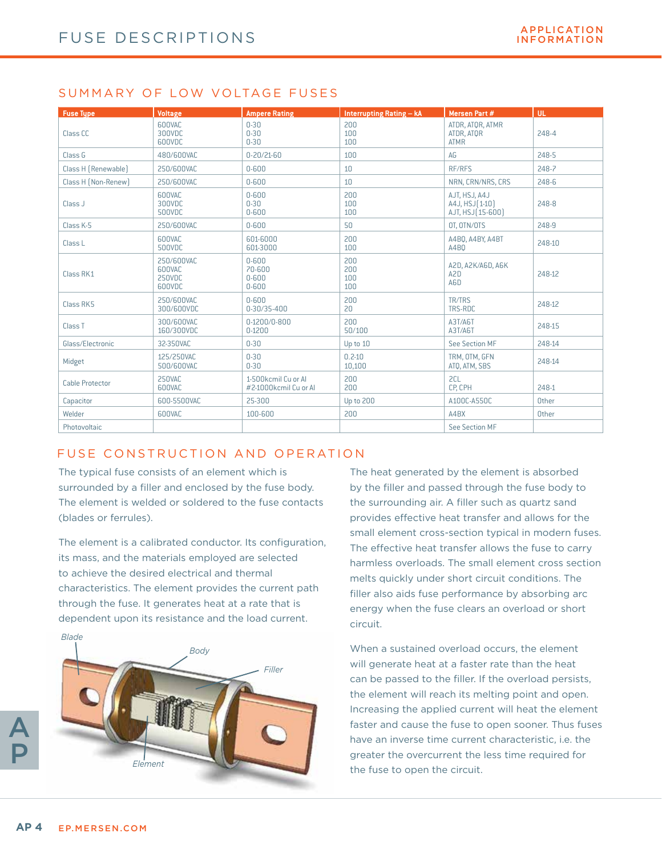### SUMMARY OF LOW VOLTAGE FUSES

| <b>Fuse Type</b>    | <b>Voltage</b>                           | <b>Ampere Rating</b>                          | Interrupting Rating - kA | Mersen Part #                                         | UL.    |
|---------------------|------------------------------------------|-----------------------------------------------|--------------------------|-------------------------------------------------------|--------|
| Class CC            | 600VAC<br>300VDC<br>600VDC               | $0 - 30$<br>$0 - 30$<br>$0 - 30$              | 200<br>100<br>100        | ATDR, ATQR, ATMR<br>ATDR, ATOR<br><b>ATMR</b>         | 248-4  |
| Class G             | 480/600VAC                               | $0 - 20/21 - 60$                              | 100                      | AG                                                    | 248-5  |
| Class H [Renewable] | 250/600VAC                               | $0 - 600$                                     | 10                       | RF/RFS                                                | 248-7  |
| Class H (Non-Renew) | 250/600VAC                               | $0 - 600$                                     | 10                       | NRN, CRN/NRS, CRS                                     | 248-6  |
| Class J             | 600VAC<br>300VDC<br>500VDC               | $0 - 600$<br>$0 - 30$<br>$0 - 600$            | 200<br>100<br>100        | AJT, HSJ, A4J<br>A4J, HSJ [1-10]<br>AJT, HSJ [15-600] | 248-8  |
| Class K-5           | 250/600VAC                               | $0 - 600$                                     | 50                       | OT. OTN/OTS                                           | 248-9  |
| Class L             | 600VAC<br>500VDC                         | 601-6000<br>601-3000                          | 200<br>100               | A4BQ, A4BY, A4BT<br>A4BO                              | 248-10 |
| Class RK1           | 250/600VAC<br>600VAC<br>250VDC<br>600VDC | $0 - 600$<br>70-600<br>$0 - 600$<br>$0 - 600$ | 200<br>200<br>100<br>100 | A2D, A2K/A6D, A6K<br>A <sub>2</sub> D<br>A6D          | 248-12 |
| Class RK5           | 250/600VAC<br>300/600VDC                 | $0 - 600$<br>0-30/35-400                      | 200<br>20                | TR/TRS<br>TRS-RDC                                     | 248-12 |
| Class <sub>T</sub>  | 300/600VAC<br>160/300VDC                 | 0.1200/0.800<br>$0 - 1200$                    | 200<br>50/100            | A3T/A6T<br>A3T/A6T                                    | 248-15 |
| Glass/Electronic    | 32-350VAC                                | $0 - 30$                                      | Up to 10                 | See Section MF                                        | 248-14 |
| Midget              | 125/250VAC<br>500/600VAC                 | $0 - 30$<br>$0 - 30$                          | $0.2 - 10$<br>10,100     | TRM. OTM. GFN<br>ATQ, ATM, SBS                        | 248-14 |
| Cable Protector     | 250VAC<br>600VAC                         | 1-500kcmil Cu or Al<br>#2-1000kcmil Cu or Al  | 200<br>200               | 2CL<br>CP. CPH                                        | 248-1  |
| Capacitor           | 600-5500VAC                              | 25-300                                        | Up to 200                | A100C-A550C                                           | Other  |
| Welder              | 600VAC                                   | 100-600                                       | 200                      | A4BX                                                  | Other  |
| Photovoltaic        |                                          |                                               |                          | See Section MF                                        |        |

### FUSE CONSTRUCTION AND OPERATION

The typical fuse consists of an element which is surrounded by a filler and enclosed by the fuse body. The element is welded or soldered to the fuse contacts (blades or ferrules).

The element is a calibrated conductor. Its configuration, its mass, and the materials employed are selected to achieve the desired electrical and thermal characteristics. The element provides the current path through the fuse. It generates heat at a rate that is dependent upon its resistance and the load current.



The heat generated by the element is absorbed by the filler and passed through the fuse body to the surrounding air. A filler such as quartz sand provides effective heat transfer and allows for the small element cross-section typical in modern fuses. The effective heat transfer allows the fuse to carry harmless overloads. The small element cross section melts quickly under short circuit conditions. The filler also aids fuse performance by absorbing arc energy when the fuse clears an overload or short circuit.

When a sustained overload occurs, the element will generate heat at a faster rate than the heat can be passed to the filler. If the overload persists, the element will reach its melting point and open. Increasing the applied current will heat the element faster and cause the fuse to open sooner. Thus fuses have an inverse time current characteristic, i.e. the greater the overcurrent the less time required for the fuse to open the circuit.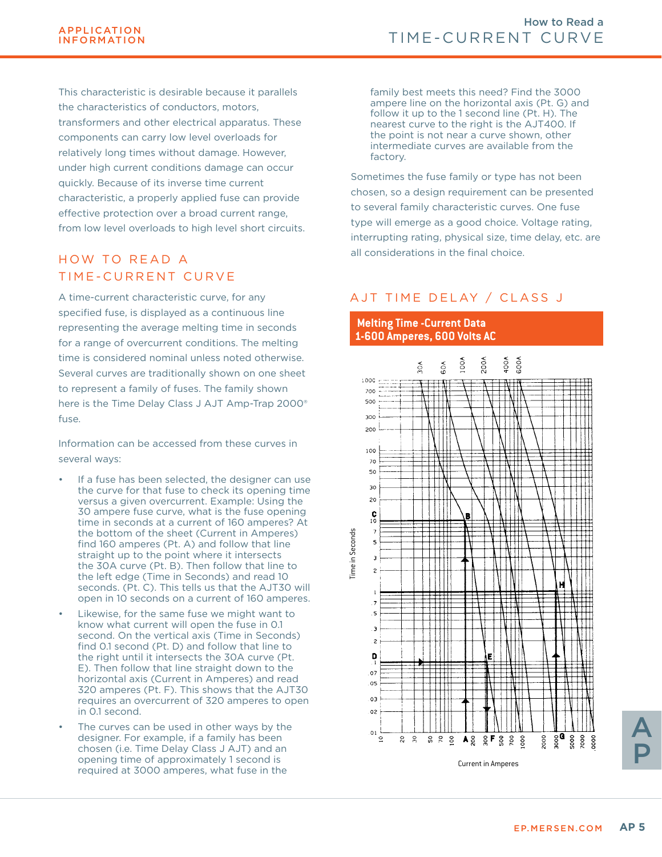This characteristic is desirable because it parallels the characteristics of conductors, motors, transformers and other electrical apparatus. These components can carry low level overloads for relatively long times without damage. However, under high current conditions damage can occur quickly. Because of its inverse time current characteristic, a properly applied fuse can provide effective protection over a broad current range, from low level overloads to high level short circuits.

### HOW TO READ A TIME-CURRENT CURVE

A time-current characteristic curve, for any specified fuse, is displayed as a continuous line representing the average melting time in seconds for a range of overcurrent conditions. The melting time is considered nominal unless noted otherwise. Several curves are traditionally shown on one sheet to represent a family of fuses. The family shown here is the Time Delay Class J AJT Amp-Trap 2000® fuse.

Information can be accessed from these curves in several ways:

- If a fuse has been selected, the designer can use the curve for that fuse to check its opening time versus a given overcurrent. Example: Using the 30 ampere fuse curve, what is the fuse opening time in seconds at a current of 160 amperes? At the bottom of the sheet (Current in Amperes) find 160 amperes (Pt. A) and follow that line straight up to the point where it intersects the 30A curve (Pt. B). Then follow that line to the left edge (Time in Seconds) and read 10 seconds. (Pt. C). This tells us that the AJT30 will open in 10 seconds on a current of 160 amperes.
- Likewise, for the same fuse we might want to know what current will open the fuse in 0.1 second. On the vertical axis (Time in Seconds) find 0.1 second (Pt. D) and follow that line to the right until it intersects the 30A curve (Pt. E). Then follow that line straight down to the horizontal axis (Current in Amperes) and read 320 amperes (Pt. F). This shows that the AJT30 requires an overcurrent of 320 amperes to open in 0.1 second.
- The curves can be used in other ways by the designer. For example, if a family has been chosen (i.e. Time Delay Class J AJT) and an opening time of approximately 1 second is required at 3000 amperes, what fuse in the

family best meets this need? Find the 3000 ampere line on the horizontal axis (Pt. G) and follow it up to the 1 second line (Pt. H). The nearest curve to the right is the AJT400. If the point is not near a curve shown, other intermediate curves are available from the factory.

Sometimes the fuse family or type has not been chosen, so a design requirement can be presented to several family characteristic curves. One fuse type will emerge as a good choice. Voltage rating, interrupting rating, physical size, time delay, etc. are all considerations in the final choice.

## AJT TIME DELAY / CLASS J

### **Melting Time -Current Data 1-600 Amperes, 600 Volts AC**



A

P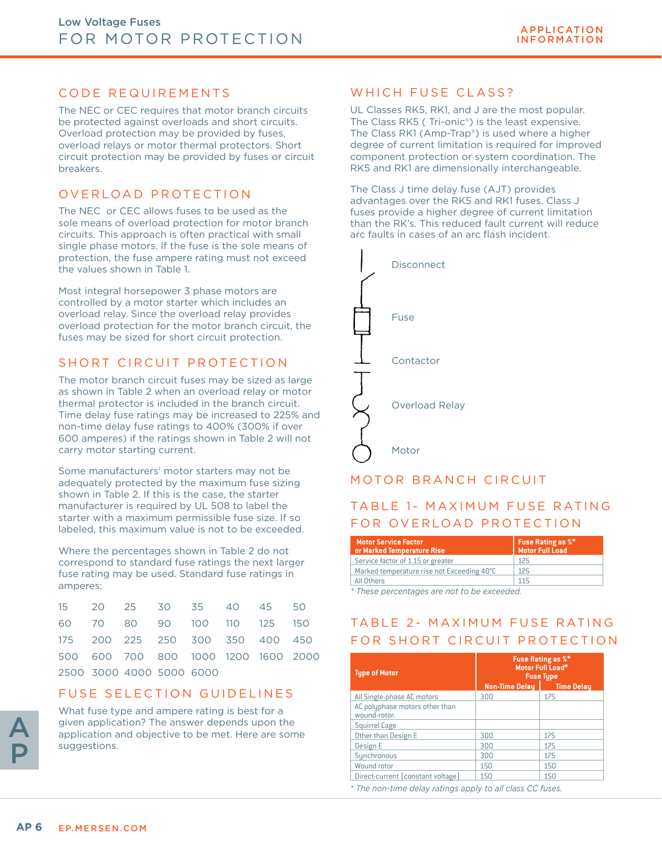### CODE REQUIREMENTS

The NEC or CEC requires that motor branch circuits be protected against overloads and short circuits. Overload protection may be provided by fuses, overload relays or motor thermal protectors. Short circuit protection may be provided by fuses or circuit breakers.

### OVERLOAD PROTECTION

The NEC or CEC allows fuses to be used as the sole means of overload protection for motor branch circuits. This approach is often practical with small single phase motors. If the fuse is the sole means of protection, the fuse ampere rating must not exceed the values shown in Table 1.

Most integral horsepower 3 phase motors are controlled by a motor starter which includes an overload relay. Since the overload relay provides overload protection for the motor branch circuit, the fuses may be sized for short circuit protection.

### SHORT CIRCUIT PROTECTION

The motor branch circuit fuses may be sized as large as shown in Table 2 when an overload relay or motor thermal protector is included in the branch circuit. Time delay fuse ratings may be increased to 225% and non-time delay fuse ratings to 400% (300% if over 600 amperes) if the ratings shown in Table 2 will not carry motor starting current.

Some manufacturers' motor starters may not be adequately protected by the maximum fuse sizing shown in Table 2. If this is the case, the starter manufacturer is required by UL 508 to label the starter with a maximum permissible fuse size. If so labeled, this maximum value is not to be exceeded.

Where the percentages shown in Table 2 do not correspond to standard fuse ratings the next larger fuse rating may be used. Standard fuse ratings in amperes:

|  |                          | 15 20 25 30 35 40 45 50             |  |  |
|--|--------------------------|-------------------------------------|--|--|
|  |                          | 60 70 80 90 100 110 125 150         |  |  |
|  |                          | 175 200 225 250 300 350 400 450     |  |  |
|  |                          | 500 600 700 800 1000 1200 1600 2000 |  |  |
|  | 2500 3000 4000 5000 6000 |                                     |  |  |

### FUSE SELECTION GUIDELINES

A P

What fuse type and ampere rating is best for a given application? The answer depends upon the application and objective to be met. Here are some suggestions.

### WHICH FUSE CLASS?

UL Classes RK5, RK1, and J are the most popular. The Class RK5 ( Tri-onic®) is the least expensive. The Class RK1 (Amp-Trap®) is used where a higher degree of current limitation is required for improved component protection or system coordination. The RK5 and RK1 are dimensionally interchangeable.

The Class J time delay fuse (AJT) provides advantages over the RK5 and RK1 fuses. Class J fuses provide a higher degree of current limitation than the RK's. This reduced fault current will reduce arc faults in cases of an arc flash incident.



### MOTOR BRANCH CIRCUIT

### TABLE 1- MAXIMUM FUSE RATING FOR OVERLOAD PROTECTION

| <b>Motor Service Factor</b><br>or Marked Temperature Rise | Fuse Rating as $\% ^{*}$<br><b>Motor Full Load</b> |
|-----------------------------------------------------------|----------------------------------------------------|
| Service factor of 1.15 or greater                         | 125                                                |
| Marked temperature rise not Exceeding 40°C                | 125                                                |
| All Others                                                | 115                                                |
|                                                           |                                                    |

*\* These percentages are not to be exceeded.*

### TABLE 2- MAXIMUM FUSE RATING FOR SHORT CIRCUIT PROTECTION

| <b>Type of Motor</b>                           | <b>Fuse Rating as %*</b><br>Motor Full Load*<br><b>Fuse Type</b> |                   |  |  |
|------------------------------------------------|------------------------------------------------------------------|-------------------|--|--|
|                                                | <b>Non-Time Delay</b>                                            | <b>Time Delay</b> |  |  |
| All Single-phase AC motors                     | 300                                                              | 175               |  |  |
| AC polyphase motors other than<br>wound-rotor: |                                                                  |                   |  |  |
| <b>Squirrel Cage</b>                           |                                                                  |                   |  |  |
| Other than Design E                            | 300                                                              | 175               |  |  |
| Design E                                       | 300                                                              | 175               |  |  |
| Synchronous                                    | 300                                                              | 175               |  |  |
| Wound rotor                                    | 150                                                              | 150               |  |  |
| Direct-current (constant voltage)              | 150                                                              | 150               |  |  |

*\* The non-time delay ratings apply to all class CC fuses.*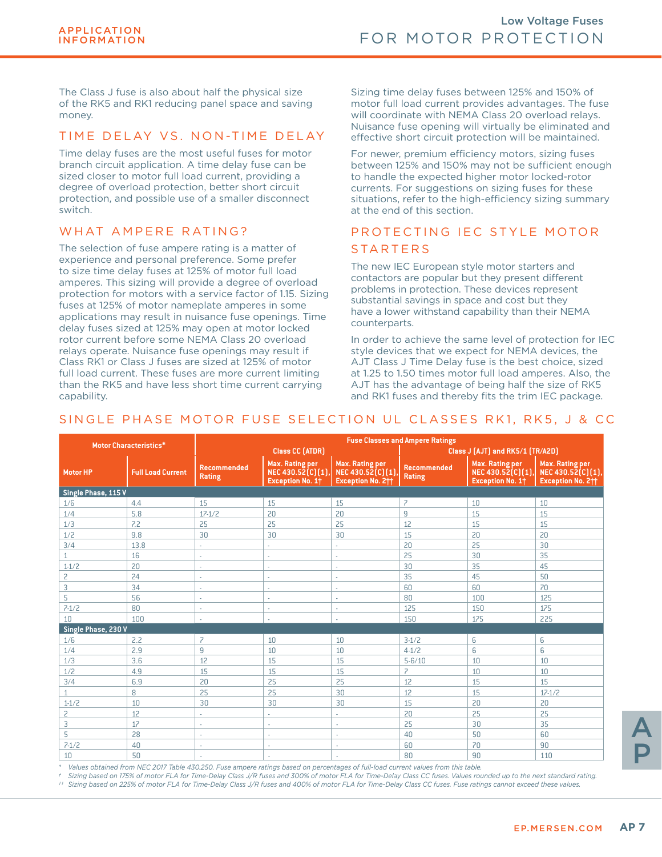The Class J fuse is also about half the physical size of the RK5 and RK1 reducing panel space and saving money.

### TIME DELAY VS. NON-TIME DELAY

Time delay fuses are the most useful fuses for motor branch circuit application. A time delay fuse can be sized closer to motor full load current, providing a degree of overload protection, better short circuit protection, and possible use of a smaller disconnect switch.

### WHAT AMPFRF RATING?

The selection of fuse ampere rating is a matter of experience and personal preference. Some prefer to size time delay fuses at 125% of motor full load amperes. This sizing will provide a degree of overload protection for motors with a service factor of 1.15. Sizing fuses at 125% of motor nameplate amperes in some applications may result in nuisance fuse openings. Time delay fuses sized at 125% may open at motor locked rotor current before some NEMA Class 20 overload relays operate. Nuisance fuse openings may result if Class RK1 or Class J fuses are sized at 125% of motor full load current. These fuses are more current limiting than the RK5 and have less short time current carrying capability.

Sizing time delay fuses between 125% and 150% of motor full load current provides advantages. The fuse will coordinate with NEMA Class 20 overload relays. Nuisance fuse opening will virtually be eliminated and effective short circuit protection will be maintained.

For newer, premium efficiency motors, sizing fuses between 125% and 150% may not be sufficient enough to handle the expected higher motor locked-rotor currents. For suggestions on sizing fuses for these situations, refer to the high-efficiency sizing summary at the end of this section.

### PROTECTING IEC STYLE MOTOR **STARTERS**

The new IEC European style motor starters and contactors are popular but they present different problems in protection. These devices represent substantial savings in space and cost but they have a lower withstand capability than their NEMA counterparts.

In order to achieve the same level of protection for IEC style devices that we expect for NEMA devices, the AJT Class J Time Delay fuse is the best choice, sized at 1.25 to 1.50 times motor full load amperes. Also, the AJT has the advantage of being half the size of RK5 and RK1 fuses and thereby fits the trim IEC package.

### SINGLE PHASE MOTOR FUSE SELECTION UL CLASSES RK1, RK5, J & CC

| <b>Motor Characteristics*</b> |                          | <b>Fuse Classes and Ampere Ratings</b> |                                                                 |                                                                       |                                  |                                                                 |                                                                  |  |
|-------------------------------|--------------------------|----------------------------------------|-----------------------------------------------------------------|-----------------------------------------------------------------------|----------------------------------|-----------------------------------------------------------------|------------------------------------------------------------------|--|
|                               |                          | <b>Class CC (ATDR)</b>                 |                                                                 |                                                                       | Class J (AJT) and RK5/1 (TR/A2D) |                                                                 |                                                                  |  |
| <b>Motor HP</b>               | <b>Full Load Current</b> | <b>Recommended</b><br>Rating           | Max. Rating per<br>NEC 430.52(C)(1),<br><b>Exception No. 1+</b> | Max. Rating per<br>NEC 430.52(C)(1),<br>Exception No. 2 <sup>++</sup> | <b>Recommended</b><br>Rating     | Max. Rating per<br>NEC 430.52(C)(1),<br><b>Exception No. 1+</b> | Max. Rating per<br>NEC 430.52(C)(1),<br><b>Exception No. 211</b> |  |
| Single Phase, 115 V           |                          |                                        |                                                                 |                                                                       |                                  |                                                                 |                                                                  |  |
| 1/6                           | 4.4                      | 15                                     | 15                                                              | 15                                                                    | $\overline{z}$                   | 10                                                              | 10                                                               |  |
| 1/4                           | 5.8                      | $17 - 1/2$                             | 20                                                              | 20                                                                    | 9                                | 15                                                              | 15                                                               |  |
| 1/3                           | 7.2                      | 25                                     | 25                                                              | 25                                                                    | 12                               | 15                                                              | 15                                                               |  |
| 1/2                           | 9.8                      | 30                                     | 30                                                              | 30                                                                    | 15                               | 20                                                              | 20                                                               |  |
| 3/4                           | 13.8                     | ÷.                                     | ×.                                                              | ÷,                                                                    | 20                               | 25                                                              | 30                                                               |  |
| $\mathbf{1}$                  | 16                       | ÷.                                     | ×.                                                              | ä,                                                                    | 25                               | 30                                                              | 35                                                               |  |
| $1 - 1/2$                     | 20                       | $\sim$                                 | ÷                                                               | $\sim$                                                                | 30                               | 35                                                              | 45                                                               |  |
| $\overline{c}$                | 24                       | $\sim$                                 | ×.                                                              | ×.                                                                    | 35                               | 45                                                              | 50                                                               |  |
| 3                             | 34                       | $\sim$                                 | ×.                                                              | ×.                                                                    | 60                               | 60                                                              | 70                                                               |  |
| 5                             | 56                       |                                        |                                                                 | ٠                                                                     | 80                               | 100                                                             | 125                                                              |  |
| $7-1/2$                       | 80                       | $\sim$                                 | ٠                                                               | ×.                                                                    | 125                              | 150                                                             | 175                                                              |  |
| 10                            | 100                      | ×.                                     | ×.                                                              | ×.                                                                    | 150                              | 175                                                             | 225                                                              |  |
| Single Phase, 230 V           |                          |                                        |                                                                 |                                                                       |                                  |                                                                 |                                                                  |  |
| 1/6                           | 2.2                      | 7                                      | 10                                                              | 10                                                                    | $3-1/2$                          | 6                                                               | 6                                                                |  |
| 1/4                           | 2.9                      | 9                                      | 10                                                              | 10                                                                    | $4-1/2$                          | 6                                                               | 6                                                                |  |
| 1/3                           | 3.6                      | 12                                     | 15                                                              | 15                                                                    | $5 - 6/10$                       | 10                                                              | 10                                                               |  |
| 1/2                           | 4.9                      | 15                                     | 15                                                              | 15                                                                    | $\overline{\phantom{a}}$         | 10                                                              | 10                                                               |  |
| 3/4                           | 6.9                      | 20                                     | 25                                                              | 25                                                                    | 12                               | 15                                                              | 15                                                               |  |
| $\mathbf{1}$                  | 8                        | 25                                     | 25                                                              | 30                                                                    | 12                               | 15                                                              | $17 - 1/2$                                                       |  |
| $1 - 1/2$                     | 10                       | 30                                     | 30                                                              | 30                                                                    | 15                               | 20                                                              | 20                                                               |  |
| 2                             | 12                       | ×.                                     | $\sim$                                                          | ٠                                                                     | 20                               | 25                                                              | 25                                                               |  |
| 3                             | 17                       | ÷.                                     | ÷,                                                              | $\sim$                                                                | 25                               | 30                                                              | 35                                                               |  |
| 5                             | 28                       | ٠.                                     | ٠                                                               | $\sim$                                                                | 40                               | 50                                                              | 60                                                               |  |
| $7-1/2$                       | 40                       | ÷.                                     | ٠                                                               | $\sim$                                                                | 60                               | 70                                                              | 90                                                               |  |
| 10                            | 50                       |                                        |                                                                 | ×.                                                                    | 80                               | 90                                                              | 110                                                              |  |

*\* Values obtained from NEC 2017 Table 430.250. Fuse ampere ratings based on percentages of full-load current values from this table.* 

*† Sizing based on 175% of motor FLA for Time-Delay Class J/R fuses and 300% of motor FLA for Time-Delay Class CC fuses. Values rounded up to the next standard rating. †† Sizing based on 225% of motor FLA for Time-Delay Class J/R fuses and 400% of motor FLA for Time-Delay Class CC fuses. Fuse ratings cannot exceed these values.*

A P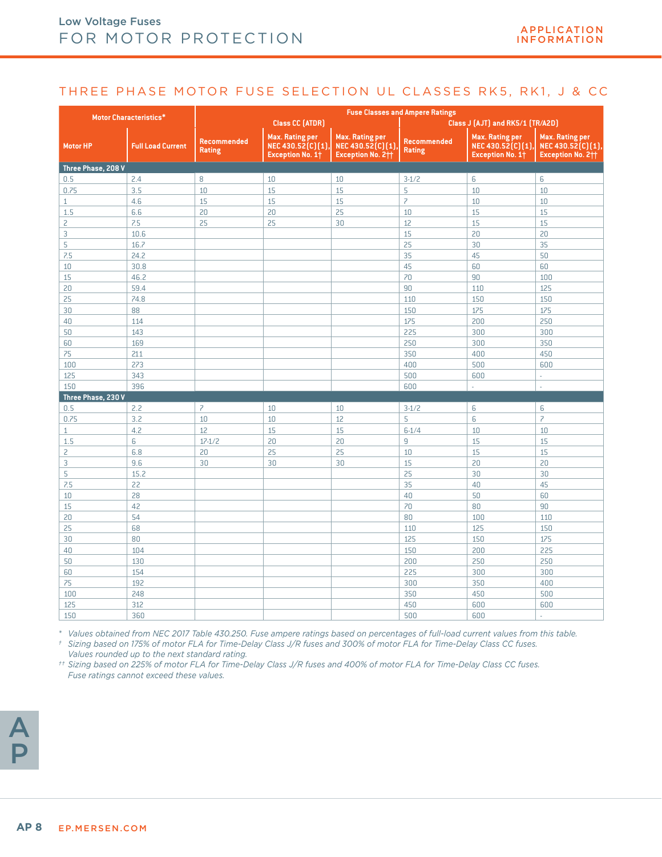### THREE PHASE MOTOR FUSE SELECTION UL CLASSES RK5, RK1, J & CC

|                    |                               | <b>Fuse Classes and Ampere Ratings</b>                     |                                                          |                                                                         |                              |                                                          |                                                                              |  |
|--------------------|-------------------------------|------------------------------------------------------------|----------------------------------------------------------|-------------------------------------------------------------------------|------------------------------|----------------------------------------------------------|------------------------------------------------------------------------------|--|
|                    | <b>Motor Characteristics*</b> | <b>Class CC (ATDR)</b><br>Class J (AJT) and RK5/1 (TR/A2D) |                                                          |                                                                         |                              |                                                          |                                                                              |  |
| <b>Motor HP</b>    | <b>Full Load Current</b>      | Recommended<br><b>Rating</b>                               | Max. Rating per<br>NEC 430.52(C)(1),<br>Exception No. 1+ | <b>Max. Rating per</b><br>NEC 430.52(C)(1),<br><b>Exception No. 211</b> | Recommended<br><b>Rating</b> | Max. Rating per<br>NEC 430.52(C)(1),<br>Exception No. 1+ | <b>Max. Rating per</b><br>NEC 430.52(C)(1),<br>Exception No. 2 <sup>++</sup> |  |
| Three Phase, 208 V |                               |                                                            |                                                          |                                                                         |                              |                                                          |                                                                              |  |
| 0.5                | 2.4                           | 8                                                          | 10                                                       | 10                                                                      | $3-1/2$                      | 6                                                        | 6                                                                            |  |
| 0.75               | 3.5                           | 10                                                         | 15                                                       | 15                                                                      | 5                            | 10                                                       | 10                                                                           |  |
| $\mathbf{1}$       | 4.6                           | 15                                                         | 15                                                       | 15                                                                      | $\overline{\phantom{a}}$     | 10                                                       | 10                                                                           |  |
| 1.5                | 6.6                           | 20                                                         | 20                                                       | 25                                                                      | 10                           | 15                                                       | 15                                                                           |  |
| $\overline{c}$     | 7.5                           | 25                                                         | 25                                                       | 30                                                                      | 12                           | 15                                                       | 15                                                                           |  |
| 3                  | 10.6                          |                                                            |                                                          |                                                                         | 15                           | 20                                                       | 20                                                                           |  |
| 5                  | 16.7                          |                                                            |                                                          |                                                                         | 25                           | 30                                                       | 35                                                                           |  |
| 7.5                | 24.2                          |                                                            |                                                          |                                                                         | 35                           | 45                                                       | 50                                                                           |  |
| 10                 | 30.8                          |                                                            |                                                          |                                                                         | 45                           | 60                                                       | 60                                                                           |  |
| 15                 | 46.2                          |                                                            |                                                          |                                                                         | 70                           | 90                                                       | 100                                                                          |  |
| 20                 | 59.4                          |                                                            |                                                          |                                                                         | 90                           | 110                                                      | 125                                                                          |  |
| 25                 | 74.8                          |                                                            |                                                          |                                                                         | 110                          | 150                                                      | 150                                                                          |  |
| 30                 | 88                            |                                                            |                                                          |                                                                         | 150                          | 175                                                      | 175                                                                          |  |
| 40                 | 114                           |                                                            |                                                          |                                                                         | 175                          | 200                                                      | 250                                                                          |  |
| 50                 | 143                           |                                                            |                                                          |                                                                         | 225                          | 300                                                      | 300                                                                          |  |
| 60                 | 169                           |                                                            |                                                          |                                                                         | 250                          | 300                                                      | 350                                                                          |  |
| 75                 | 211                           |                                                            |                                                          |                                                                         | 350                          | 400                                                      | 450                                                                          |  |
| 100                | 273                           |                                                            |                                                          |                                                                         | 400                          | 500                                                      | 600                                                                          |  |
| 125                | 343                           |                                                            |                                                          |                                                                         | 500                          | 600                                                      | ä,                                                                           |  |
| 150                | 396                           |                                                            |                                                          |                                                                         | 600                          | L.                                                       | ÷                                                                            |  |
| Three Phase, 230 V |                               |                                                            |                                                          |                                                                         |                              |                                                          |                                                                              |  |
| 0.5                | 2.2                           | $\overline{\phantom{a}}$                                   | 10                                                       | 10                                                                      | $3-1/2$                      | 6                                                        | 6                                                                            |  |
| 0.75               | 3.2                           | 10                                                         | 10                                                       | 12                                                                      | 5                            | 6                                                        | $\overline{\phantom{a}}$                                                     |  |
| $\mathbf{1}$       | 4.2                           | 12                                                         | 15                                                       | 15                                                                      | $6 - 1/4$                    | 10                                                       | 10                                                                           |  |
| 1.5                | 6                             | $17 - 1/2$                                                 | 20                                                       | 20                                                                      | 9                            | 15                                                       | 15                                                                           |  |
| $\overline{c}$     | 6.8                           | 20                                                         | 25                                                       | 25                                                                      | 10                           | 15                                                       | 15                                                                           |  |
| 3                  | 9.6                           | 30                                                         | 30                                                       | 30                                                                      | 15                           | 20                                                       | 20                                                                           |  |
| 5                  | 15.2                          |                                                            |                                                          |                                                                         | 25                           | 30                                                       | 30                                                                           |  |
| 7.5                | 22                            |                                                            |                                                          |                                                                         | 35                           | 40                                                       | 45                                                                           |  |
| 10                 | 28                            |                                                            |                                                          |                                                                         | 40                           | 50                                                       | 60                                                                           |  |
| 15                 | 42                            |                                                            |                                                          |                                                                         | 70                           | 80                                                       | 90                                                                           |  |
| 20                 | 54                            |                                                            |                                                          |                                                                         | 80                           | 100                                                      | 110                                                                          |  |
| 25                 | 68                            |                                                            |                                                          |                                                                         | 110                          | 125                                                      | 150                                                                          |  |
| 30                 | 80                            |                                                            |                                                          |                                                                         | 125                          | 150                                                      | 175                                                                          |  |
| 40                 | 104                           |                                                            |                                                          |                                                                         | 150                          | 200                                                      | 225                                                                          |  |
| 50                 | 130                           |                                                            |                                                          |                                                                         | 200                          | 250                                                      | 250                                                                          |  |
| 60                 | 154                           |                                                            |                                                          |                                                                         | 225                          | 300                                                      | 300                                                                          |  |
| 75                 | 192                           |                                                            |                                                          |                                                                         | 300                          | 350                                                      | 400                                                                          |  |
| 100                | 248                           |                                                            |                                                          |                                                                         | 350                          | 450                                                      | 500                                                                          |  |
| 125                | 312                           |                                                            |                                                          |                                                                         | 450                          | 600                                                      | 600                                                                          |  |
| 150                | 360                           |                                                            |                                                          |                                                                         | 500                          | 600                                                      | ä,                                                                           |  |

*\* Values obtained from NEC 2017 Table 430.250. Fuse ampere ratings based on percentages of full-load current values from this table.* 

*† Sizing based on 175% of motor FLA for Time-Delay Class J/R fuses and 300% of motor FLA for Time-Delay Class CC fuses. Values rounded up to the next standard rating.* 

*†† Sizing based on 225% of motor FLA for Time-Delay Class J/R fuses and 400% of motor FLA for Time-Delay Class CC fuses. Fuse ratings cannot exceed these values.*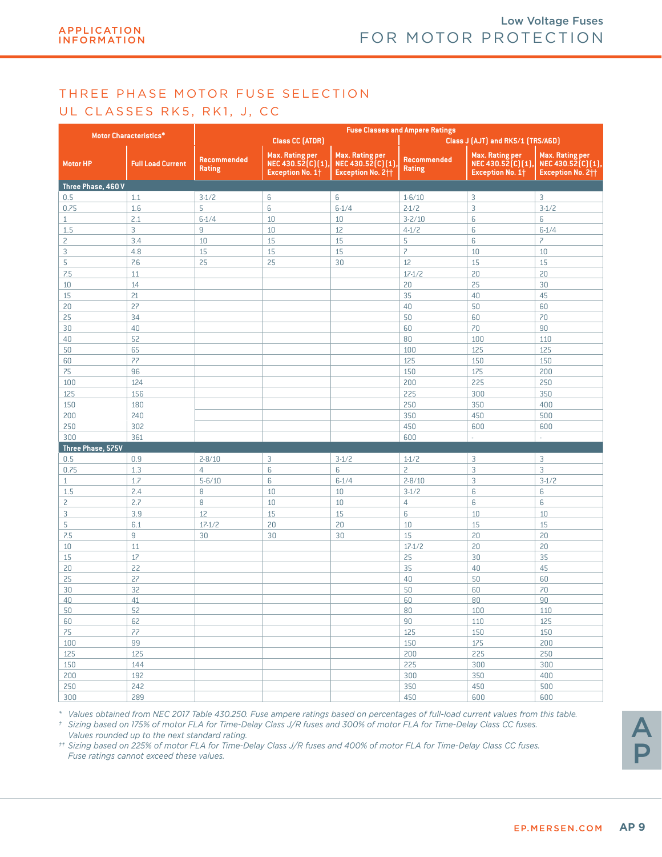### THREE PHASE MOTOR FUSE SELECTION UL CLASSES RK5, RK1, J, CC

|                    |                               | <b>Fuse Classes and Ampere Ratings</b> |                                                                 |                                                                             |                              |                                                                 |                                                                              |  |
|--------------------|-------------------------------|----------------------------------------|-----------------------------------------------------------------|-----------------------------------------------------------------------------|------------------------------|-----------------------------------------------------------------|------------------------------------------------------------------------------|--|
|                    | <b>Motor Characteristics*</b> |                                        | Class CC (ATDR)                                                 |                                                                             |                              | Class J (AJT) and RK5/1 (TRS/A6D)                               |                                                                              |  |
| <b>Motor HP</b>    | <b>Full Load Current</b>      | Recommended<br><b>Rating</b>           | Max. Rating per<br>NEC 430.52(C)(1),<br><b>Exception No. 1+</b> | <b>Max. Rating per</b><br>NEC 430.52(C)(1)<br>Exception No. 2 <sup>++</sup> | Recommended<br><b>Rating</b> | Max. Rating per<br>NEC 430.52(C)(1),<br><b>Exception No. 1+</b> | <b>Max. Rating per</b><br>NEC 430.52(C)(1),<br>Exception No. 2 <sup>++</sup> |  |
| Three Phase, 460 V |                               |                                        |                                                                 |                                                                             |                              |                                                                 |                                                                              |  |
| 0.5                | 1.1                           | $3-1/2$                                | 6                                                               | 6                                                                           | $1 - 6/10$                   | 3                                                               | 3                                                                            |  |
| 0.75               | 1.6                           | 5                                      | 6                                                               | $6 - 1/4$                                                                   | $2 - 1/2$                    | 3                                                               | $3-1/2$                                                                      |  |
| $\mathbf{1}$       | 2.1                           | $6 - 1/4$                              | 10                                                              | 10                                                                          | $3 - 2/10$                   | 6                                                               | 6                                                                            |  |
| 1.5                | $\mathsf{3}$                  | 9                                      | 10                                                              | 12                                                                          | $4 - 1/2$                    | 6                                                               | $6 - 1/4$                                                                    |  |
| 2                  | 3.4                           | 10                                     | 15                                                              | 15                                                                          | 5                            | 6                                                               | $\overline{z}$                                                               |  |
| 3                  | 4.8                           | 15                                     | 15                                                              | 15                                                                          | $\overline{z}$               | 10                                                              | 10                                                                           |  |
| 5                  | 7.6                           | 25                                     | 25                                                              | 30                                                                          | 12                           | 15                                                              | 15                                                                           |  |
| 7.5                | 11                            |                                        |                                                                 |                                                                             | $17 - 1/2$                   | 20                                                              | 20                                                                           |  |
| 10                 | 14                            |                                        |                                                                 |                                                                             | 20                           | 25                                                              | 30                                                                           |  |
| 15                 | 21                            |                                        |                                                                 |                                                                             | 35                           | 40                                                              | 45                                                                           |  |
| 20                 | 27                            |                                        |                                                                 |                                                                             | 40                           | 50                                                              | 60                                                                           |  |
| 25                 | 34                            |                                        |                                                                 |                                                                             | 50                           | 60                                                              | 70                                                                           |  |
| 30                 | 40                            |                                        |                                                                 |                                                                             | 60                           | 70                                                              | 90                                                                           |  |
| 40                 | 52                            |                                        |                                                                 |                                                                             | 80                           | 100                                                             | 110                                                                          |  |
| 50                 | 65                            |                                        |                                                                 |                                                                             | 100                          | 125                                                             | 125                                                                          |  |
| 60                 | 77                            |                                        |                                                                 |                                                                             | 125                          | 150                                                             | 150                                                                          |  |
| 75                 | 96                            |                                        |                                                                 |                                                                             | 150                          | 175                                                             | 200                                                                          |  |
| 100                | 124                           |                                        |                                                                 |                                                                             | 200                          | 225                                                             | 250                                                                          |  |
| 125                | 156                           |                                        |                                                                 |                                                                             | 225                          | 300                                                             | 350                                                                          |  |
| 150                | 180                           |                                        |                                                                 |                                                                             | 250                          | 350                                                             | 400                                                                          |  |
| 200                | 240                           |                                        |                                                                 |                                                                             | 350                          | 450                                                             | 500                                                                          |  |
| 250                | 302                           |                                        |                                                                 |                                                                             | 450                          | 600                                                             | 600                                                                          |  |
| 300                | 361                           |                                        |                                                                 |                                                                             | 600                          | ä,                                                              | ä,                                                                           |  |
| Three Phase, 575V  |                               |                                        |                                                                 |                                                                             |                              |                                                                 |                                                                              |  |
| 0.5                | 0.9                           | $2 - 8/10$                             | 3                                                               | $3-1/2$                                                                     | $1 - 1/2$                    | 3                                                               | 3                                                                            |  |
| 0.75               | 1.3                           | $\overline{4}$                         | 6                                                               | 6                                                                           | $\overline{c}$               | 3                                                               | 3                                                                            |  |
| $\mathbf{1}$       | 1.7                           | $5 - 6/10$                             | 6                                                               | $6 - 1/4$                                                                   | $2 - 8/10$                   | 3                                                               | $3-1/2$                                                                      |  |
| 1.5                | 2.4                           | 8                                      | 10                                                              | 10                                                                          | $3-1/2$                      | 6                                                               | 6                                                                            |  |
| 2                  | 2.7                           | 8                                      | 10                                                              | 10                                                                          | $\overline{4}$               | 6                                                               | 6                                                                            |  |
| 3                  | 3.9                           | 12                                     | 15                                                              | 15                                                                          | 6                            | 10                                                              | 10                                                                           |  |
| 5                  | 6.1                           | $17 - 1/2$                             | 20                                                              | 20                                                                          | $10\,$                       | 15                                                              | 15                                                                           |  |
| 7.5                | $\mathsf g$                   | 30                                     | 30                                                              | 30                                                                          | 15                           | 20                                                              | 20                                                                           |  |
| 10                 | 11                            |                                        |                                                                 |                                                                             | $17 - 1/2$                   | 20                                                              | 20                                                                           |  |
| 15                 | 17                            |                                        |                                                                 |                                                                             | 25                           | 30                                                              | 35                                                                           |  |
| 20                 | 22                            |                                        |                                                                 |                                                                             | 35                           | 40                                                              | 45                                                                           |  |
| 25                 | 27                            |                                        |                                                                 |                                                                             | 40                           | 50                                                              | 60                                                                           |  |
| 30                 | 32                            |                                        |                                                                 |                                                                             | 50                           | 60                                                              | 70                                                                           |  |
| 40                 | 41                            |                                        |                                                                 |                                                                             | 60                           | 80                                                              | 90                                                                           |  |
| 50                 | 52                            |                                        |                                                                 |                                                                             | 80                           | 100                                                             | 110                                                                          |  |
| 60                 | 62                            |                                        |                                                                 |                                                                             | 90                           | 110                                                             | 125                                                                          |  |
| 75                 | 77                            |                                        |                                                                 |                                                                             | 125                          | 150                                                             | 150                                                                          |  |
| 100                | 99                            |                                        |                                                                 |                                                                             | 150                          | $175\,$                                                         | 200                                                                          |  |
| $125\,$            | 125                           |                                        |                                                                 |                                                                             | 200                          | 225                                                             | 250                                                                          |  |
| 150                | 144                           |                                        |                                                                 |                                                                             | 225                          | 300                                                             | 300                                                                          |  |
| 200                | 192                           |                                        |                                                                 |                                                                             | 300                          | 350                                                             | 400                                                                          |  |
| 250                | 242                           |                                        |                                                                 |                                                                             | 350                          | 450                                                             | 500                                                                          |  |
| 300                | 289                           |                                        |                                                                 |                                                                             | 450                          | 600                                                             | 600                                                                          |  |

*\* Values obtained from NEC 2017 Table 430.250. Fuse ampere ratings based on percentages of full-load current values from this table. † Sizing based on 175% of motor FLA for Time-Delay Class J/R fuses and 300% of motor FLA for Time-Delay Class CC fuses.* 

*Values rounded up to the next standard rating. †† Sizing based on 225% of motor FLA for Time-Delay Class J/R fuses and 400% of motor FLA for Time-Delay Class CC fuses. Fuse ratings cannot exceed these values.*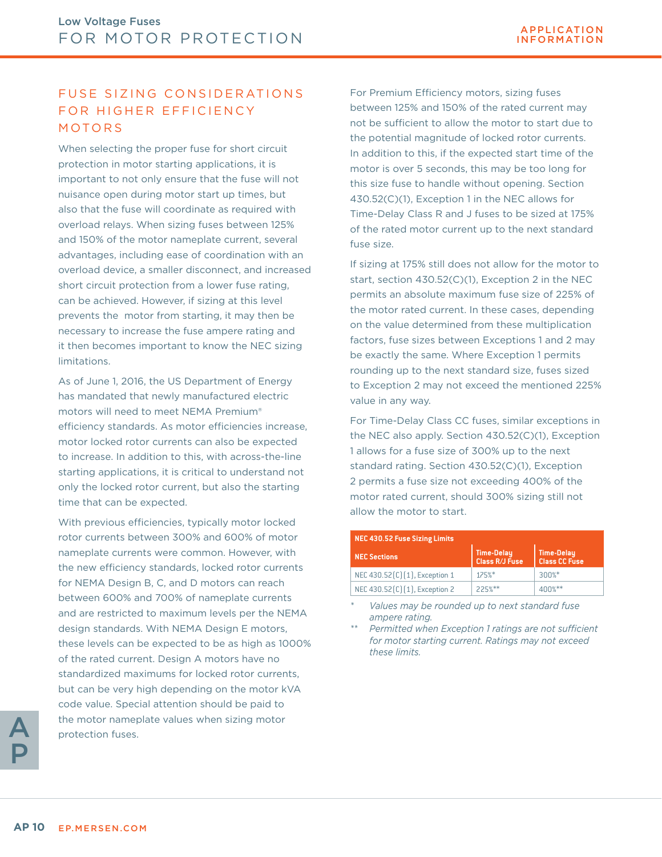### FUSE SIZING CONSIDERATIONS FOR HIGHER EFFICIENCY MOTORS

When selecting the proper fuse for short circuit protection in motor starting applications, it is important to not only ensure that the fuse will not nuisance open during motor start up times, but also that the fuse will coordinate as required with overload relays. When sizing fuses between 125% and 150% of the motor nameplate current, several advantages, including ease of coordination with an overload device, a smaller disconnect, and increased short circuit protection from a lower fuse rating, can be achieved. However, if sizing at this level prevents the motor from starting, it may then be necessary to increase the fuse ampere rating and it then becomes important to know the NEC sizing limitations.

As of June 1, 2016, the US Department of Energy has mandated that newly manufactured electric motors will need to meet NEMA Premium® efficiency standards. As motor efficiencies increase, motor locked rotor currents can also be expected to increase. In addition to this, with across-the-line starting applications, it is critical to understand not only the locked rotor current, but also the starting time that can be expected.

With previous efficiencies, typically motor locked rotor currents between 300% and 600% of motor nameplate currents were common. However, with the new efficiency standards, locked rotor currents for NEMA Design B, C, and D motors can reach between 600% and 700% of nameplate currents and are restricted to maximum levels per the NEMA design standards. With NEMA Design E motors, these levels can be expected to be as high as 1000% of the rated current. Design A motors have no standardized maximums for locked rotor currents, but can be very high depending on the motor kVA code value. Special attention should be paid to the motor nameplate values when sizing motor protection fuses.

For Premium Efficiency motors, sizing fuses between 125% and 150% of the rated current may not be sufficient to allow the motor to start due to the potential magnitude of locked rotor currents. In addition to this, if the expected start time of the motor is over 5 seconds, this may be too long for this size fuse to handle without opening. Section 430.52(C)(1), Exception 1 in the NEC allows for Time-Delay Class R and J fuses to be sized at 175% of the rated motor current up to the next standard fuse size.

If sizing at 175% still does not allow for the motor to start, section 430.52(C)(1), Exception 2 in the NEC permits an absolute maximum fuse size of 225% of the motor rated current. In these cases, depending on the value determined from these multiplication factors, fuse sizes between Exceptions 1 and 2 may be exactly the same. Where Exception 1 permits rounding up to the next standard size, fuses sized to Exception 2 may not exceed the mentioned 225% value in any way.

For Time-Delay Class CC fuses, similar exceptions in the NEC also apply. Section 430.52(C)(1), Exception 1 allows for a fuse size of 300% up to the next standard rating. Section 430.52(C)(1), Exception 2 permits a fuse size not exceeding 400% of the motor rated current, should 300% sizing still not allow the motor to start.

| <b>NEC 430.52 Fuse Sizing Limits</b> |                              |                             |  |  |  |
|--------------------------------------|------------------------------|-----------------------------|--|--|--|
| <b>NEC Sections</b>                  | Time-Delay<br>Class R/J Fuse | Time-Delay<br>Class CC Fuse |  |  |  |
| NEC 430.52(C)(1), Exception 1        | 175%                         | $300\%$ *                   |  |  |  |
| NEC 430.52(C)(1), Exception 2        | $225%$ **                    | $400\%**$                   |  |  |  |

*\* Values may be rounded up to next standard fuse ampere rating.*

*\*\* Permitted when Exception 1 ratings are not sufficient for motor starting current. Ratings may not exceed these limits.*

A P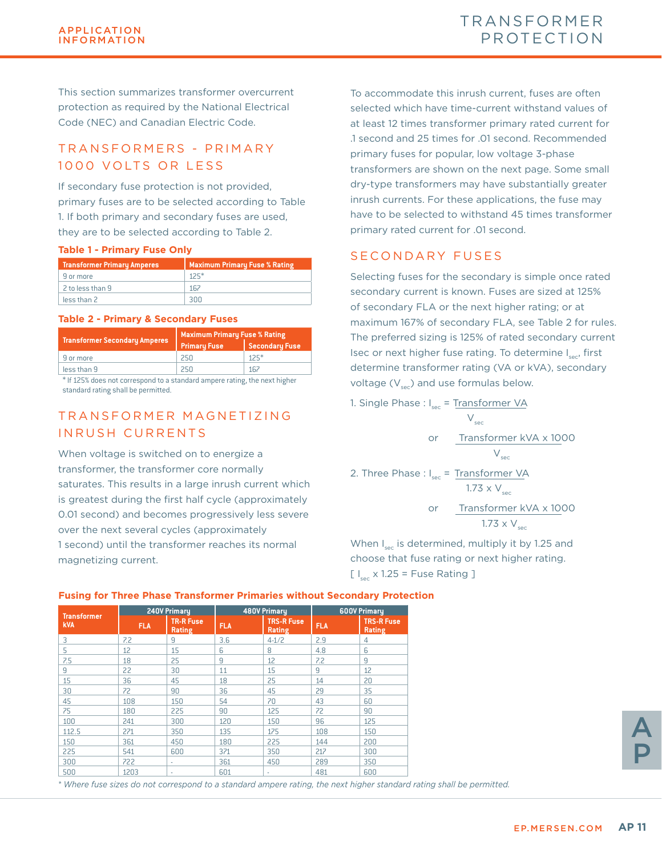This section summarizes transformer overcurrent protection as required by the National Electrical Code (NEC) and Canadian Electric Code.

### T R A N S F O R M E R S - P R I M A R Y 1000 VOLTS OR LESS

If secondary fuse protection is not provided, primary fuses are to be selected according to Table 1. If both primary and secondary fuses are used, they are to be selected according to Table 2.

#### **Table 1 - Primary Fuse Only**

| <b>Transformer Primary Amperes</b> | <b>Maximum Primary Fuse % Rating</b> |
|------------------------------------|--------------------------------------|
| 9 or more                          | $125*$                               |
| 2 to less than 9                   | 167                                  |
| less than 2                        | auu                                  |

#### **Table 2 - Primary & Secondary Fuses**

| <b>Maximum Primary Fuse % Rating</b> |  |  |  |  |
|--------------------------------------|--|--|--|--|
| <b>Secondary Fuse</b>                |  |  |  |  |
| $125*$                               |  |  |  |  |
| 167                                  |  |  |  |  |
|                                      |  |  |  |  |

\* If 125% does not correspond to a standard ampere rating, the next higher standard rating shall be permitted.

### TRANSFORMER MAGNETIZING INRUSH CURRENTS

When voltage is switched on to energize a transformer, the transformer core normally saturates. This results in a large inrush current which is greatest during the first half cycle (approximately 0.01 second) and becomes progressively less severe over the next several cycles (approximately 1 second) until the transformer reaches its normal magnetizing current.

To accommodate this inrush current, fuses are often selected which have time-current withstand values of at least 12 times transformer primary rated current for .1 second and 25 times for .01 second. Recommended primary fuses for popular, low voltage 3-phase transformers are shown on the next page. Some small dry-type transformers may have substantially greater inrush currents. For these applications, the fuse may have to be selected to withstand 45 times transformer primary rated current for .01 second.

### SECONDARY FUSES

Selecting fuses for the secondary is simple once rated secondary current is known. Fuses are sized at 125% of secondary FLA or the next higher rating; or at maximum 167% of secondary FLA, see Table 2 for rules. The preferred sizing is 125% of rated secondary current Isec or next higher fuse rating. To determine I<sub>ssec</sub>, first determine transformer rating (VA or kVA), secondary voltage  $(V_{\text{sec}})$  and use formulas below.

1. Single Phase :  $I_{\text{sec}} = T_{\text{ransformer}}$  VA

$$
V_{\text{sec}}
$$
\n
$$
V_{\text{sec}}
$$
\n
$$
V_{\text{sec}}
$$
\n
$$
V_{\text{sec}}
$$
\n2. Three Phase : I<sub>sec</sub> = Transport  $VA$   
\n1.73 x  $V_{\text{sec}}$   
\nor Transport  $EXA$  × 1000  
\n1.73 x  $V_{\text{sec}}$ 

When  $I_{\text{sec}}$  is determined, multiply it by 1.25 and choose that fuse rating or next higher rating.  $[ \, I_{\text{res}} \times 1.25 =$  Fuse Rating ]

|                                  | 240V Primary |                            |            | <b>480V Primary</b>         | <b>600V Primary</b> |                             |
|----------------------------------|--------------|----------------------------|------------|-----------------------------|---------------------|-----------------------------|
| <b>Transformer</b><br><b>kVA</b> | <b>FLA</b>   | <b>TR-R Fuse</b><br>Rating | <b>FLA</b> | <b>TRS-R Fuse</b><br>Rating | <b>FLA</b>          | <b>TRS-R Fuse</b><br>Rating |
| 3                                | 7.2          | 9                          | 3.6        | $4-1/2$                     | 2.9                 | 4                           |
| 5                                | 12           | 15                         | 6          | 8                           | 4.8                 | 6                           |
| 7.5                              | 18           | 25                         | 9          | 12                          | 7.2                 | 9                           |
| 9                                | 22           | 30                         | 11         | 15                          | 9                   | 12                          |
| 15                               | 36           | 45                         | 18         | 25                          | 14                  | 20                          |
| 30                               | 72           | 90                         | 36         | 45                          | 29                  | 35                          |
| 45                               | 108          | 150                        | 54         | 70                          | 43                  | 60                          |
| 75                               | 180          | 225                        | 90         | 125                         | 72                  | 90                          |
| 100                              | 241          | 300                        | 120        | 150                         | 96                  | 125                         |
| 112.5                            | 271          | 350                        | 135        | 175                         | 108                 | 150                         |
| 150                              | 361          | 450                        | 180        | 225                         | 144                 | 200                         |
| 225                              | 541          | 600                        | 371        | 350                         | 217                 | 300                         |
| 300                              | 722          | ٠                          | 361        | 450                         | 289                 | 350                         |
| 500                              | 1203         | $\sim$                     | 601        | ٠                           | 481                 | 600                         |

#### **Fusing for Three Phase Transformer Primaries without Secondary Protection**

A P

*\* Where fuse sizes do not correspond to a standard ampere rating, the next higher standard rating shall be permitted.*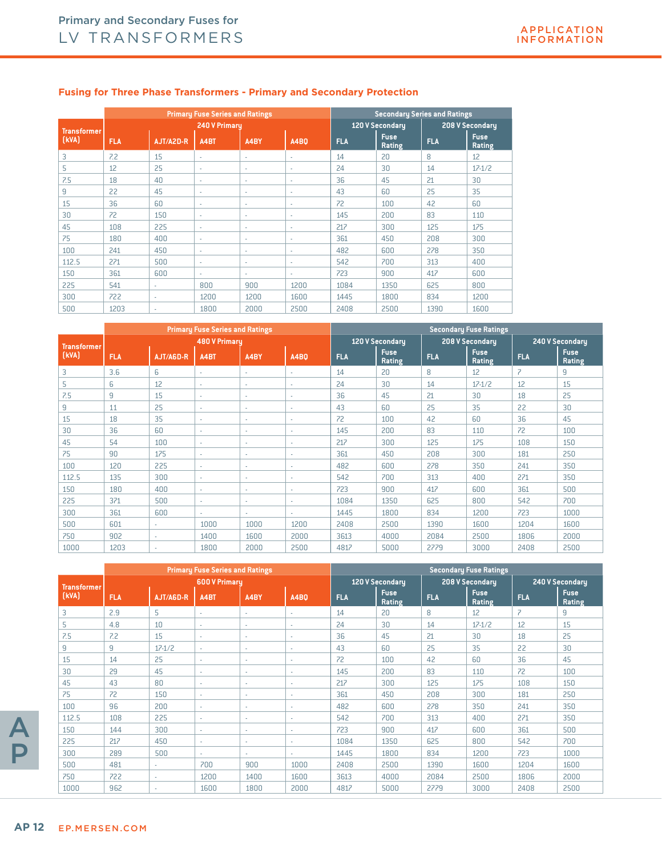|                    |            |           | <b>Primary Fuse Series and Ratings</b> |      |             |            |                       | <b>Secondary Series and Ratings</b> |                       |
|--------------------|------------|-----------|----------------------------------------|------|-------------|------------|-----------------------|-------------------------------------|-----------------------|
| <b>Transformer</b> |            |           | <b>240 V Primaru</b>                   |      |             |            | 120 V Secondary       |                                     | 208 V Secondary       |
| [kVA]              | <b>FLA</b> | AJT/A2D-R | A4BT                                   | A4BY | <b>A4B0</b> | <b>FLA</b> | <b>Fuse</b><br>Rating | <b>FLA</b>                          | <b>Fuse</b><br>Rating |
| 3                  | 7.2        | 15        | ٠                                      | ٠    | ٠           | 14         | 20                    | 8                                   | 12                    |
| 5                  | 12         | 25        | ٠                                      | ٠    | ٠           | 24         | 30                    | 14                                  | $17 - 1/2$            |
| 7.5                | 18         | 40        | ٠                                      | ٠    | ٠           | 36         | 45                    | 21                                  | 30                    |
| 9                  | 22         | 45        | ٠                                      | ٠    | ٠           | 43         | 60                    | 25                                  | 35                    |
| 15                 | 36         | 60        | ٠                                      | ä,   | ٠           | 72         | 100                   | 42                                  | 60                    |
| 30                 | 72         | 150       | ٠                                      | ٠    | ٠           | 145        | 200                   | 83                                  | 110                   |
| 45                 | 108        | 225       | ٠                                      | ٠    | ٠           | 217        | 300                   | 125                                 | 175                   |
| 75                 | 180        | 400       | ٠                                      | ٠    | ٠           | 361        | 450                   | 208                                 | 300                   |
| 100                | 241        | 450       | ٠                                      | ٠    | ٠           | 482        | 600                   | 278                                 | 350                   |
| 112.5              | 271        | 500       | ٠                                      | ٠    | ٠           | 542        | 700                   | 313                                 | 400                   |
| 150                | 361        | 600       | ٠                                      | ٠    | ٠           | 723        | 900                   | 417                                 | 600                   |
| 225                | 541        | ×.        | 800                                    | 900  | 1200        | 1084       | 1350                  | 625                                 | 800                   |
| 300                | 722        | ×.        | 1200                                   | 1200 | 1600        | 1445       | 1800                  | 834                                 | 1200                  |
| 500                | 1203       | ×.        | 1800                                   | 2000 | 2500        | 2408       | 2500                  | 1390                                | 1600                  |

#### **Fusing for Three Phase Transformers - Primary and Secondary Protection**

|                    |            |                          | <b>Primary Fuse Series and Ratings</b> |      |             |            |                       |            | <b>Secondary Fuse Ratings</b> |                |                       |
|--------------------|------------|--------------------------|----------------------------------------|------|-------------|------------|-----------------------|------------|-------------------------------|----------------|-----------------------|
| <b>Transformer</b> |            |                          | <b>480 V Primary</b>                   |      |             |            | 120 V Secondary       |            | 208 V Secondary               |                | 240 V Secondary       |
| [kVA]              | <b>FLA</b> | AJT/A6D-R                | A4BT                                   | A4BY | <b>A4B0</b> | <b>FLA</b> | <b>Fuse</b><br>Rating | <b>FLA</b> | <b>Fuse</b><br>Rating         | <b>FLA</b>     | <b>Fuse</b><br>Rating |
| 3                  | 3.6        | 6                        | ٠                                      | ٠    | $\sim$      | 14         | 20                    | 8          | 12                            | $\overline{z}$ | 9                     |
| 5                  | 6          | 12                       | ٠                                      | ٠    | $\sim$      | 24         | 30                    | 14         | $17 - 1/2$                    | 12             | 15                    |
| 7.5                | 9          | 15                       | ٠                                      | ٠    | $\sim$      | 36         | 45                    | 21         | 30                            | 18             | 25                    |
| 9                  | 11         | 25                       | ٠                                      | ٠    | ٠           | 43         | 60                    | 25         | 35                            | 22             | 30                    |
| 15                 | 18         | 35                       | ٠                                      | ٠    | $\sim$      | 72         | 100                   | 42         | 60                            | 36             | 45                    |
| 30                 | 36         | 60                       | ٠                                      | ٠    | ×.          | 145        | 200                   | 83         | 110                           | 72             | 100                   |
| 45                 | 54         | 100                      | ٠                                      | ٠    | ۰.          | 217        | 300                   | 125        | 175                           | 108            | 150                   |
| 75                 | 90         | 175                      | ×.                                     | ٠    | $\sim$      | 361        | 450                   | 208        | 300                           | 181            | 250                   |
| 100                | 120        | 225                      | ٠                                      | ٠    | ٠           | 482        | 600                   | 278        | 350                           | 241            | 350                   |
| 112.5              | 135        | 300                      | ٠                                      | ٠    | ٠           | 542        | 700                   | 313        | 400                           | 271            | 350                   |
| 150                | 180        | 400                      | ٠                                      | ٠    | ×.          | 723        | 900                   | 417        | 600                           | 361            | 500                   |
| 225                | 371        | 500                      | ٠                                      | ٠    | ۰.          | 1084       | 1350                  | 625        | 800                           | 542            | 700                   |
| 300                | 361        | 600                      | ×.                                     | ٠    | $\sim$      | 1445       | 1800                  | 834        | 1200                          | 723            | 1000                  |
| 500                | 601        | ٠                        | 1000                                   | 1000 | 1200        | 2408       | 2500                  | 1390       | 1600                          | 1204           | 1600                  |
| 750                | 902        | ٠                        | 1400                                   | 1600 | 2000        | 3613       | 4000                  | 2084       | 2500                          | 1806           | 2000                  |
| 1000               | 1203       | $\overline{\phantom{a}}$ | 1800                                   | 2000 | 2500        | 4817       | 5000                  | 2779       | 3000                          | 2408           | 2500                  |

|                    |            |              | <b>Primary Fuse Series and Ratings</b> |        |                          |            |                       |            | <b>Secondary Fuse Ratings</b> |                |                       |
|--------------------|------------|--------------|----------------------------------------|--------|--------------------------|------------|-----------------------|------------|-------------------------------|----------------|-----------------------|
| <b>Transformer</b> |            |              | <b>600 V Primary</b>                   |        |                          |            | 120 V Secondary       |            | 208 V Secondary               |                | 240 V Secondary       |
| [kVA]              | <b>FLA</b> | AJT/A6D-R    | A4BT                                   | A4BY   | <b>A4BO</b>              | <b>FLA</b> | <b>Fuse</b><br>Rating | <b>FLA</b> | <b>Fuse</b><br>Rating         | <b>FLA</b>     | <b>Fuse</b><br>Rating |
| 3                  | 2.9        | 5            | ×.                                     | ٠      | $\sim$                   | 14         | 20                    | 8          | 12                            | $\overline{z}$ | 9                     |
| 5                  | 4.8        | 10           | ×.                                     | $\sim$ | $\sim$                   | 24         | 30                    | 14         | $17 - 1/2$                    | 12             | 15                    |
| 7.5                | 7.2        | 15           | ×.                                     | ٠      | $\sim$                   | 36         | 45                    | 21         | 30                            | 18             | 25                    |
| 9                  | 9          | $17 - 1/2$   | ٠                                      | ٠      | $\sim$                   | 43         | 60                    | 25         | 35                            | 22             | 30                    |
| 15                 | 14         | 25           | ×.                                     | ٠      | $\overline{\phantom{a}}$ | 72         | 100                   | 42         | 60                            | 36             | 45                    |
| 30                 | 29         | 45           | ×.                                     | ٠      | ٠                        | 145        | 200                   | 83         | 110                           | 72             | 100                   |
| 45                 | 43         | 80           | ×.                                     | $\sim$ | ٠                        | 217        | 300                   | 125        | 175                           | 108            | 150                   |
| 75                 | 72         | 150          | ٠                                      | ÷.     | $\sim$                   | 361        | 450                   | 208        | 300                           | 181            | 250                   |
| 100                | 96         | 200          | ×.                                     | ٠      | ٠                        | 482        | 600                   | 278        | 350                           | 241            | 350                   |
| 112.5              | 108        | 225          | ×.                                     | ٠      | ×.                       | 542        | 700                   | 313        | 400                           | 271            | 350                   |
| 150                | 144        | 300          | ٠                                      | ٠      | ×.                       | 723        | 900                   | 417        | 600                           | 361            | 500                   |
| 225                | 217        | 450          | ٠                                      | ٠      | ٠                        | 1084       | 1350                  | 625        | 800                           | 542            | 700                   |
| 300                | 289        | 500          | ٠                                      | ٠      | ٠                        | 1445       | 1800                  | 834        | 1200                          | 723            | 1000                  |
| 500                | 481        | ٠            | 700                                    | 900    | 1000                     | 2408       | 2500                  | 1390       | 1600                          | 1204           | 1600                  |
| 750                | 722        | $\mathbf{r}$ | 1200                                   | 1400   | 1600                     | 3613       | 4000                  | 2084       | 2500                          | 1806           | 2000                  |
| 1000               | 962        |              | 1600                                   | 1800   | 2000                     | 4817       | 5000                  | 2779       | 3000                          | 2408           | 2500                  |

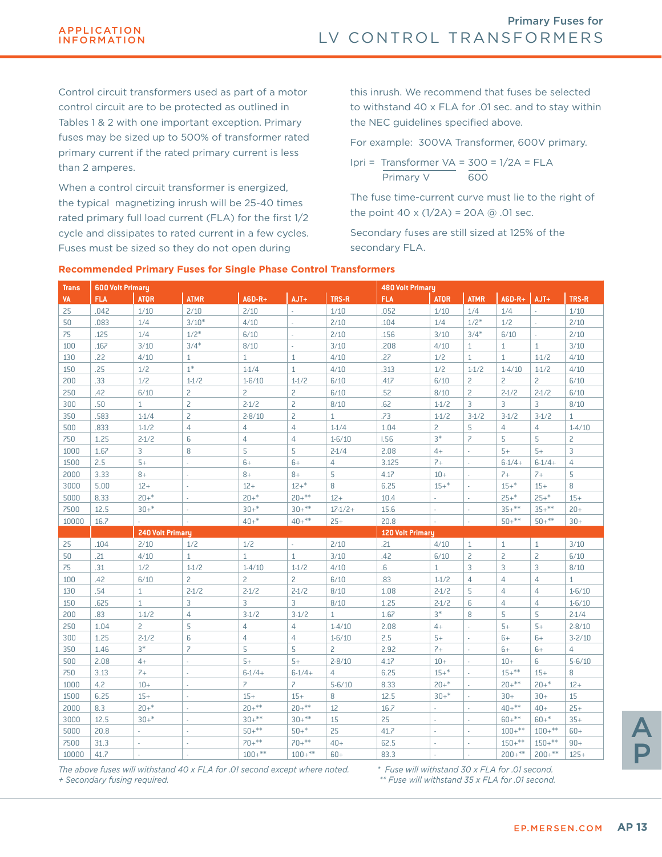Control circuit transformers used as part of a motor control circuit are to be protected as outlined in Tables 1 & 2 with one important exception. Primary fuses may be sized up to 500% of transformer rated primary current if the rated primary current is less than 2 amperes.

When a control circuit transformer is energized, the typical magnetizing inrush will be 25-40 times rated primary full load current (FLA) for the first 1/2 cycle and dissipates to rated current in a few cycles. Fuses must be sized so they do not open during

this inrush. We recommend that fuses be selected to withstand 40 x FLA for .01 sec. and to stay within the NEC guidelines specified above.

For example: 300VA Transformer, 600V primary.

Ipri = Transformer  $VA = 300 = 1/2A = FLA$ Primary V 600

The fuse time-current curve must lie to the right of the point  $40 \times (1/2) = 20A \text{ } \textcircled{a}$ .01 sec.

Secondary fuses are still sized at 125% of the secondary FLA.

| <b>Trans</b> | <b>600 Volt Primary</b> |                  |                          |                          |                          |                | <b>480 Volt Primary</b> |                |                          |                 |                |                |
|--------------|-------------------------|------------------|--------------------------|--------------------------|--------------------------|----------------|-------------------------|----------------|--------------------------|-----------------|----------------|----------------|
| <b>VA</b>    | <b>FLA</b>              | <b>ATOR</b>      | <b>ATMR</b>              | $A6D-R+$                 | $AJT+$                   | TRS-R          | <b>FLA</b>              | <b>ATOR</b>    | <b>ATMR</b>              | $A6D-R+$ $AIT+$ |                | TRS-R          |
| 25           | .042                    | 1/10             | 2/10                     | 2/10                     | ÷                        | 1/10           | .052                    | 1/10           | 1/4                      | 1/4             |                | 1/10           |
| 50           | .083                    | 1/4              | $3/10*$                  | 4/10                     | ä,                       | 2/10           | .104                    | 1/4            | $1/2*$                   | 1/2             | ÷,             | 2/10           |
| 75           | .125                    | 1/4              | $1/2*$                   | 6/10                     | i.                       | 2/10           | .156                    | 3/10           | $3/4*$                   | $6/10$          | i.             | 2/10           |
| 100          | .167                    | 3/10             | $3/4*$                   | 8/10                     | ÷,                       | 3/10           | .208                    | 4/10           | $\mathbf{1}$             | $\mathbf{1}$    | $\mathbf{1}$   | 3/10           |
| 130          | .22                     | 4/10             | $\mathbf{1}$             | $\mathbf{1}$             | $\mathbf{1}$             | 4/10           | .27                     | 1/2            | $\mathbf{1}$             | $\mathbf{1}$    | $1 - 1/2$      | 4/10           |
| 150          | .25                     | 1/2              | $1*$                     | $1 - 1/4$                | $\mathbf{1}$             | 4/10           | .313                    | 1/2            | $1 - 1/2$                | $1 - 4/10$      | $1 - 1/2$      | 4/10           |
| 200          | .33                     | 1/2              | $1-1/2$                  | $1 - 6/10$               | $1-1/2$                  | $6/10$         | .417                    | 6/10           | $\overline{c}$           | $\overline{c}$  | $\overline{c}$ | 6/10           |
| 250          | .42                     | 6/10             | $\overline{c}$           | $\overline{c}$           | $\overline{c}$           | 6/10           | .52                     | 8/10           | $\overline{c}$           | $2 - 1/2$       | $2 - 1/2$      | 6/10           |
| 300          | .50                     | $\mathbf{1}$     | $\overline{c}$           | $2 - 1/2$                | $\overline{c}$           | 8/10           | .62                     | $1 - 1/2$      | 3                        | 3               | 3              | 8/10           |
| 350          | .583                    | $1 - 1/4$        | $\overline{c}$           | $2 - 8/10$               | $\overline{c}$           | $\mathbf{1}$   | .73                     | $1 - 1/2$      | $3-1/2$                  | $3-1/2$         | $3-1/2$        | $\mathbf{1}$   |
| 500          | .833                    | $1 - 1/2$        | $\overline{4}$           | $\overline{4}$           | $\overline{4}$           | $1 - 1/4$      | 1.04                    | $\overline{c}$ | 5                        | $\overline{4}$  | $\overline{4}$ | $1 - 4/10$     |
| 750          | 1.25                    | $2 - 1/2$        | 6                        | 4                        | $\overline{4}$           | $1 - 6/10$     | <b>I.56</b>             | $3*$           | $\overline{\phantom{a}}$ | 5               | 5              | $\overline{c}$ |
| 1000         | 1.67                    | 3                | 8                        | 5                        | 5                        | $2 - 1/4$      | 2.08                    | $4+$           | ×                        | $5+$            | $5+$           | 3              |
| 1500         | 2.5                     | $5+$             | ÷,                       | $6+$                     | $6+$                     | 4              | 3.125                   | $7+$           |                          | $6-1/4+$        | $6-1/4+$       | $\overline{4}$ |
| 2000         | 3.33                    | $8+$             | i.                       | $8+$                     | $8+$                     | 5              | 4.17                    | $10 +$         | ÷.                       | $7+$            | $7+$           | 5              |
| 3000         | 5.00                    | $12+$            | J.                       | $12+$                    | $12+{}^*$                | 8              | 6.25                    | $15+{}^*$      |                          | $15+{}^*$       | $15+$          | 8              |
| 5000         | 8.33                    | $20+*$           | ×.                       | $20+$ *                  | $20+***$                 | $12+$          | 10.4                    |                | ×                        | $25+$ *         | $25+$ *        | $15+$          |
| 7500         | 12.5                    | $30+*$           | ÷,                       | $30+*$                   | $30+***$                 | $17-1/2+$      | 15.6                    |                | ÷.                       | $35+***$        | $35+***$       | $20 +$         |
| 10000        | 16.7                    |                  | ÷,                       | $40+$ *                  | $40+***$                 | $25+$          | 20.8                    | L,             | ÷,                       | $50+***$        | $50+***$       | $30+$          |
|              |                         | 240 Volt Primary |                          |                          |                          |                | <b>120 Volt Primary</b> |                |                          |                 |                |                |
| 25           | .104                    | 2/10             | 1/2                      | 1/2                      | L.                       | 2/10           | .21                     | 4/10           | $\mathbf{1}$             | $\mathbf{1}$    | $\mathbf{1}$   | 3/10           |
| 50           | .21                     | 4/10             | $\mathbf{1}$             | $\mathbf{1}$             | $\mathbf{1}$             | 3/10           | .42                     | 6/10           | $\overline{c}$           | 2               | $\overline{c}$ | $6/10$         |
| 75           | .31                     | 1/2              | $1 - 1/2$                | $1 - 4/10$               | $1-1/2$                  | 4/10           | 6.6                     | $\mathbf{1}$   | 3                        | 3               | 3              | 8/10           |
| 100          | .42                     | 6/10             | $\overline{c}$           | $\overline{c}$           | $\overline{c}$           | $6/10$         | .83                     | $1 - 1/2$      | $\overline{4}$           | 4               | $\overline{4}$ | $\mathbf{1}$   |
| 130          | .54                     | $\mathbf{1}$     | $2 - 1/2$                | $2 - 1/2$                | $2 - 1/2$                | 8/10           | 1.08                    | $2 - 1/2$      | 5                        | 4               | $\overline{4}$ | $1 - 6/10$     |
| 150          | .625                    | $\mathbf{1}$     | 3                        | 3                        | 3                        | 8/10           | 1.25                    | $2 - 1/2$      | $6\phantom{1}6$          | 4               | $\overline{4}$ | $1 - 6/10$     |
| 200          | .83                     | $1 - 1/2$        | $\overline{4}$           | $3-1/2$                  | $3-1/2$                  | $\mathbf{1}$   | 1.67                    | $3*$           | 8                        | 5               | 5              | $2 - 1/4$      |
| 250          | 1.04                    | 2                | 5                        | $\overline{4}$           | $\overline{4}$           | $1 - 4/10$     | 2.08                    | $4+$           |                          | $5+$            | $5+$           | $2 - 8/10$     |
| 300          | 1.25                    | $2 - 1/2$        | 6                        | 4                        | $\overline{4}$           | $1 - 6/10$     | 2.5                     | $5+$           |                          | $6+$            | $6+$           | $3 - 2/10$     |
| 350          | 1.46                    | $3*$             | $\overline{\phantom{a}}$ | 5                        | 5                        | $\overline{c}$ | 2.92                    | $7+$           | $\sim$                   | $6+$            | $6+$           | $\overline{4}$ |
| 500          | 2.08                    | $4+$             | i.                       | $5+$                     | $5+$                     | $2 - 8/10$     | 4.17                    | $10+$          | ÷.                       | $10+$           | 6              | $5 - 6/10$     |
| 750          | 3.13                    | $7+$             | ÷,                       | $6-1/4+$                 | $6-1/4+$                 | $\overline{4}$ | 6.25                    | $15+{}^*$      | ×                        | $15 +$ **       | $15+$          | 8              |
| 1000         | 4.2                     | $10 +$           | ä,                       | $\overline{\phantom{a}}$ | $\overline{\phantom{a}}$ | $5 - 6/10$     | 8.33                    | $20+$ *        | ÷                        | $20+***$        | $20+$ *        | $12+$          |
| 1500         | 6.25                    | $15+$            | J.                       | $15+$                    | $15+$                    | 8              | 12.5                    | $30+$ *        |                          | $30+$           | $30+$          | 15             |
| 2000         | 8.3                     | $20+*$           | ÷,                       | $20+***$                 | $20+***$                 | 12             | 16.7                    |                |                          | $40+***$        | $40+$          | $25+$          |
| 3000         | 12.5                    | $30+$ *          | J.                       | $30+***$                 | $30+***$                 | 15             | 25                      | L.             | ÷                        | $60+***$        | $60+*$         | $35+$          |
| 5000         | 20.8                    | L.               | ÷,                       | $50+***$                 | $50+*$                   | 25             | 41.7                    | L,             | ×                        | $100+***$       | $100+***$      | $60+$          |
| 7500         | 31.3                    |                  | ×,                       | $70+***$                 | $70+***$                 | $40+$          | 62.5                    | ä,             |                          | $150+***$       | $150+***$      | $90+$          |
| 10000        | 41.7                    |                  |                          | $100+***$                | $100+***$                | $60+$          | 83.3                    | ÷,             |                          | $200+***$       | $200+***$      | $125+$         |
|              |                         |                  |                          |                          |                          |                |                         |                |                          |                 |                |                |

#### **Recommended Primary Fuses for Single Phase Control Transformers**

*The above fuses will withstand 40 x FLA for .01 second except where noted. + Secondary fusing required.*

*\* Fuse will withstand 30 x FLA for .01 second. \*\* Fuse will withstand 35 x FLA for .01 second.*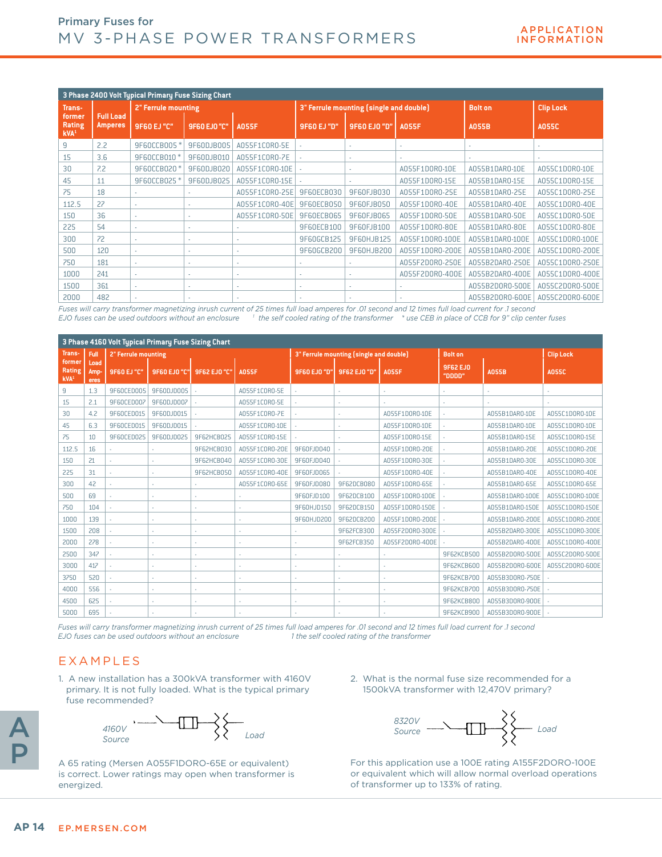|                                      |                                    | 3 Phase 2400 Volt Typical Primary Fuse Sizing Chart |                     |                |             |                                         |                 |                 |                  |
|--------------------------------------|------------------------------------|-----------------------------------------------------|---------------------|----------------|-------------|-----------------------------------------|-----------------|-----------------|------------------|
| Trans-                               |                                    | <b>2" Ferrule mounting</b>                          |                     |                |             | 3" Ferrule mounting (single and double) |                 | <b>Bolt on</b>  | <b>Clip Lock</b> |
| former<br>Rating<br>KVA <sup>1</sup> | <b>Full Load</b><br><b>Amperes</b> | <b>9F60 EJ "C"</b>                                  | <b>9F60 EJ0 "C"</b> | <b>A055F</b>   | 9F60 EJ "D" | <b>9F60 EJO "D"</b>                     | <b>A055F</b>    | <b>A055B</b>    | <b>A055C</b>     |
| 9                                    | 2.2                                | 9F60CCB005*                                         | 9F60DJB005          | A055F1C0R0-5E  |             |                                         |                 | ×.              |                  |
| 15                                   | 3.6                                | 9F60CCB010 *                                        | 9F60DJB010          | A055F1C0R0-7E  |             |                                         |                 | ٠               |                  |
| 30                                   | 7.2                                | 9F60CCB020 *                                        | 9F60DJB020          | A055F1C0R0-10E |             |                                         | A055F1D0R0-10E  | A055B1DAR0-10E  | A055C1D0R0-10E   |
| 45                                   | 11                                 | 9F60CCB025*                                         | 9F60DJB025          | A055F1C0R0-15E |             |                                         | A055F1D0R0-15E  | A055B1DAR0-15E  | A055C1D0R0-15E   |
| 75                                   | 18                                 | ÷.                                                  |                     | A055F1C0R0-25E | 9F60ECB030  | 9F60FJB030                              | A055F1D0R0-25E  | A055B1DAR0-25E  | A055C1D0R0-25E   |
| 112.5                                | 27                                 | ÷.                                                  |                     | A055F1C0R0-40E | 9F60ECB050  | 9F60FJB050                              | A055F1D0R0-40E  | A055B1DAR0-40E  | A055C1D0R0-40E   |
| 150                                  | 36                                 | ÷.                                                  |                     | A055F1C0R0-50E | 9F60ECB065  | 9F60FJB065                              | A055F1D0R0-50E  | A055B1DAR0-50E  | A055C1D0R0-50E   |
| 225                                  | 54                                 | ÷.                                                  |                     |                | 9F60ECB100  | 9F60FJB100                              | A055F1D0R0-80E  | A055B1DAR0-80E  | A055C1D0R0-80E   |
| 300                                  | 72                                 | ÷.                                                  |                     | ×.             | 9F60GCB125  | 9F60HJB125                              | A055F1D0R0-100E | A055B1DAR0-100E | A055C1D0R0-100E  |
| 500                                  | 120                                | $\sim$                                              |                     | ×.             | 9F60GCB200  | 9F60HJB200                              | A055F1D0R0-200E | A055B1DAR0-200E | A055C1D0R0-200E  |
| 750                                  | 181                                | ÷.                                                  |                     | ×.             |             |                                         | A055F2D0R0-250E | A055B2DAR0-250E | A055C1D0R0-250E  |
| 1000                                 | 241                                | ٠                                                   |                     |                | ٠           |                                         | A055F2D0R0-400E | A055B2DAR0-400E | A055C1D0R0-400E  |
| 1500                                 | 361                                | ÷.                                                  |                     | ×.             | ٠           | ٠                                       |                 | A055B2D0R0-500E | A055C2D0R0-500E  |
| 2000                                 | 482                                | ÷.                                                  |                     |                |             |                                         |                 | A055B2D0R0-600E | A055C2D0R0-600E  |

*Fuses will carry transformer magnetizing inrush current of 25 times full load amperes for .01 second and 12 times full load current for .1 second EJO fuses can be used outdoors without an enclosure <sup>1</sup> the self cooled rating of the transformer \* use CEB in place of CCB for 9" clip center fuses*

|                                             |                      | 3 Phase 4160 Volt Typical Primary Fuse Sizing Chart |              |              |                |              |                                         |                 |                           |                 |                  |
|---------------------------------------------|----------------------|-----------------------------------------------------|--------------|--------------|----------------|--------------|-----------------------------------------|-----------------|---------------------------|-----------------|------------------|
| Trans-                                      | Full                 | 2" Ferrule mounting                                 |              |              |                |              | 3" Ferrule mounting (single and double) |                 | <b>Bolt on</b>            |                 | <b>Clip Lock</b> |
| former<br><b>Rating</b><br>kVA <sup>1</sup> | Load<br>Amp-<br>eres | 9F60 EJ "C"                                         | 9F60 EJ0 "C" | 9F62 EJ0 "C" | <b>A055F</b>   | 9F60 EJ0 "D" | 9F62 EJ0 "D"                            | <b>A055F</b>    | <b>9F62 EJ0</b><br>"DDDD" | <b>A055B</b>    | <b>A055C</b>     |
| 9                                           | 1.3                  | 9F60CED005                                          | 9F60DJD005   |              | A055F1CORO-5E  |              |                                         |                 |                           |                 |                  |
| 15                                          | 2.1                  | 9F60CED007                                          | 9F60DJD007   |              | A055F1CORO-5E  |              |                                         |                 |                           |                 |                  |
| 30                                          | 4.2                  | 9F60CED015                                          | 9F60DJD015   |              | A055F1C0R0-7E  |              |                                         | A055F1D0R0-10E  |                           | A055B1DAR0-10E  | A055C1D0R0-10E   |
| 45                                          | 6.3                  | 9F60CED015                                          | 9F60DJD015   |              | A055F1C0R0-10E |              |                                         | A055F1D0R0-10E  |                           | A055B1DAR0-10E  | A055C1D0R0-10E   |
| 75                                          | 10                   | 9F60CED025                                          | 9F60DJD025   | 9F62HCB025   | A055F1C0R0-15E |              |                                         | A055F1D0R0-15E  |                           | A055B1DAR0-15E  | A055C1D0R0-15E   |
| 112.5                                       | 16                   |                                                     | ٠            | 9F62HCB030   | A055F1C0R0-20E | 9F60FJD040   |                                         | A055F1D0R0-20E  |                           | A055B1DAR0-20E  | A055C1D0R0-20E   |
| 150                                         | 21                   | ٠                                                   | ٠            | 9F62HCB040   | A055F1C0R0-30E | 9F60FJD040   |                                         | A055F1D0R0-30E  |                           | A055B1DAR0-30E  | A055C1D0R0-30E   |
| 225                                         | 31                   | ٠                                                   | ٠            | 9F62HCB050   | A055F1C0R0-40E | 9F60FJD065   |                                         | A055F1D0R0-40E  |                           | A055B1DAR0-40E  | A055C1D0R0-40E   |
| 300                                         | 42                   |                                                     |              |              | A055F1C0R0-65E | 9F60FJD080   | 9F62DCB080                              | A055F1D0R0-65E  |                           | A055B1DAR0-65E  | A055C1D0R0-65E   |
| 500                                         | 69                   |                                                     | ٠            |              |                | 9F60EJD100   | 9F62DCB100                              | A055F1D0R0-100E |                           | A055B1DAR0-100E | A055C1D0R0-100E  |
| 750                                         | 104                  |                                                     |              |              |                | 9F60HJD150   | 9F62DCB150                              | A055F1D0R0-150E |                           | A055B1DAR0-150E | A055C1D0R0-150E  |
| 1000                                        | 139                  |                                                     |              |              |                | 9F60HJD200   | 9F62DCB200                              | A055F1D0R0-200E |                           | A055B1DAR0-200E | A055C1D0R0-200E  |
| 1500                                        | 208                  |                                                     |              |              |                |              | 9F62FCB300                              | A055F2D0R0-300E |                           | A055B2DAR0-300E | A055C1D0R0-300E  |
| 2000                                        | 278                  |                                                     | ٠            |              |                |              | 9F62FCB350                              | A055F2D0R0-400E |                           | A055B2DAR0-400E | A055C1D0R0-400E  |
| 2500                                        | 347                  |                                                     |              |              |                |              |                                         |                 | 9F62KCB500                | A055B2D0R0-500E | A055C2D0R0-500E  |
| 3000                                        | 417                  |                                                     | ٠            | ٠            |                |              |                                         |                 | 9F62KCB600                | A055B2D0R0-600E | A055C2D0R0-600E  |
| 3750                                        | 520                  |                                                     | ٠            | ÷.           | ٠              | ×,           | ٠                                       |                 | 9F62KCB700                | A055B3D0R0-750E |                  |
| 4000                                        | 556                  |                                                     | ٠            | ٠            |                |              | ٠                                       |                 | 9F62KCB700                | A055B3D0R0-750E |                  |
| 4500                                        | 625                  |                                                     | ÷.           | ×.           | ×.             | ٠            | ×.                                      |                 | 9F62KCB800                | A055B3D0R0-900E |                  |
| 5000                                        | 695                  |                                                     |              |              |                |              |                                         |                 | 9F62KCB900                | A055B3D0R0-900E |                  |

*Fuses will carry transformer magnetizing inrush current of 25 times full load amperes for .01 second and 12 times full load current for .1 second EJO fuses can be used outdoors without an enclosure 1 the self cooled rating of the transformer*

### EXAMPLES

1. A new installation has a 300kVA transformer with 4160V primary. It is not fully loaded. What is the typical primary fuse recommended?



*8320V* **111 > 3720V 6320V 111 > 3820V 10ad** *A160V* **Load**<br> *Source Load* 

A 65 rating (Mersen A055F1DORO-65E or equivalent) is correct. Lower ratings may open when transformer is energized.

2. What is the normal fuse size recommended for a 1500kVA transformer with 12,470V primary?

For this application use a 100E rating A155F2DORO-100E or equivalent which will allow normal overload operations of transformer up to 133% of rating.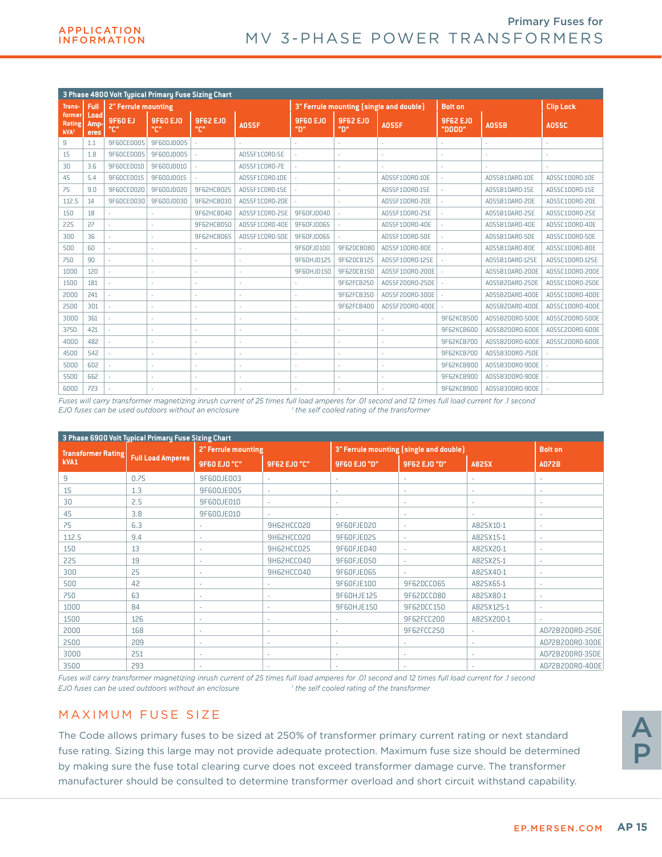|                                      |                     |                     | 3 Phase 4800 Volt Typical Primary Fuse Sizing Chart |                                            |                |                       |                                |                                         |                           |                 |                  |
|--------------------------------------|---------------------|---------------------|-----------------------------------------------------|--------------------------------------------|----------------|-----------------------|--------------------------------|-----------------------------------------|---------------------------|-----------------|------------------|
| Trans-                               | Full                | 2" Ferrule mounting |                                                     |                                            |                |                       |                                | 3" Ferrule mounting (single and double) | <b>Bolt on</b>            |                 | <b>Clip Lock</b> |
| former<br>Rating<br>kVA <sup>1</sup> | Load<br>Amp<br>eres | 9F60 EJ<br>"C"      | <b>9F60 EJ0</b><br>$\mathbf{u}_{\square}$           | <b>9F62 EJ0</b><br>$^{\mu}$ C <sub>n</sub> | <b>A055F</b>   | <b>9F60 EJ0</b><br>"ח | <b>9F62 EJO</b><br>$n_{\rm m}$ | <b>A055F</b>                            | <b>9F62 EJO</b><br>"מממם" | <b>A055B</b>    | <b>A055C</b>     |
| 9                                    | 1.1                 | 9F60CED005          | 9F60DJD005                                          |                                            |                |                       |                                |                                         |                           |                 |                  |
| 15                                   | 1.8                 | 9F60CED005          | 9F60DJD005                                          |                                            | A055F1C0R0-5E  |                       |                                |                                         |                           |                 |                  |
| 30                                   | 3.6                 | 9F60CED010          | 9F60DJD010                                          |                                            | A055F1C0R0-7E  |                       |                                |                                         |                           |                 |                  |
| 45                                   | 5.4                 | 9F60CED015          | 9F60DJD015                                          |                                            | A055F1C0R0-10E |                       |                                | A055F1D0R0-10E                          |                           | A055B1DAR0-10E  | A055C1D0R0-10E   |
| 75                                   | 9.0                 | 9F60CED020          | 9F60DJD020                                          | 9F62HCB025                                 | A055F1C0R0-15E |                       |                                | A055F1D0R0-15E                          |                           | A055B1DAR0-15E  | A055C1D0R0-15E   |
| 112.5                                | 14                  | 9F60CED030          | 9F60DJD030                                          | 9F62HCB030                                 | A055F1C0R0-20E |                       |                                | A055F1D0R0-20E                          |                           | A055B1DAR0-20E  | A055C1D0R0-20E   |
| 150                                  | 18                  |                     |                                                     | 9F62HCB040                                 | A055F1C0R0-25E | 9F60EJD040            |                                | A055F1D0R0-25E                          |                           | A055B1DAR0-25E  | A055C1D0R0-25E   |
| 225                                  | 22                  |                     |                                                     | 9F62HCB050                                 | A055F1C0R0-40E | 9F60FJD065            |                                | A055F1D0R0-40E                          |                           | A055B1DAR0-40E  | A055C1D0R0-40E   |
| 300                                  | 36                  | ×.                  |                                                     | 9F62HCB065                                 | A055F1C0R0-50E | 9F60FJD065            |                                | A055F1D0R0-50E                          |                           | A055B1DAR0-50F  | A055C1D0R0-50E   |
| 500                                  | 60                  | ÷.                  |                                                     |                                            |                | 9F60FJD100            | 9F62DCB080                     | A055F1D0R0-80E                          |                           | A055B1DAR0-80E  | A055C1D0R0-80E   |
| 750                                  | 90                  | ×.                  |                                                     |                                            |                | 9F60HJD125            | 9F62DCB125                     | A055F1D0R0-125E                         |                           | A055B1DAR0-125E | A055C1D0R0-125E  |
| 1000                                 | 120                 |                     |                                                     |                                            |                | 9F60HJD150            | 9F62DCB150                     | A055F1D0R0-200E                         |                           | A055B1DAR0-200E | A055C1D0R0-200E  |
| 1500                                 | 181                 |                     |                                                     |                                            |                |                       | 9F62FCB250                     | A055F2D0R0-250E                         |                           | A055B2DAR0-250E | A055C1D0R0-250E  |
| 2000                                 | 241                 |                     |                                                     |                                            |                |                       | 9F62FCB350                     | A055F2D0R0-300E                         |                           | A055B2DAR0-400E | A055C1D0R0-400E  |
| 2500                                 | 301                 | ÷.                  | ٠                                                   |                                            |                | ٠                     | 9F62FCB400                     | A055F2D0R0-400E                         |                           | A055B2DAR0-400E | A055C1D0R0-400E  |
| 3000                                 | 361                 | ÷.                  | ×.                                                  | ٠                                          | ٠              | ٠                     |                                |                                         | 9F62KCB500                | A055B2D0R0-500E | A055C2D0R0-500E  |
| 3750                                 | 421                 |                     |                                                     |                                            |                |                       |                                |                                         | 9F62KCB600                | A055B2D0R0-600E | A055C2D0R0-600E  |
| 4000                                 | 482                 |                     |                                                     |                                            |                | ٠                     |                                |                                         | 9F62KCB700                | A055B2D0R0-600E | A055C2D0R0-600E  |
| 4500                                 | 542                 |                     |                                                     |                                            |                | ٠                     |                                |                                         | 9F62KCB700                | A055B3D0R0-750E |                  |
| 5000                                 | 602                 |                     |                                                     |                                            |                | ٠                     |                                |                                         | 9F62KCB800                | A055B3D0R0-900E |                  |
| 5500                                 | 662                 |                     |                                                     |                                            |                | ٠                     |                                |                                         | 9F62KCB900                | A055B3D0R0-900E |                  |
| 6000                                 | 723                 |                     |                                                     |                                            |                |                       |                                |                                         | 9F62KCB900                | A055B3D0R0-900E |                  |

*Fuses will carry transformer magnetizing inrush current of 25 times full load amperes for .01 second and 12 times full load current for .1 second EJO fuses can be used outdoors without an enclosure 1 the self cooled rating of the transformer*

|                           | 3 Phase 6900 Volt Typical Primary Fuse Sizing Chart |                            |              |              |                                         |            |                 |
|---------------------------|-----------------------------------------------------|----------------------------|--------------|--------------|-----------------------------------------|------------|-----------------|
| <b>Transformer Rating</b> |                                                     | <b>2" Ferrule mounting</b> |              |              | 3" Ferrule mounting (single and double) |            | <b>Bolt on</b>  |
| kVA1                      | <b>Full Load Amperes</b>                            | <b>9F60 EJ0 "C"</b>        | 9F62 EJ0 "C" | 9F60 EJ0 "D" | 9F62 EJ0 "D"                            | A825X      | <b>A072B</b>    |
| 9                         | 0.75                                                | 9F60DJE003                 | н.           | ٠            |                                         |            | ٠               |
| 15                        | 1.3                                                 | 9F60DJE005                 | ×.           | ×,           | ×.                                      | ٠          | ٠               |
| 30                        | 2.5                                                 | 9F60DJE010                 | ×.           | ٠            | ٠                                       | ٠          | ٠               |
| 45                        | 3.8                                                 | 9F60DJE010                 |              |              |                                         |            | ٠               |
| 75                        | 6.3                                                 | ٠                          | 9H62HCC020   | 9F60FJE020   | ٠                                       | A825X10-1  | $\sim$          |
| 112.5                     | 9.4                                                 |                            | 9H62HCC020   | 9F60FJE025   |                                         | A825X15-1  | ٠               |
| 150                       | 13                                                  |                            | 9H62HCC025   | 9F60FJE040   |                                         | A825X20-1  | ٠               |
| 225                       | 19                                                  | ٠                          | 9H62HCC040   | 9F60FJE050   | ٠                                       | A825X25-1  | $\sim$          |
| 300                       | 25                                                  | ٠                          | 9H62HCC040   | 9F60FJE065   | ٠                                       | A825X40-1  | ٠               |
| 500                       | 42                                                  |                            |              | 9F60FJE100   | 9F62DCC065                              | A825X65-1  | ٠               |
| 750                       | 63                                                  | ×.                         | ×.           | 9F60HJE125   | 9F62DCC080                              | A825X80-1  | ×.              |
| 1000                      | 84                                                  | ٠                          | ٠            | 9F60HJE150   | 9F62DCC150                              | A825X125-1 | $\sim$          |
| 1500                      | 126                                                 | ٠                          | ٠            | ٠            | 9F62FCC200                              | A825X200-1 | ×.              |
| 2000                      | 168                                                 | $\sim$                     | $\sim$       | ٠            | 9F62FCC250                              | $\sim$     | A072B2D0R0-250E |
| 2500                      | 209                                                 | $\sim$                     | ٠            | ÷            | ٠                                       | ٠          | A072B2D0R0-300E |
| 3000                      | 251                                                 |                            | ٠            | ٠            |                                         |            | A072B2D0R0-350E |
| 3500                      | 293                                                 | $\overline{\phantom{a}}$   |              |              | ٠                                       |            | A072B2D0R0-400E |

*Fuses will carry transformer magnetizing inrush current of 25 times full load amperes for .01 second and 12 times full load current for .1 second EJO fuses can be used outdoors without an enclosure 1 the self cooled rating of the transformer*

### MAXIMUM FUSE SIZE

The Code allows primary fuses to be sized at 250% of transformer primary current rating or next standard fuse rating. Sizing this large may not provide adequate protection. Maximum fuse size should be determined by making sure the fuse total clearing curve does not exceed transformer damage curve. The transformer manufacturer should be consulted to determine transformer overload and short circuit withstand capability.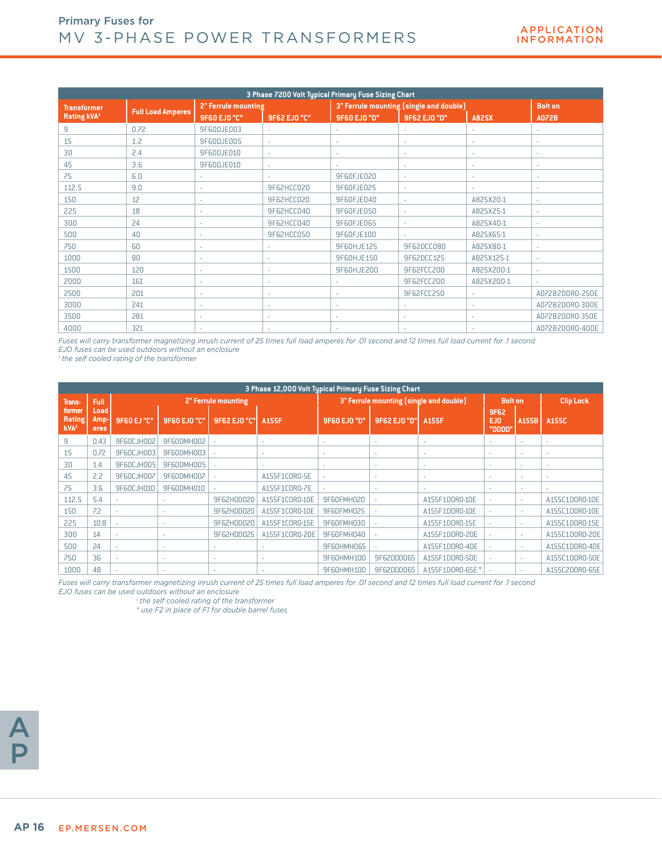|                    | 3 Phase 7200 Volt Typical Primary Fuse Sizing Chart<br>3" Ferrule mounting (single and double) |                            |              |              |              |                          |                          |  |  |  |  |  |
|--------------------|------------------------------------------------------------------------------------------------|----------------------------|--------------|--------------|--------------|--------------------------|--------------------------|--|--|--|--|--|
| <b>Transformer</b> |                                                                                                | <b>2" Ferrule mounting</b> |              |              |              |                          | <b>Bolt on</b>           |  |  |  |  |  |
| <b>Rating kVA1</b> | <b>Full Load Amperes</b>                                                                       | <b>9F60 EJ0 "C"</b>        | 9F62 EJ0 "C" | 9F60 EJ0 "D" | 9F62 EJ0 "D" | A825X                    | <b>A072B</b>             |  |  |  |  |  |
| 9                  | 0.72                                                                                           | 9F60DJE003                 | $\sim$       | ٠            |              |                          |                          |  |  |  |  |  |
| 15                 | 1.2                                                                                            | 9F60DJE005                 | $\sim$       | ٠            |              |                          |                          |  |  |  |  |  |
| 30                 | 2.4                                                                                            | 9F60DJE010                 | $\sim$       | ٠            | $\sim$       | ٠                        | $\sim$                   |  |  |  |  |  |
| 45                 | 3.6                                                                                            | 9F60DJE010                 | ٠            | ×.           | $\sim$       |                          | $\overline{\phantom{a}}$ |  |  |  |  |  |
| 75                 | 6.0                                                                                            | ٠                          | $\mathbf{r}$ | 9F60FJE020   | $\sim$       | ٠                        | $\sim$                   |  |  |  |  |  |
| 112.5              | 9.0                                                                                            | ٠                          | 9F62HCC020   | 9F60FJE025   | ٠            |                          |                          |  |  |  |  |  |
| 150                | 12                                                                                             | $\sim$                     | 9F62HCC020   | 9F60FJE040   | $\sim$       | A825X20-1                | $\sim$                   |  |  |  |  |  |
| 225                | 18                                                                                             | ٠                          | 9F62HCC040   | 9F60FJE050   |              | A825X25-1                | $\overline{\phantom{a}}$ |  |  |  |  |  |
| 300                | 24                                                                                             | $\mathbf{r}$               | 9F62HCC040   | 9F60FJE065   | ×.           | A825X40-1                | $\sim$                   |  |  |  |  |  |
| 500                | 40                                                                                             | ٠                          | 9F62HCC050   | 9F60FJE100   |              | A825X65-1                |                          |  |  |  |  |  |
| 750                | 60                                                                                             | $\sim$                     | ×.           | 9F60HJE125   | 9F62DCC080   | A825X80-1                | $\sim$                   |  |  |  |  |  |
| 1000               | 80                                                                                             | ٠                          | ×.           | 9F60HJE150   | 9F62DCC125   | A825X125-1               | $\sim$                   |  |  |  |  |  |
| 1500               | 120                                                                                            | $\sim$                     | ×.           | 9F60HJE200   | 9F62FCC200   | A825X200-1               | $\sim$                   |  |  |  |  |  |
| 2000               | 161                                                                                            | ٠                          | ٠            | ٠            | 9F62FCC200   | A825X200-1               |                          |  |  |  |  |  |
| 2500               | 201                                                                                            | ٠                          | ٠            | ٠            | 9F62FCC250   | $\overline{\phantom{a}}$ | A072B2D0R0-250E          |  |  |  |  |  |
| 3000               | 241                                                                                            | ٠                          | $\sim$       | ÷            | ٠            | ٠                        | A072B2D0R0-300E          |  |  |  |  |  |
| 3500               | 281                                                                                            | ٠                          | ٠            | ٠            |              |                          | A072B2D0R0-350E          |  |  |  |  |  |
| 4000               | 321                                                                                            |                            |              | ٠            |              |                          | A072B2D0R0-400E          |  |  |  |  |  |

*Fuses will carry transformer magnetizing inrush current of 25 times full load amperes for .01 second and 12 times full load current for .1 second EJO fuses can be used outdoors without an enclosure*

*1 the self cooled rating of the transformer*

|                                      |                             |                    |                     |                          | 3 Phase 12,000 Volt Typical Primary Fuse Sizing Chart |                          |                                         |                 |                              |                          |                  |
|--------------------------------------|-----------------------------|--------------------|---------------------|--------------------------|-------------------------------------------------------|--------------------------|-----------------------------------------|-----------------|------------------------------|--------------------------|------------------|
| <b>Trans-</b>                        | Full                        |                    |                     | 2" Ferrule mounting      |                                                       |                          | 3" Ferrule mounting (single and double) |                 | <b>Bolt on</b>               |                          | <b>Clip Lock</b> |
| former<br>Rating<br>KVA <sup>2</sup> | Load<br>Amp-<br><b>eres</b> | <b>9F60 EJ "C"</b> | <b>9F60 EJ0 "C"</b> | 9F62 EJ0 "C"             | <b>A155F</b>                                          | 9F60 EJ0 "D"             | 9F62 EJ0 "D"                            | A155F           | <b>9F62</b><br>EJ0<br>"DDDD" | A155B                    | A155C            |
| 9                                    | 0.43                        | 9F60CJH002         | 9F60DMH002          |                          | ٠                                                     | ٠                        | ٠                                       | ٠               | ٠                            | ٠                        | ٠                |
| 15                                   | 0.72                        | 9F60CJH003         | 9F60DMH003          |                          | $\sim$                                                | ٠                        | $\overline{\phantom{a}}$                | ٠               | ٠                            | $\overline{\phantom{a}}$ | $\sim$           |
| 30                                   | 1.4                         | 9F60CJH005         | 9F60DMH005          |                          | $\sim$                                                | $\overline{\phantom{a}}$ | ٠                                       | ٠               | $\overline{\phantom{a}}$     | ٠                        | ٠                |
| 45                                   | 2.2                         | 9F60CJH007         | 9F60DMH007          |                          | A155F1C0R0-5E                                         | ٠                        | ٠                                       | ٠               | ٠                            | ٠                        | $\sim$           |
| 75                                   | 3.6                         | 9F60CJH010         | 9F60DMH010          |                          | A155F1C0R0-7E                                         | ٠                        | ٠                                       | ٠               | $\overline{\phantom{a}}$     | ٠                        |                  |
| 112.5                                | 5.4                         |                    | ×.                  | 9F62HDD020               | A155F1C0R0-10E                                        | 9F60FMH020               |                                         | A155F1D0R0-10E  | ٠                            | ٠                        | A155C1D0R0-10E   |
| 150                                  | 7.2                         |                    |                     | 9F62HDD020               | A155F1C0R0-10E                                        | 9F60FMH025               |                                         | A155F1D0R0-10E  |                              | ٠                        | A155C1D0R0-10E   |
| 225                                  | 10.8                        |                    | ×.                  | 9F62HDD020               | A155F1C0R0-15E                                        | 9F60FMH030               |                                         | A155F1D0R0-15E  |                              | $\mathbf{r}$             | A155C1D0R0-15E   |
| 300                                  | 14                          |                    | ٠                   | 9F62HDD025               | A155F1C0R0-20E                                        | 9F60FMH040               |                                         | A155F1D0R0-20E  |                              | ٠                        | A155C1D0R0-20E   |
| 500                                  | 24                          |                    | ٠                   | ٠                        |                                                       | 9F60HMH065               |                                         | A155F1D0R0-40E  | $\overline{a}$               | ٠                        | A155C1D0R0-40E   |
| 750                                  | 36                          |                    |                     | $\overline{\phantom{a}}$ |                                                       | 9F60HMH100               | 9F62DDD065                              | A155F1D0R0-50E  |                              | $\overline{\phantom{a}}$ | A155C1D0R0-50E   |
| 1000                                 | 48                          |                    |                     |                          |                                                       | 9F60HMH100               | 9F62DDD065                              | A155F1D0R0-65E* |                              | ٠                        | A155C2D0R0-65E   |

*Fuses will carry transformer magnetizing inrush current of 25 times full load amperes for .01 second and 12 times full load current for .1 second EJO fuses can be used outdoors without an enclosure*

 *1 the self cooled rating of the transformer*

*\* use F2 in place of F1 for double barrel fuses*

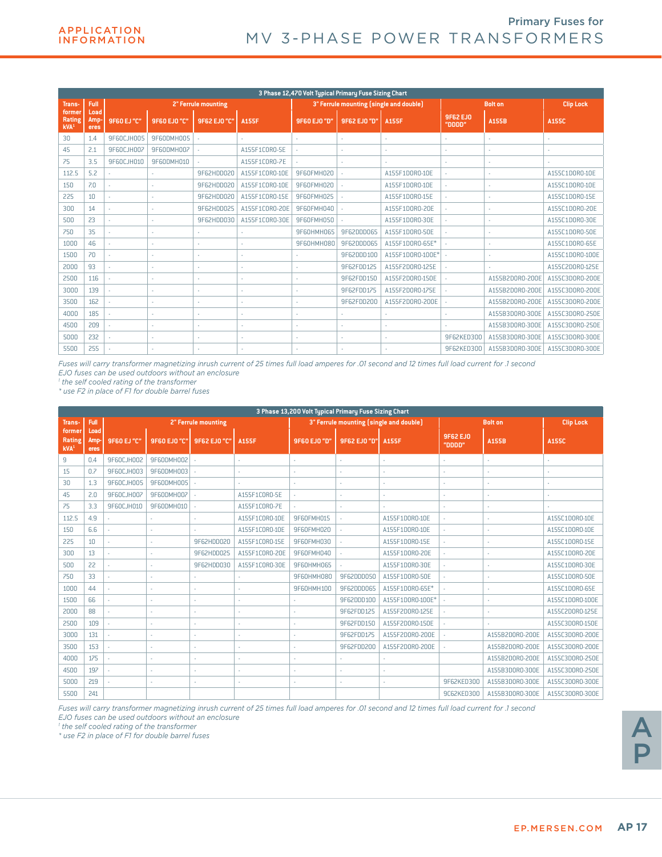|                                      |                      |             |              |                            |                | 3 Phase 12,470 Volt Typical Primary Fuse Sizing Chart |                                         |                  |                    |                 |                  |
|--------------------------------------|----------------------|-------------|--------------|----------------------------|----------------|-------------------------------------------------------|-----------------------------------------|------------------|--------------------|-----------------|------------------|
| Trans-                               | <b>Full</b>          |             |              | <b>2" Ferrule mounting</b> |                |                                                       | 3" Ferrule mounting (single and double) |                  |                    | <b>Bolt on</b>  | <b>Clip Lock</b> |
| former<br>Rating<br>KVA <sup>1</sup> | Load<br>Amp-<br>eres | 9F60 EJ "C" | 9F60 EJ0 "C" | 9F62 EJ0 "C"               | <b>A155F</b>   | 9F60 EJ0 "D"                                          | 9F62 EJ0 "D"                            | <b>A155F</b>     | 9F62 EJ0<br>"DDDD" | A155B           | A155C            |
| 30                                   | 1.4                  | 9F60CJH005  | 9F60DMH005   |                            | ä,             | ×.                                                    |                                         |                  |                    | ä,              |                  |
| 45                                   | 2.1                  | 9F60CJH007  | 9F60DMH007   |                            | A155F1CORO-5E  |                                                       |                                         |                  |                    |                 |                  |
| 75                                   | 3.5                  | 9F60CJH010  | 9F60DMH010   | ä,                         | A155F1C0R0-7E  |                                                       |                                         |                  | ٠                  | ٠               |                  |
| 112.5                                | 5.2                  |             |              | 9F62HDD020                 | A155F1C0R0-10E | 9F60FMH020                                            |                                         | A155F1D0R0-10E   | ÷.                 | ×.              | A155C1D0R0-10E   |
| 150                                  | 7.0                  |             |              | 9F62HDD020                 | A155F1C0R0-10E | 9F60FMH020                                            |                                         | A155F1D0R0-10E   | ÷.                 | ×.              | A155C1D0R0-10E   |
| 225                                  | 10                   |             |              | 9F62HDD020                 | A155F1C0R0-15E | 9F60FMH025                                            |                                         | A155F1D0R0-15E   | ä,                 | ٠               | A155C1D0R0-15E   |
| 300                                  | 14                   | ÷.          |              | 9F62HDD025                 | A155F1C0R0-20E | 9F60FMH040                                            |                                         | A155F1D0R0-20E   |                    | ×.              | A155C1D0R0-20E   |
| 500                                  | 23                   | ×.          |              | 9F62HDD030                 | A155F1C0R0-30E | 9F60FMH050                                            |                                         | A155F1D0R0-30F   |                    | ×.              | A155C1D0R0-30E   |
| 750                                  | 35                   | ×.          |              | ٠                          | ٠              | <b>9F60HMH065</b>                                     | 9F62DDD065                              | A155F1D0R0-50F   | ä,                 | ×.              | A155C1D0R0-50E   |
| 1000                                 | 46                   | ÷.          |              | ä,                         | ×.             | 9F60HMH080                                            | 9F62DDD065                              | A155F1D0R0-65E*  | ×.                 | ×.              | A155C1D0R0-65E   |
| 1500                                 | 70                   |             |              | ٠                          | ٠              |                                                       | 9F62DDD100                              | A155F1D0R0-100E* |                    |                 | A155C1D0R0-100E  |
| 2000                                 | 93                   |             |              | ٠                          | ٠              | ×.                                                    | 9F62FDD125                              | A155F2D0R0-125E  | ×.                 |                 | A155C2D0R0-125E  |
| 2500                                 | 116                  |             |              | ٠                          | ٠              |                                                       | 9F62FDD150                              | A155F2D0R0-150E  |                    | A155B2D0R0-200E | A155C3D0R0-200E  |
| 3000                                 | 139                  |             | ٠            | ×,                         | ×              | ٠                                                     | 9F62FDD175                              | A155F2D0R0-175E  | ÷.                 | A155B2D0R0-200E | A155C3D0R0-200E  |
| 3500                                 | 162                  |             |              | ٠                          | ×              |                                                       | 9F62FDD200                              | A155F2D0R0-200E  |                    | A155B2D0R0-200E | A155C3D0R0-200E  |
| 4000                                 | 185                  |             | ×            | ٠                          | ٠              | ٠                                                     |                                         |                  | ٠                  | A155B3D0R0-300E | A155C3D0R0-250E  |
| 4500                                 | 209                  |             | ٠            | ٠                          | ٠              | ×.                                                    | ÷.                                      | ٠                | ÷.                 | A155B3D0R0-300E | A155C3D0R0-250E  |
| 5000                                 | 232                  |             | ×            | ×.                         | ٠              | ٠                                                     | ٠                                       | ٠                | 9F62KED300         | A155B3D0R0-300E | A155C3D0R0-300E  |
| 5500                                 | 255                  |             |              |                            |                |                                                       |                                         |                  | 9F62KED300         | A155B3D0R0-300E | A155C3D0R0-300E  |

*Fuses will carry transformer magnetizing inrush current of 25 times full load amperes for .01 second and 12 times full load current for .1 second* 

*EJO fuses can be used outdoors without an enclosure* 

*1 the self cooled rating of the transformer* 

*\* use F2 in place of F1 for double barrel fuses*

|                                             |                      |             |              |                     |                | 3 Phase 13,200 Volt Tupical Primary Fuse Sizing Chart |              |                                         |                    |                 |                  |
|---------------------------------------------|----------------------|-------------|--------------|---------------------|----------------|-------------------------------------------------------|--------------|-----------------------------------------|--------------------|-----------------|------------------|
| Trans-                                      | Full                 |             |              | 2" Ferrule mounting |                |                                                       |              | 3" Ferrule mounting (single and double) |                    | <b>Bolt on</b>  | <b>Clip Lock</b> |
| formeı<br><b>Rating</b><br>kVA <sup>1</sup> | Load<br>Amp-<br>eres | 9F60 EJ "C" | 9F60 EJ0 "C" | 9F62 EJ0 "C"        | <b>A155F</b>   | 9F60 EJ0 "D"                                          | 9F62 EJ0 "D" | <b>A155F</b>                            | 9F62 EJ0<br>"DDDD" | A155B           | A155C            |
| 9                                           | 0.4                  | 9F60CJH002  | 9F60DMH002   |                     |                | ÷                                                     |              |                                         |                    |                 |                  |
| 15                                          | 0.7                  | 9F60CJH003  | 9F60DMH003   |                     |                |                                                       |              |                                         |                    |                 |                  |
| 30                                          | 1.3                  | 9F60CJH005  | 9F60DMH005   |                     |                |                                                       |              |                                         |                    |                 |                  |
| 45                                          | 2.0                  | 9F60CJH007  | 9F60DMH007   |                     | A155F1CORO-5E  |                                                       |              |                                         |                    |                 |                  |
| 75                                          | 3.3                  | 9F60CJH010  | 9F60DMH010   |                     | A155F1C0R0-7E  |                                                       |              |                                         |                    |                 |                  |
| 112.5                                       | 4.9                  |             |              | ä,                  | A155F1C0R0-10E | 9F60FMH015                                            |              | A155F1D0R0-10E                          | ÷.                 |                 | A155C1D0R0-10E   |
| 150                                         | 6.6                  |             | ٠            | ٠                   | A155F1C0R0-10E | 9F60FMH020                                            |              | A155F1D0R0-10E                          |                    |                 | A155C1D0R0-10E   |
| 225                                         | 10                   | ×.          | ٠            | 9F62HDD020          | A155F1C0R0-15E | 9F60FMH030                                            |              | A155F1D0R0-15E                          | ÷                  |                 | A155C1D0R0-15E   |
| 300                                         | 13                   |             | ٠            | 9F62HDD025          | A155F1C0R0-20E | 9F60FMH040                                            |              | A155F1D0R0-20E                          |                    |                 | A155C1D0R0-20E   |
| 500                                         | 22                   |             | ٠            | 9F62HDD030          | A155F1C0R0-30E | 9F60HMH065                                            |              | A155F1D0R0-30E                          |                    |                 | A155C1D0R0-30E   |
| 750                                         | 33                   |             | ٠            |                     |                | 9F60HMH080                                            | 9F62DDD050   | A155F1D0R0-50E                          |                    |                 | A155C1D0R0-50E   |
| 1000                                        | 44                   | ×.          | ٠            | ×                   |                | 9F60HMH100                                            | 9F62DDD065   | A155F1D0R0-65E*                         |                    |                 | A155C1D0R0-65E   |
| 1500                                        | 66                   |             | ٠            | ٠                   |                | ٠                                                     | 9F62DDD100   | A155F1D0R0-100E*                        |                    |                 | A155C1D0R0-100E  |
| 2000                                        | 88                   |             | ٠            | ٠                   |                | ٠                                                     | 9F62FDD125   | A155F2D0R0-125E                         |                    |                 | A155C2D0R0-125E  |
| 2500                                        | 109                  |             |              |                     |                |                                                       | 9F62FDD150   | A155F2D0R0-150E                         |                    |                 | A155C3D0R0-150E  |
| 3000                                        | 131                  |             |              |                     |                |                                                       | 9F62FDD175   | A155F2D0R0-200E                         |                    | A155B2D0R0-200E | A155C3D0R0-200E  |
| 3500                                        | 153                  |             |              |                     |                |                                                       | 9F62FDD200   | A155F2D0R0-200E                         |                    | A155B2D0R0-200E | A155C3D0R0-200E  |
| 4000                                        | 175                  |             | ٠            | ×                   |                |                                                       |              |                                         |                    | A155B2D0R0-200E | A155C3D0R0-250E  |
| 4500                                        | 197                  |             | ٠            | ×                   |                | ٠                                                     |              | ×                                       |                    | A155B3D0R0-300E | A155C3D0R0-250E  |
| 5000                                        | 219                  |             |              |                     |                | ٠                                                     |              | ٠                                       | 9F62KED300         | A155B3D0R0-300E | A155C3D0R0-300E  |
| 5500                                        | 241                  |             |              |                     |                |                                                       |              |                                         | 9C62KED300         | A155B3D0R0-300E | A155C3D0R0-300E  |

*Fuses will carry transformer magnetizing inrush current of 25 times full load amperes for .01 second and 12 times full load current for .1 second EJO fuses can be used outdoors without an enclosure*

*1 the self cooled rating of the transformer*

*\* use F2 in place of F1 for double barrel fuses*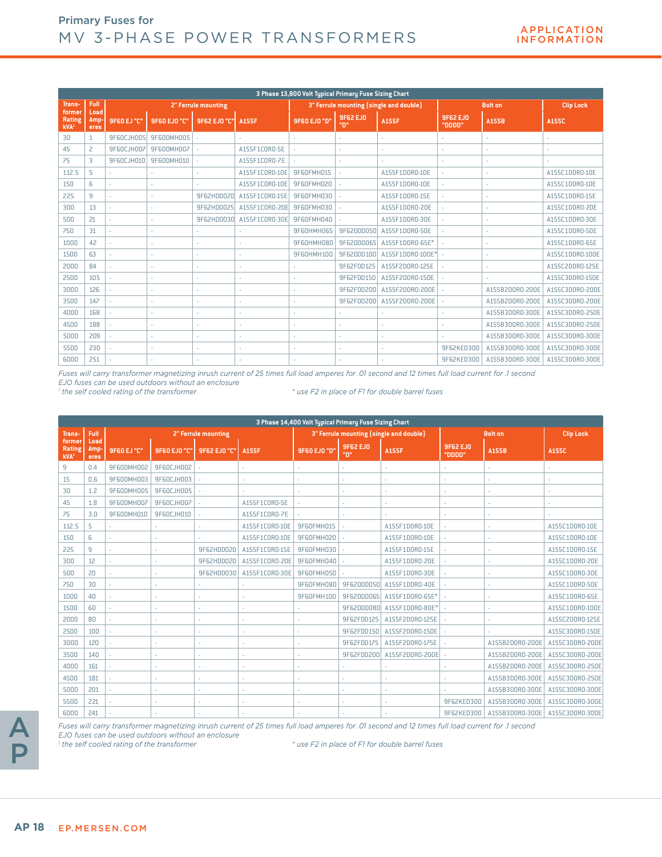|                                             |                      |             |                     |                     |                | 3 Phase 13,800 Volt Typical Primary Fuse Sizing Chart |                       |                                         |                    |                 |                  |
|---------------------------------------------|----------------------|-------------|---------------------|---------------------|----------------|-------------------------------------------------------|-----------------------|-----------------------------------------|--------------------|-----------------|------------------|
| Trans-                                      | Full                 |             |                     | 2" Ferrule mounting |                |                                                       |                       | 3" Ferrule mounting (single and double) |                    | <b>Bolt on</b>  | <b>Clip Lock</b> |
| former<br><b>Rating</b><br>kVA <sup>1</sup> | Load<br>Amp-<br>eres | 9F60 EJ "C" | <b>9F60 EJ0 "C"</b> | 9F62 EJ0 "C"        | <b>A155F</b>   | 9F60 EJ0 "D"                                          | <b>9F62 EJ0</b><br>"ח | <b>A155F</b>                            | 9F62 EJ0<br>"0000" | A155B           | A155C            |
| 30                                          |                      | 9F60CJH005  | 9F60DMH005          |                     |                |                                                       |                       |                                         |                    |                 |                  |
| 45                                          | 2                    | 9F60CJH007  | 9F60DMH007          |                     | A155F1CORO-5E  |                                                       |                       |                                         |                    |                 |                  |
| 75                                          | 3                    | 9F60CJH010  | 9F60DMH010          |                     | A155F1C0R0-7E  |                                                       | ×                     |                                         |                    |                 |                  |
| 112.5                                       | 5                    |             |                     |                     | A155F1C0R0-10E | 9F60FMH015                                            |                       | A155F1D0R0-10E                          |                    |                 | A155C1D0R0-10E   |
| 150                                         | 6                    | ×.          | ٠                   | ×.                  | A155F1C0R0-10E | 9F60FMH020                                            |                       | A155F1D0R0-10E                          |                    |                 | A155C1D0R0-10E   |
| 225                                         | 9                    |             |                     | 9F62HDD020          | A155F1C0R0-15E | 9F60FMH030                                            |                       | A155F1D0R0-15E                          |                    |                 | A155C1D0R0-15E   |
| 300                                         | 13                   |             |                     | 9F62HDD025          | A155F1C0R0-20E | 9F60FMH030                                            |                       | A155F1D0R0-20E                          |                    |                 | A155C1D0R0-20E   |
| 500                                         | 21                   |             |                     | 9F62HDD030          | A155F1C0R0-30E | 9F60FMH040                                            |                       | A155F1D0R0-30E                          |                    |                 | A155C1D0R0-30E   |
| 750                                         | 31                   |             |                     |                     |                | 9F60HMH065                                            | 9F62DDD050            | A155F1D0R0-50E                          |                    |                 | A155C1D0R0-50E   |
| 1000                                        | 42                   |             |                     |                     |                | 9F60HMH080                                            | 9F62DDD065            | A155F1D0R0-65E*                         |                    |                 | A155C1D0R0-65E   |
| 1500                                        | 63                   |             |                     |                     |                | 9F60HMH100                                            | 9F62DDD100            | A155F1D0R0-100E*                        |                    |                 | A155C1D0R0-100E  |
| 2000                                        | 84                   | ×.          | ٠                   | ×.                  | ÷.             | ×.                                                    | 9F62FDD125            | A155F2D0R0-125E                         |                    |                 | A155C2D0R0-125E  |
| 2500                                        | 105                  |             |                     |                     |                |                                                       | 9F62FDD150            | A155F2D0R0-150E                         |                    |                 | A155C3D0R0-150E  |
| 3000                                        | 126                  |             | ٠                   |                     |                |                                                       | 9F62FDD200            | A155F2D0R0-200E                         |                    | A155B2D0R0-200E | A155C3D0R0-200E  |
| 3500                                        | 147                  |             |                     |                     |                |                                                       | 9F62FDD200            | A155F2D0R0-200E                         |                    | A155B2D0R0-200E | A155C3D0R0-200E  |
| 4000                                        | 168                  |             | ٠                   |                     |                |                                                       |                       |                                         |                    | A155B3D0R0-300E | A155C3D0R0-250E  |
| 4500                                        | 188                  |             |                     |                     |                |                                                       |                       |                                         |                    | A155B3D0R0-300E | A155C3D0R0-250E  |
| 5000                                        | 209                  |             |                     | ٠                   | ٠              | ×.                                                    | ×                     | ٠                                       |                    | A155B3D0R0-300E | A155C3D0R0-300E  |
| 5500                                        | 230                  |             |                     |                     |                | ×.                                                    | ÷.                    | ٠                                       | 9F62KED300         | A155B3D0R0-300E | A155C3D0R0-300E  |
| 6000                                        | 251                  |             |                     |                     |                |                                                       |                       |                                         | 9F62KED300         | A155B3D0R0-300E | A155C3D0R0-300E  |

*Fuses will carry transformer magnetizing inrush current of 25 times full load amperes for .01 second and 12 times full load current for .1 second*

*EJO fuses can be used outdoors without an enclosure*

<sup>1</sup> the self cooled rating of the transformer

 *the self cooled rating of the transformer \* use F2 in place of F1 for double barrel fuses*

|                                      |                      |                   |              |                     |                | 3 Phase 14,400 Volt Typical Primary Fuse Sizing Chart |                        |                                         |                           |                 |                  |
|--------------------------------------|----------------------|-------------------|--------------|---------------------|----------------|-------------------------------------------------------|------------------------|-----------------------------------------|---------------------------|-----------------|------------------|
| Trans-                               | Full                 |                   |              | 2" Ferrule mounting |                |                                                       |                        | 3" Ferrule mounting (single and double) |                           | <b>Bolt on</b>  | <b>Clip Lock</b> |
| former<br>Rating<br>kVA <sup>1</sup> | Load<br>Amp-<br>eres | 9F60 EJ "C"       | 9F60 EJ0 "C" | 9F62 EJ0 "C"        | <b>A155F</b>   | 9F60 EJ0 "D"                                          | <b>9F62 EJO</b><br>"D" | <b>A155F</b>                            | <b>9F62 EJO</b><br>"DDDD" | A155B           | A155C            |
| 9                                    | 0.4                  | <b>9F60DMH002</b> | 9F60CJH002   |                     | ÷.             | $\sim$                                                |                        |                                         |                           |                 | ×                |
| 15                                   | 0.6                  | 9F60DMH003        | 9F60CJH003   |                     |                |                                                       |                        |                                         |                           |                 | ٠                |
| 30                                   | 1.2                  | 9F60DMH005        | 9F60CJH005   |                     |                |                                                       | ٠                      |                                         |                           |                 | ٠                |
| 45                                   | 1.8                  | 9F60DMH007        | 9F60CJH007   |                     | A155F1CORO-5E  |                                                       |                        |                                         |                           |                 |                  |
| 75                                   | 3.0                  | 9F60DMH010        | 9F60CJH010   |                     | A155F1C0R0-7E  |                                                       |                        |                                         |                           |                 |                  |
| 112.5                                | 5                    |                   |              |                     | A155F1C0R0-10E | 9F60FMH015                                            |                        | A155F1D0R0-10E                          |                           |                 | A155C1D0R0-10E   |
| 150                                  | 6                    |                   |              |                     | A155F1C0R0-10E | 9F60FMH020                                            |                        | A155F1D0R0-10E                          |                           |                 | A155C1D0R0-10E   |
| 225                                  | 9                    | ٠                 |              | 9F62HDD020          | A155F1C0R0-15E | 9F60FMH030                                            |                        | A155F1D0R0-15E                          |                           |                 | A155C1D0R0-15E   |
| 300                                  | 12                   |                   |              | 9F62HDD020          | A155F1C0R0-20E | 9F60FMH040                                            |                        | A155F1D0R0-20E                          |                           |                 | A155C1D0R0-20E   |
| 500                                  | 20                   | ٠                 | ×.           | 9F62HDD030          | A155F1C0R0-30E | 9F60FMH050                                            | ÷                      | A155F1D0R0-30F                          |                           |                 | A155C1D0R0-30E   |
| 750                                  | 30                   | ×.                | ×            | ×.                  |                | 9F60FMH080                                            | 9F62DDD050             | A155F1D0R0-40E                          |                           |                 | A155C1D0R0-50E   |
| 1000                                 | 40                   | ٠                 | ×.           | ×.                  | ٠              | 9F60FMH100                                            | 9F62DDD065             | A155F1D0R0-65E*                         |                           |                 | A155C1D0R0-65E   |
| 1500                                 | 60                   |                   | ٠            | ×.                  |                |                                                       | 9F62DDD080             | A155F1D0R0-80E*                         |                           |                 | A155C1D0R0-100E  |
| 2000                                 | 80                   |                   |              |                     |                |                                                       | 9F62FDD125             | A155F2D0R0-125E                         |                           |                 | A155C2D0R0-125E  |
| 2500                                 | 100                  |                   |              |                     |                |                                                       | 9F62FDD150             | A155F2D0R0-150E                         |                           |                 | A155C3D0R0-150E  |
| 3000                                 | 120                  |                   | ×.           | ×.                  |                |                                                       | 9F62FDD175             | A155F2D0R0-175E                         |                           | A155B2D0R0-200E | A155C3D0R0-200E  |
| 3500                                 | 140                  |                   |              |                     |                |                                                       | 9F62FDD200             | A155F2D0R0-200E                         |                           | A155B2D0R0-200E | A155C3D0R0-200E  |
| 4000                                 | 161                  | ×                 | ٠            |                     |                |                                                       |                        |                                         |                           | A155B2D0R0-200E | A155C3D0R0-250E  |
| 4500                                 | 181                  |                   |              |                     |                |                                                       |                        |                                         |                           | A155B3D0R0-300E | A155C3D0R0-250E  |
| 5000                                 | 201                  | ×                 | ٠            | ×.                  |                |                                                       |                        |                                         |                           | A155B3D0R0-300E | A155C3D0R0-300E  |
| 5500                                 | 221                  | ٠                 | ×.           | ×.                  | ×.             | <b>1979</b>                                           | $\sim$                 | ÷.                                      | 9F62KED300                | A155B3D0R0-300E | A155C3D0R0-300E  |
| 6000                                 | 241                  |                   |              |                     |                |                                                       |                        |                                         | 9F62KED300                | A155B3D0R0-300E | A155C3D0R0-300E  |



*Fuses will carry transformer magnetizing inrush current of 25 times full load amperes for .01 second and 12 times full load current for .1 second EJO fuses can be used outdoors without an enclosure*

<sup>1</sup> the self cooled rating of the transformer

 *the self cooled rating of the transformer \* use F2 in place of F1 for double barrel fuses*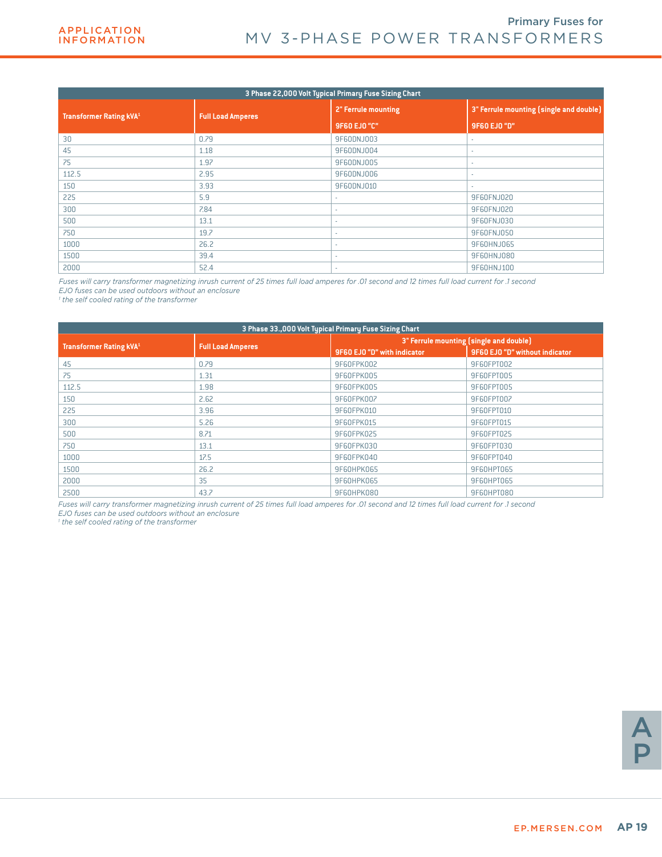|                                |                          | 3 Phase 22,000 Volt Typical Primary Fuse Sizing Chart |                                         |
|--------------------------------|--------------------------|-------------------------------------------------------|-----------------------------------------|
| <b>Transformer Rating kVA1</b> | <b>Full Load Amperes</b> | 2" Ferrule mounting                                   | 3" Ferrule mounting (single and double) |
|                                |                          | 9F60 EJ0 "C"                                          | 9F60 EJ0 "D"                            |
| 30                             | 0.79                     | 9F60DNJ003                                            |                                         |
| 45                             | 1.18                     | 9F60DNJ004                                            |                                         |
| 75                             | 1.97                     | 9F60DNJ005                                            | ٠                                       |
| 112.5                          | 2.95                     | 9F60DNJ006                                            |                                         |
| 150                            | 3.93                     | 9F60DNJ010                                            |                                         |
| 225                            | 5.9                      | ٠                                                     | 9F60FNJ020                              |
| 300                            | 7.84                     | ٠                                                     | 9F60FNJ020                              |
| 500                            | 13.1                     | ٠                                                     | 9F60FNJ030                              |
| 750                            | 19.7                     | ٠                                                     | 9F60FNJ050                              |
| 1000                           | 26.2                     | ٠                                                     | 9F60HNJ065                              |
| 1500                           | 39.4                     | ٠                                                     | 9F60HNJ080                              |
| 2000                           | 52.4                     | ٠                                                     | 9F60HNJ100                              |

*Fuses will carry transformer magnetizing inrush current of 25 times full load amperes for .01 second and 12 times full load current for .1 second EJO fuses can be used outdoors without an enclosure*

*1 the self cooled rating of the transformer*

|                                |                          | 3 Phase 33.,000 Volt Typical Primary Fuse Sizing Chart |                                         |
|--------------------------------|--------------------------|--------------------------------------------------------|-----------------------------------------|
|                                |                          |                                                        | 3" Ferrule mounting (single and double) |
| <b>Transformer Rating kVA1</b> | <b>Full Load Amperes</b> | 9F60 EJO "D" with indicator                            | 9F60 EJ0 "D" without indicator          |
| 45                             | 0.79                     | 9F60FPK002                                             | 9F60FPT002                              |
| 75                             | 1.31                     | 9F60FPK005                                             | 9F60FPT005                              |
| 112.5                          | 1.98                     | 9F60FPK005                                             | 9F60FPT005                              |
| 150                            | 2.62                     | 9F60FPK007                                             | 9F60FPT007                              |
| 225                            | 3.96                     | 9F60FPK010                                             | 9F60FPT010                              |
| 300                            | 5.26                     | 9F60FPK015                                             | 9F60FPT015                              |
| 500                            | 8.71                     | 9F60FPK025                                             | 9F60FPT025                              |
| 750                            | 13.1                     | 9F60FPK030                                             | 9F60FPT030                              |
| 1000                           | 17.5                     | 9F60FPK040                                             | 9F60FPT040                              |
| 1500                           | 26.2                     | 9F60HPK065                                             | 9F60HPT065                              |
| 2000                           | 35                       | 9F60HPK065                                             | 9F60HPT065                              |
| 2500                           | 43.7                     | 9F60HPK080                                             | 9F60HPT080                              |

*Fuses will carry transformer magnetizing inrush current of 25 times full load amperes for .01 second and 12 times full load current for .1 second EJO fuses can be used outdoors without an enclosure*

*1 the self cooled rating of the transformer*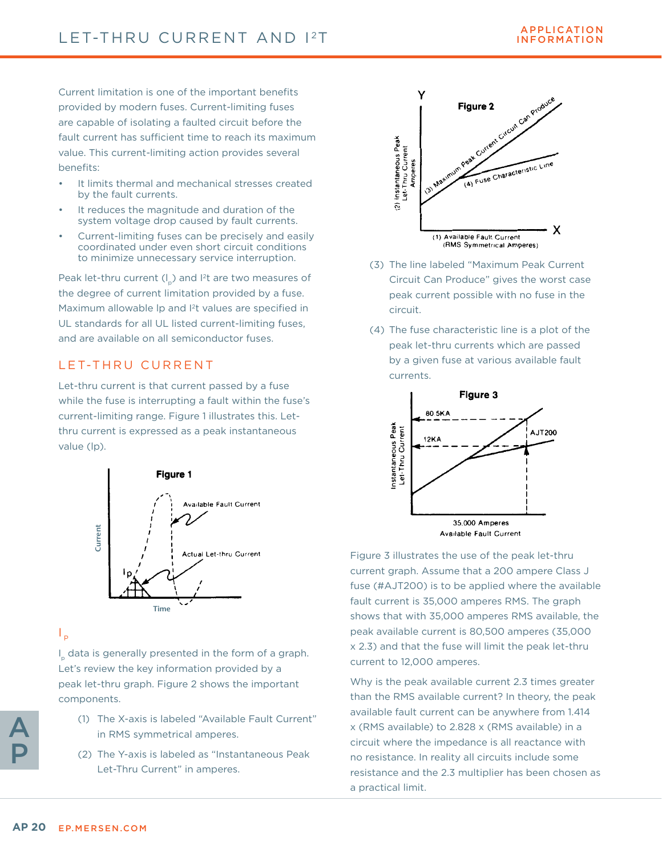Current limitation is one of the important benefits provided by modern fuses. Current-limiting fuses are capable of isolating a faulted circuit before the fault current has sufficient time to reach its maximum value. This current-limiting action provides several benefits:

- It limits thermal and mechanical stresses created by the fault currents.
- It reduces the magnitude and duration of the system voltage drop caused by fault currents.
- Current-limiting fuses can be precisely and easily coordinated under even short circuit conditions to minimize unnecessary service interruption.

Peak let-thru current  $(I_n)$  and I<sup>2</sup>t are two measures of the degree of current limitation provided by a fuse. Maximum allowable lp and <sup>2</sup>t values are specified in UL standards for all UL listed current-limiting fuses, and are available on all semiconductor fuses.

### LET-THRU CURRENT

Let-thru current is that current passed by a fuse while the fuse is interrupting a fault within the fuse's current-limiting range. Figure 1 illustrates this. Letthru current is expressed as a peak instantaneous value (lp).



 $\mathsf{I}_{\mathsf{p}}$ 

I p data is generally presented in the form of a graph. Let's review the key information provided by a peak let-thru graph. Figure 2 shows the important components.

- (1) The X-axis is labeled "Available Fault Current" in RMS symmetrical amperes.
- (2) The Y-axis is labeled as "Instantaneous Peak Let-Thru Current" in amperes.



- (3) The line labeled "Maximum Peak Current Circuit Can Produce" gives the worst case peak current possible with no fuse in the circuit.
- (4) The fuse characteristic line is a plot of the peak let-thru currents which are passed by a given fuse at various available fault currents.



Figure 3 illustrates the use of the peak let-thru current graph. Assume that a 200 ampere Class J fuse (#AJT200) is to be applied where the available fault current is 35,000 amperes RMS. The graph shows that with 35,000 amperes RMS available, the peak available current is 80,500 amperes (35,000 x 2.3) and that the fuse will limit the peak let-thru current to 12,000 amperes.

Why is the peak available current 2.3 times greater than the RMS available current? In theory, the peak available fault current can be anywhere from 1.414 x (RMS available) to 2.828 x (RMS available) in a circuit where the impedance is all reactance with no resistance. In reality all circuits include some resistance and the 2.3 multiplier has been chosen as a practical limit.

A

P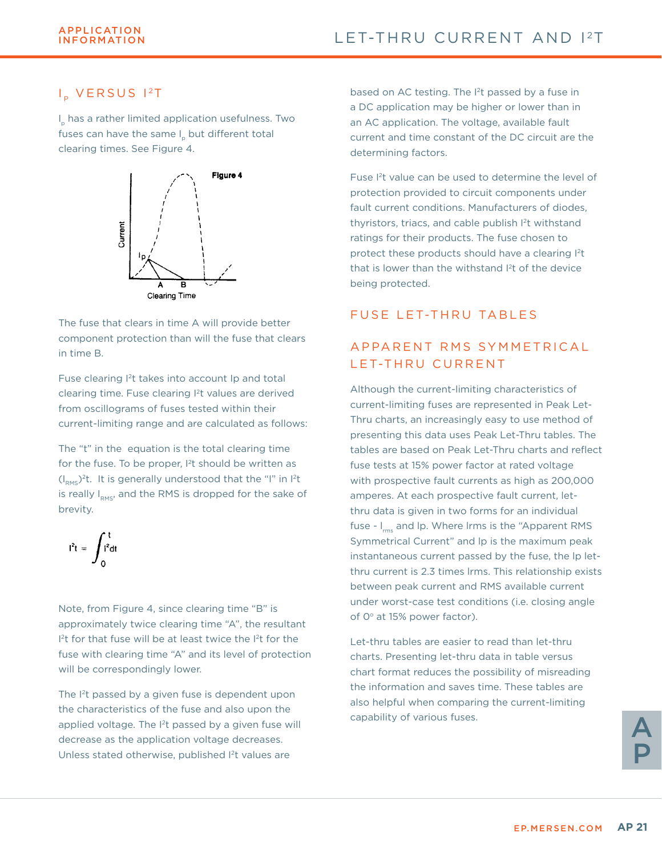### I<sub>n</sub> VERSUS 12T

I p has a rather limited application usefulness. Two fuses can have the same I but different total clearing times. See Figure 4.



The fuse that clears in time A will provide better component protection than will the fuse that clears in time B.

Fuse clearing I2t takes into account Ip and total clearing time. Fuse clearing I2t values are derived from oscillograms of fuses tested within their current-limiting range and are calculated as follows:

The "t" in the equation is the total clearing time for the fuse. To be proper,  $1<sup>2</sup>$ t should be written as  $(I<sub>PMS</sub>)<sup>2</sup>t$ . It is generally understood that the "I" in I<sup>2</sup>t is really  $I_{RMS}$ , and the RMS is dropped for the sake of brevity.

$$
I^{2}t = \int_{0}^{t} I^{2}dt
$$

Note, from Figure 4, since clearing time "B" is approximately twice clearing time "A", the resultant  $I<sup>2</sup>t$  for that fuse will be at least twice the  $I<sup>2</sup>t$  for the fuse with clearing time "A" and its level of protection will be correspondingly lower.

The I<sup>2</sup>t passed by a given fuse is dependent upon the characteristics of the fuse and also upon the applied voltage. The <sup>2</sup>t passed by a given fuse will decrease as the application voltage decreases. Unless stated otherwise, published I<sup>2</sup>t values are

based on AC testing. The <sup>2</sup>t passed by a fuse in a DC application may be higher or lower than in an AC application. The voltage, available fault current and time constant of the DC circuit are the determining factors.

Fuse I2t value can be used to determine the level of protection provided to circuit components under fault current conditions. Manufacturers of diodes, thyristors, triacs, and cable publish I2t withstand ratings for their products. The fuse chosen to protect these products should have a clearing <sup>2</sup>t that is lower than the withstand I<sup>2</sup>t of the device being protected.

### FUSE LET-THRU TABLES

### A P P A R F N T R M S S Y M M F T R I C A L LET-THRU CURRENT

Although the current-limiting characteristics of current-limiting fuses are represented in Peak Let-Thru charts, an increasingly easy to use method of presenting this data uses Peak Let-Thru tables. The tables are based on Peak Let-Thru charts and reflect fuse tests at 15% power factor at rated voltage with prospective fault currents as high as 200,000 amperes. At each prospective fault current, letthru data is given in two forms for an individual fuse -  $I_{rms}$  and lp. Where lrms is the "Apparent RMS Symmetrical Current" and lp is the maximum peak instantaneous current passed by the fuse, the lp letthru current is 2.3 times lrms. This relationship exists between peak current and RMS available current under worst-case test conditions (i.e. closing angle of  $0^\circ$  at 15% power factor).

Let-thru tables are easier to read than let-thru charts. Presenting let-thru data in table versus chart format reduces the possibility of misreading the information and saves time. These tables are also helpful when comparing the current-limiting capability of various fuses.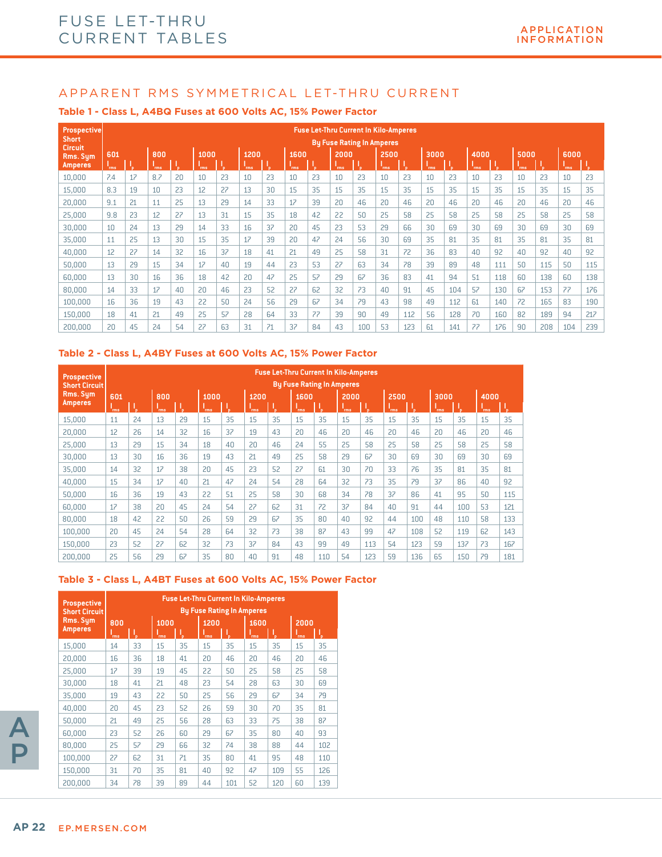#### **Table 1 - Class L, A4BQ Fuses at 600 Volts AC, 15% Power Factor**

| <b>Prospective</b>             |      |    |            |     |            |    |            |    |      |    |      | <b>Fuse Let-Thru Current In Kilo-Amperes</b> |            |     |            |     |            |     |            |     |            |     |
|--------------------------------|------|----|------------|-----|------------|----|------------|----|------|----|------|----------------------------------------------|------------|-----|------------|-----|------------|-----|------------|-----|------------|-----|
| <b>Short</b><br><b>Circuit</b> |      |    |            |     |            |    |            |    |      |    |      | <b>By Fuse Rating In Amperes</b>             |            |     |            |     |            |     |            |     |            |     |
| Rms. Sum                       | 601  |    | 800        |     | 1000       |    | 1200       |    | 1600 |    | 2000 |                                              | 2500       |     | 3000       |     | 4000       |     | 5000       |     | 6000       |     |
| <b>Amperes</b>                 | 'rms | ٠. | <b>Tms</b> | 'n. | <b>Tms</b> | 'n | <b>rms</b> |    | rms  |    | 'rms |                                              | <b>Tms</b> | ĩв. | <b>Tms</b> | 'n. | <b>Tms</b> | ι.  | <b>rms</b> | ĩв. | <b>rms</b> | V   |
| 10,000                         | 7.4  | 17 | 8.7        | 20  | 10         | 23 | 10         | 23 | 10   | 23 | 10   | 23                                           | 10         | 23  | 10         | 23  | 10         | 23  | 10         | 23  | 10         | 23  |
| 15,000                         | 8.3  | 19 | 10         | 23  | 12         | 27 | 13         | 30 | 15   | 35 | 15   | 35                                           | 15         | 35  | 15         | 35  | 15         | 35  | 15         | 35  | 15         | 35  |
| 20,000                         | 9.1  | 21 | 11         | 25  | 13         | 29 | 14         | 33 | 17   | 39 | 20   | 46                                           | 20         | 46  | 20         | 46  | 20         | 46  | 20         | 46  | 20         | 46  |
| 25,000                         | 9.8  | 23 | 12         | 27  | 13         | 31 | 15         | 35 | 18   | 42 | 22   | 50                                           | 25         | 58  | 25         | 58  | 25         | 58  | 25         | 58  | 25         | 58  |
| 30.000                         | 10   | 24 | 13         | 29  | 14         | 33 | 16         | 37 | 20   | 45 | 23   | 53                                           | 29         | 66  | 30         | 69  | 30         | 69  | 30         | 69  | 30         | 69  |
| 35,000                         | 11   | 25 | 13         | 30  | 15         | 35 | 17         | 39 | 20   | 47 | 24   | 56                                           | 30         | 69  | 35         | 81  | 35         | 81  | 35         | 81  | 35         | 81  |
| 40,000                         | 12   | 27 | 14         | 32  | 16         | 37 | 18         | 41 | 21   | 49 | 25   | 58                                           | 31         | 72  | 36         | 83  | 40         | 92  | 40         | 92  | 40         | 92  |
| 50.000                         | 13   | 29 | 15         | 34  | 17         | 40 | 19         | 44 | 23   | 53 | 27   | 63                                           | 34         | 78  | 39         | 89  | 48         | 111 | 50         | 115 | 50         | 115 |
| 60,000                         | 13   | 30 | 16         | 36  | 18         | 42 | 20         | 47 | 25   | 57 | 29   | 67                                           | 36         | 83  | 41         | 94  | 51         | 118 | 60         | 138 | 60         | 138 |
| 80,000                         | 14   | 33 | 17         | 40  | 20         | 46 | 23         | 52 | 27   | 62 | 32   | 73                                           | 40         | 91  | 45         | 104 | 57         | 130 | 67         | 153 | 77         | 176 |
| 100,000                        | 16   | 36 | 19         | 43  | 22         | 50 | 24         | 56 | 29   | 67 | 34   | 79                                           | 43         | 98  | 49         | 112 | 61         | 140 | 72         | 165 | 83         | 190 |
| 150,000                        | 18   | 41 | 21         | 49  | 25         | 57 | 28         | 64 | 33   | 77 | 39   | 90                                           | 49         | 112 | 56         | 128 | 70         | 160 | 82         | 189 | 94         | 217 |
| 200.000                        | 20   | 45 | 24         | 54  | 27         | 63 | 31         | 71 | 37   | 84 | 43   | 100                                          | 53         | 123 | 61         | 141 | 77         | 176 | 90         | 208 | 104        | 239 |

#### **Table 2 - Class L, A4BY Fuses at 600 Volts AC, 15% Power Factor**

| <b>Prospective</b><br><b>Short Circuit</b> |             |    |             |    |                    |     |              |     |                    | <b>Fuse Let-Thru Current In Kilo-Amperes</b><br><b>By Fuse Rating In Amperes</b> |                    |     |                    |     |                    |     |                    |     |
|--------------------------------------------|-------------|----|-------------|----|--------------------|-----|--------------|-----|--------------------|----------------------------------------------------------------------------------|--------------------|-----|--------------------|-----|--------------------|-----|--------------------|-----|
| Rms. Sym<br><b>Amperes</b>                 | 601<br>`rms | Т, | 800<br>`rms | Τ. | 1000<br><b>Tms</b> | ĩв. | 1200<br>`rms | ĩв. | 1600<br><b>Tms</b> | V                                                                                | 2000<br><b>Tms</b> | ď   | 2500<br><b>Tms</b> |     | 3000<br><b>rms</b> | ι,  | 4000<br><b>Tms</b> | ٠,  |
| 15,000                                     | 11          | 24 | 13          | 29 | 15                 | 35  | 15           | 35  | 15                 | 35                                                                               | 15                 | 35  | 15                 | 35  | 15                 | 35  | 15                 | 35  |
| 20,000                                     | 12          | 26 | 14          | 32 | 16                 | 37  | 19           | 43  | 20                 | 46                                                                               | 20                 | 46  | 20                 | 46  | 20                 | 46  | 20                 | 46  |
| 25,000                                     | 13          | 29 | 15          | 34 | 18                 | 40  | 20           | 46  | 24                 | 55                                                                               | 25                 | 58  | 25                 | 58  | 25                 | 58  | 25                 | 58  |
| 30,000                                     | 13          | 30 | 16          | 36 | 19                 | 43  | 21           | 49  | 25                 | 58                                                                               | 29                 | 67  | 30                 | 69  | 30                 | 69  | 30                 | 69  |
| 35,000                                     | 14          | 32 | 17          | 38 | 20                 | 45  | 23           | 52  | 27                 | 61                                                                               | 30                 | 70  | 33                 | 76  | 35                 | 81  | 35                 | 81  |
| 40,000                                     | 15          | 34 | 17          | 40 | 21                 | 47  | 24           | 54  | 28                 | 64                                                                               | 32                 | 73  | 35                 | 79  | 37                 | 86  | 40                 | 92  |
| 50,000                                     | 16          | 36 | 19          | 43 | 22                 | 51  | 25           | 58  | 30                 | 68                                                                               | 34                 | 78  | 37                 | 86  | 41                 | 95  | 50                 | 115 |
| 60.000                                     | 17          | 38 | 20          | 45 | 24                 | 54  | 27           | 62  | 31                 | 72                                                                               | 37                 | 84  | 40                 | 91  | 44                 | 100 | 53                 | 121 |
| 80,000                                     | 18          | 42 | 22          | 50 | 26                 | 59  | 29           | 67  | 35                 | 80                                                                               | 40                 | 92  | 44                 | 100 | 48                 | 110 | 58                 | 133 |
| 100,000                                    | 20          | 45 | 24          | 54 | 28                 | 64  | 32           | 73  | 38                 | 87                                                                               | 43                 | 99  | 47                 | 108 | 52                 | 119 | 62                 | 143 |
| 150.000                                    | 23          | 52 | 27          | 62 | 32                 | 73  | 37           | 84  | 43                 | 99                                                                               | 49                 | 113 | 54                 | 123 | 59                 | 137 | 73                 | 167 |
| 200.000                                    | 25          | 56 | 29          | 67 | 35                 | 80  | 40           | 91  | 48                 | 110                                                                              | 54                 | 123 | 59                 | 136 | 65                 | 150 | 79                 | 181 |

#### **Table 3 - Class L, A4BT Fuses at 600 Volts AC, 15% Power Factor**

| <b>Prospective</b><br><b>Short Circuit</b> |                                    |    |              |    |                    |     | <b>Fuse Let-Thru Current In Kilo-Amperes</b><br><b>By Fuse Rating In Amperes</b> |     |                    |     |
|--------------------------------------------|------------------------------------|----|--------------|----|--------------------|-----|----------------------------------------------------------------------------------|-----|--------------------|-----|
| Rms. Sym<br><b>Amperes</b>                 | 800<br>$\mathsf{l}_{\mathsf{rms}}$ | ı, | 1000<br>'rms | V. | 1200<br><b>Tms</b> | ι,  | 1600<br>`rms                                                                     | μ,  | 2000<br><b>Tms</b> | Τ,  |
| 15,000                                     | 14                                 | 33 | 15           | 35 | 15                 | 35  | 15                                                                               | 35  | 15                 | 35  |
| 20,000                                     | 16                                 | 36 | 18           | 41 | 20                 | 46  | 20                                                                               | 46  | 20                 | 46  |
| 25.000                                     | 17                                 | 39 | 19           | 45 | 22                 | 50  | 25                                                                               | 58  | 25                 | 58  |
| 30,000                                     | 18                                 | 41 | 21           | 48 | 23                 | 54  | 28                                                                               | 63  | 30                 | 69  |
| 35,000                                     | 19                                 | 43 | 22           | 50 | 25                 | 56  | 29                                                                               | 67  | 34                 | 79  |
| 40.000                                     | 20                                 | 45 | 23           | 52 | 26                 | 59  | 30                                                                               | 70  | 35                 | 81  |
| 50.000                                     | 21                                 | 49 | 25           | 56 | 28                 | 63  | 33                                                                               | 75  | 38                 | 87  |
| 60,000                                     | 23                                 | 52 | 26           | 60 | 29                 | 67  | 35                                                                               | 80  | 40                 | 93  |
| 80.000                                     | 25                                 | 57 | 29           | 66 | 32                 | 74  | 38                                                                               | 88  | 44                 | 102 |
| 100,000                                    | 27                                 | 62 | 31           | 71 | 35                 | 80  | 41                                                                               | 95  | 48                 | 110 |
| 150,000                                    | 31                                 | 70 | 35           | 81 | 40                 | 92  | 47                                                                               | 109 | 55                 | 126 |
| 200.000                                    | 34                                 | 78 | 39           | 89 | 44                 | 101 | 52                                                                               | 120 | 60                 | 139 |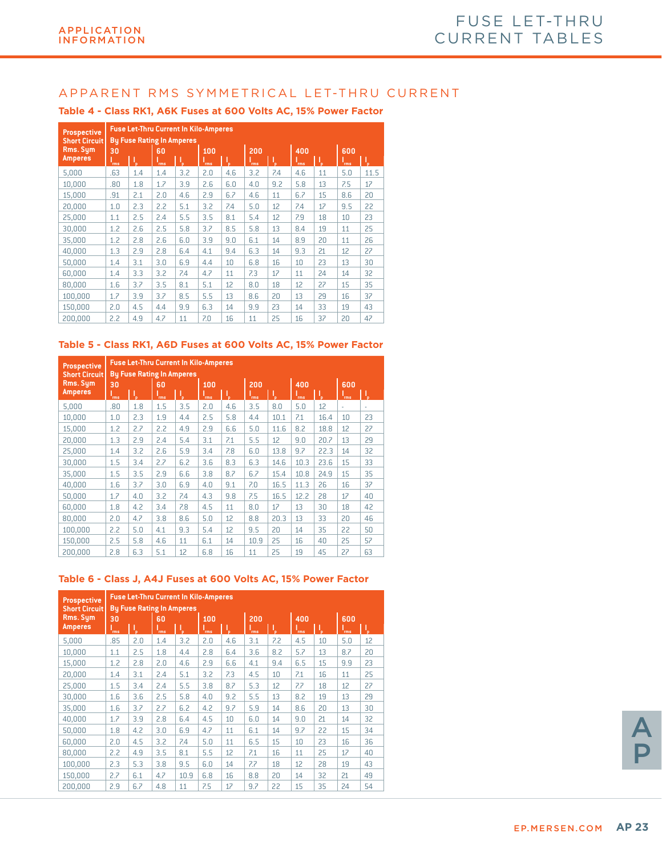| <b>Prospective</b><br><b>Short Circuit</b> |     | <b>Fuse Let-Thru Current In Kilo-Amperes</b><br><b>By Fuse Rating In Amperes</b> |      |     |            |     |     |     |      |    |      |      |
|--------------------------------------------|-----|----------------------------------------------------------------------------------|------|-----|------------|-----|-----|-----|------|----|------|------|
| Rms. Sym                                   | 30  |                                                                                  | 60   |     | 100        |     | 200 |     | 400  |    | 600  |      |
| <b>Amperes</b>                             | 'ms | ₩                                                                                | 'rms | J,  | <b>Ims</b> | ı,  | ms  | ₿   | 'rms | Ą. | 'rms | V.   |
| 5,000                                      | .63 | 1.4                                                                              | 1.4  | 3.2 | 2.0        | 4.6 | 3.2 | 7.4 | 4.6  | 11 | 5.0  | 11.5 |
| 10,000                                     | .80 | 1.8                                                                              | 1.7  | 3.9 | 2.6        | 6.0 | 4.0 | 9.2 | 5.8  | 13 | 7.5  | 17   |
| 15,000                                     | .91 | 2.1                                                                              | 2.0  | 4.6 | 2.9        | 6.7 | 4.6 | 11  | 6.7  | 15 | 8.6  | 20   |
| 20,000                                     | 1.0 | 2.3                                                                              | 2.2  | 5.1 | 3.2        | 7.4 | 5.0 | 12  | 7.4  | 17 | 9.5  | 22   |
| 25,000                                     | 1.1 | 2.5                                                                              | 2.4  | 5.5 | 3.5        | 8.1 | 5.4 | 12  | 7.9  | 18 | 10   | 23   |
| 30,000                                     | 1.2 | 2.6                                                                              | 2.5  | 5.8 | 3.7        | 8.5 | 5.8 | 13  | 8.4  | 19 | 11   | 25   |
| 35,000                                     | 1.2 | 2.8                                                                              | 2.6  | 6.0 | 3.9        | 9.0 | 6.1 | 14  | 8.9  | 20 | 11   | 26   |
| 40,000                                     | 1.3 | 2.9                                                                              | 2.8  | 6.4 | 4.1        | 9.4 | 6.3 | 14  | 9.3  | 21 | 12   | 27   |
| 50,000                                     | 1.4 | 3.1                                                                              | 3.0  | 6.9 | 4.4        | 10  | 6.8 | 16  | 10   | 23 | 13   | 30   |
| 60,000                                     | 1.4 | 3.3                                                                              | 3.2  | 7.4 | 4.7        | 11  | 7.3 | 17  | 11   | 24 | 14   | 32   |
| 80,000                                     | 1.6 | 3.7                                                                              | 3.5  | 8.1 | 5.1        | 12  | 8.0 | 18  | 12   | 27 | 15   | 35   |
| 100.000                                    | 1.7 | 3.9                                                                              | 3.7  | 8.5 | 5.5        | 13  | 8.6 | 20  | 13   | 29 | 16   | 37   |
| 150,000                                    | 2.0 | 4.5                                                                              | 4.4  | 9.9 | 6.3        | 14  | 9.9 | 23  | 14   | 33 | 19   | 43   |
| 200,000                                    | 2.2 | 4.9                                                                              | 4.7  | 11  | 7.0        | 16  | 11  | 25  | 16   | 37 | 20   | 47   |

#### **Table 4 - Class RK1, A6K Fuses at 600 Volts AC, 15% Power Factor**

#### **Table 5 - Class RK1, A6D Fuses at 600 Volts AC, 15% Power Factor**

| <b>Prospective</b><br><b>Short Circuit</b> |      | <b>By Fuse Rating In Amperes</b> |            | <b>Fuse Let-Thru Current In Kilo-Amperes</b> |            |     |            |      |            |      |            |    |
|--------------------------------------------|------|----------------------------------|------------|----------------------------------------------|------------|-----|------------|------|------------|------|------------|----|
| Rms. Sym                                   | 30   |                                  | 60         |                                              | 100        |     | 200        |      | 400        |      | 600        |    |
| <b>Amperes</b>                             | `rms | I,                               | <b>Tms</b> | ι,                                           | <b>rms</b> | Τ,  | <b>rms</b> |      | <b>rms</b> | μ,   | <b>Tms</b> | J, |
| 5,000                                      | .80  | 1.8                              | 1.5        | 3.5                                          | 2.0        | 4.6 | 3.5        | 8.0  | 5.0        | 12   | ٠          | ٠  |
| 10,000                                     | 1.0  | 2.3                              | 1.9        | 4.4                                          | 2.5        | 5.8 | 4.4        | 10.1 | 7.1        | 16.4 | 10         | 23 |
| 15.000                                     | 1.2  | 2.7                              | 2.2        | 4.9                                          | 2.9        | 6.6 | 5.0        | 11.6 | 8.2        | 18.8 | 12         | 27 |
| 20,000                                     | 1.3  | 2.9                              | 2.4        | 5.4                                          | 3.1        | 7.1 | 5.5        | 12   | 9.0        | 20.7 | 13         | 29 |
| 25,000                                     | 1.4  | 3.2                              | 2.6        | 5.9                                          | 3.4        | 7.8 | 6.0        | 13.8 | 9.7        | 22.3 | 14         | 32 |
| 30.000                                     | 1.5  | 3.4                              | 2.7        | 6.2                                          | 3.6        | 8.3 | 6.3        | 14.6 | 10.3       | 23.6 | 15         | 33 |
| 35,000                                     | 1.5  | 3.5                              | 2.9        | 6.6                                          | 3.8        | 8.7 | 6.7        | 15.4 | 10.8       | 24.9 | 15         | 35 |
| 40,000                                     | 1.6  | 3.7                              | 3.0        | 6.9                                          | 4.0        | 9.1 | 7.0        | 16.5 | 11.3       | 26   | 16         | 37 |
| 50.000                                     | 1.7  | 4.0                              | 3.2        | 7.4                                          | 4.3        | 9.8 | 7.5        | 16.5 | 12.2       | 28   | 17         | 40 |
| 60,000                                     | 1.8  | 4.2                              | 3.4        | 7.8                                          | 4.5        | 11  | 8.0        | 17   | 13         | 30   | 18         | 42 |
| 80.000                                     | 2.0  | 4.7                              | 3.8        | 8.6                                          | 5.0        | 12  | 8.8        | 20.3 | 13         | 33   | 20         | 46 |
| 100.000                                    | 2.2  | 5.0                              | 4.1        | 9.3                                          | 5.4        | 12  | 9.5        | 20   | 14         | 35   | 22         | 50 |
| 150,000                                    | 2.5  | 5.8                              | 4.6        | 11                                           | 6.1        | 14  | 10.9       | 25   | 16         | 40   | 25         | 57 |
| 200.000                                    | 2.8  | 6.3                              | 5.1        | 12                                           | 6.8        | 16  | 11         | 25   | 19         | 45   | 27         | 63 |

#### **Table 6 - Class J, A4J Fuses at 600 Volts AC, 15% Power Factor**

| <b>Prospective</b><br><b>Short Circuit</b> |            | <b>Fuse Let-Thru Current In Kilo-Amperes</b><br><b>By Fuse Rating In Amperes</b> |            |      |            |     |            |     |      |    |            |    |
|--------------------------------------------|------------|----------------------------------------------------------------------------------|------------|------|------------|-----|------------|-----|------|----|------------|----|
| Rms. Sum<br><b>Amperes</b>                 | 30         |                                                                                  | 60         |      | 100        |     | 200        |     | 400  |    | 600        |    |
|                                            | <b>Tms</b> |                                                                                  | <b>Tms</b> | ď    | <b>Tms</b> | V.  | <b>Tms</b> | Ţ,  | `rms | Ţ, | <b>Tms</b> | V, |
| 5,000                                      | .85        | 2.0                                                                              | 1.4        | 3.2  | 2.0        | 4.6 | 3.1        | 7.2 | 4.5  | 10 | 5.0        | 12 |
| 10,000                                     | 1.1        | 2.5                                                                              | 1.8        | 4.4  | 2.8        | 6.4 | 3.6        | 8.2 | 5.7  | 13 | 8.7        | 20 |
| 15,000                                     | 1.2        | 2.8                                                                              | 2.0        | 4.6  | 2.9        | 6.6 | 4.1        | 9.4 | 6.5  | 15 | 9.9        | 23 |
| 20,000                                     | 1.4        | 3.1                                                                              | 2.4        | 5.1  | 3.2        | 7.3 | 4.5        | 10  | 7.1  | 16 | 11         | 25 |
| 25,000                                     | 1.5        | 3.4                                                                              | 2.4        | 5.5  | 3.8        | 8.7 | 5.3        | 12  | 7.7  | 18 | 12         | 27 |
| 30,000                                     | 1.6        | 3.6                                                                              | 2.5        | 5.8  | 4.0        | 9.2 | 5.5        | 13  | 8.2  | 19 | 13         | 29 |
| 35,000                                     | 1.6        | 3.7                                                                              | 2.7        | 6.2  | 4.2        | 9.7 | 5.9        | 14  | 8.6  | 20 | 13         | 30 |
| 40,000                                     | 1.7        | 3.9                                                                              | 2.8        | 6.4  | 4.5        | 10  | 6.0        | 14  | 9.0  | 21 | 14         | 32 |
| 50,000                                     | 1.8        | 4.2                                                                              | 3.0        | 6.9  | 4.7        | 11  | 6.1        | 14  | 9.7  | 22 | 15         | 34 |
| 60,000                                     | 2.0        | 4.5                                                                              | 3.2        | 7.4  | 5.0        | 11  | 6.5        | 15  | 10   | 23 | 16         | 36 |
| 80,000                                     | 2.2        | 4.9                                                                              | 3.5        | 8.1  | 5.5        | 12  | 7.1        | 16  | 11   | 25 | 17         | 40 |
| 100.000                                    | 2.3        | 5.3                                                                              | 3.8        | 9.5  | 6.0        | 14  | 7.7        | 18  | 12   | 28 | 19         | 43 |
| 150.000                                    | 2.7        | 6.1                                                                              | 4.7        | 10.9 | 6.8        | 16  | 8.8        | 20  | 14   | 32 | 21         | 49 |
| 200.000                                    | 2.9        | 6.7                                                                              | 4.8        | 11   | 7.5        | 17  | 9.7        | 22  | 15   | 35 | 24         | 54 |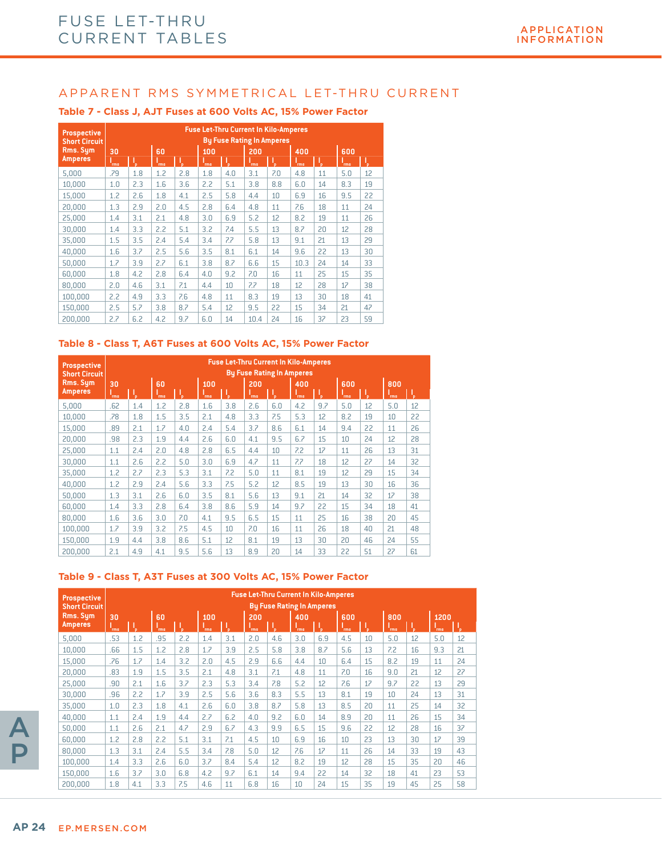| <b>Prospective</b><br><b>Short Circuit</b> |            |     |            |     |     |     | <b>Fuse Let-Thru Current In Kilo-Amperes</b><br><b>By Fuse Rating In Amperes</b> |     |            |    |            |    |
|--------------------------------------------|------------|-----|------------|-----|-----|-----|----------------------------------------------------------------------------------|-----|------------|----|------------|----|
| Rms. Sym                                   | 30         |     | 60         |     | 100 |     | 200                                                                              |     | 400        |    | 600        |    |
| <b>Amperes</b>                             | <b>Tms</b> | ۱.  | <b>rms</b> | ₩   | rms | ۱.  | rms                                                                              | Т,  | <b>rms</b> | W  | <b>Tms</b> | l, |
| 5,000                                      | .79        | 1.8 | 1.2        | 2.8 | 1.8 | 4.0 | 3.1                                                                              | 7.0 | 4.8        | 11 | 5.0        | 12 |
| 10.000                                     | 1.0        | 2.3 | 1.6        | 3.6 | 2.2 | 5.1 | 3.8                                                                              | 8.8 | 6.0        | 14 | 8.3        | 19 |
| 15,000                                     | 1.2        | 2.6 | 1.8        | 4.1 | 2.5 | 5.8 | 4.4                                                                              | 10  | 6.9        | 16 | 9.5        | 22 |
| 20,000                                     | 1.3        | 2.9 | 2.0        | 4.5 | 2.8 | 6.4 | 4.8                                                                              | 11  | 7.6        | 18 | 11         | 24 |
| 25,000                                     | 1.4        | 3.1 | 2.1        | 4.8 | 3.0 | 6.9 | 5.2                                                                              | 12  | 8.2        | 19 | 11         | 26 |
| 30,000                                     | 1.4        | 3.3 | 2.2        | 5.1 | 3.2 | 7.4 | 5.5                                                                              | 13  | 8.7        | 20 | 12         | 28 |
| 35,000                                     | 1.5        | 3.5 | 2.4        | 5.4 | 3.4 | 7.7 | 5.8                                                                              | 13  | 9.1        | 21 | 13         | 29 |
| 40.000                                     | 1.6        | 3.7 | 2.5        | 5.6 | 3.5 | 8.1 | 6.1                                                                              | 14  | 9.6        | 22 | 13         | 30 |
| 50,000                                     | 1.7        | 3.9 | 2.7        | 6.1 | 3.8 | 8.7 | 6.6                                                                              | 15  | 10.3       | 24 | 14         | 33 |
| 60,000                                     | 1.8        | 4.2 | 2.8        | 6.4 | 4.0 | 9.2 | 7.0                                                                              | 16  | 11         | 25 | 15         | 35 |
| 80,000                                     | 2.0        | 4.6 | 3.1        | 7.1 | 4.4 | 10  | 7.7                                                                              | 18  | 12         | 28 | 17         | 38 |
| 100.000                                    | 2.2        | 4.9 | 3.3        | 7.6 | 4.8 | 11  | 8.3                                                                              | 19  | 13         | 30 | 18         | 41 |
| 150.000                                    | 2.5        | 5.7 | 3.8        | 8.7 | 5.4 | 12  | 9.5                                                                              | 22  | 15         | 34 | 21         | 47 |
| 200.000                                    | 2.7        | 6.2 | 4.2        | 9.7 | 6.0 | 14  | 10.4                                                                             | 24  | 16         | 37 | 23         | 59 |

#### **Table 7 - Class J, AJT Fuses at 600 Volts AC, 15% Power Factor**

#### **Table 8 - Class T, A6T Fuses at 600 Volts AC, 15% Power Factor**

| Prospective<br><b>Short Circuit</b> |      |     |            |     |            |     |            |     | <b>Fuse Let-Thru Current In Kilo-Amperes</b><br><b>By Fuse Rating In Amperes</b> |     |            |    |     |    |
|-------------------------------------|------|-----|------------|-----|------------|-----|------------|-----|----------------------------------------------------------------------------------|-----|------------|----|-----|----|
| Rms. Sum                            | 30   |     | 60         |     | 100        |     | 200        |     | 400                                                                              |     | 600        |    | 800 |    |
| <b>Amperes</b>                      | `rms |     | <b>Tms</b> | Ţ,  | <b>Tms</b> | W   | <b>Tms</b> | Ţ,  | <b>Tms</b>                                                                       | Ч.  | <b>Tms</b> | Τ, | rms | μ, |
| 5.000                               | .62  | 1.4 | 1.2        | 2.8 | 1.6        | 3.8 | 2.6        | 6.0 | 4.2                                                                              | 9.7 | 5.0        | 12 | 5.0 | 12 |
| 10.000                              | .78  | 1.8 | 1.5        | 3.5 | 2.1        | 4.8 | 3.3        | 7.5 | 5.3                                                                              | 12  | 8.2        | 19 | 10  | 22 |
| 15.000                              | .89  | 2.1 | 1.7        | 4.0 | 2.4        | 5.4 | 3.7        | 8.6 | 6.1                                                                              | 14  | 9.4        | 22 | 11  | 26 |
| 20,000                              | .98  | 2.3 | 1.9        | 4.4 | 2.6        | 6.0 | 4.1        | 9.5 | 6.7                                                                              | 15  | 10         | 24 | 12  | 28 |
| 25,000                              | 1.1  | 2.4 | 2.0        | 4.8 | 2.8        | 6.5 | 4.4        | 10  | 7.2                                                                              | 17  | 11         | 26 | 13  | 31 |
| 30,000                              | 1.1  | 2.6 | 2.2        | 5.0 | 3.0        | 6.9 | 4.7        | 11  | 7.7                                                                              | 18  | 12         | 27 | 14  | 32 |
| 35.000                              | 1.2  | 2.7 | 2.3        | 5.3 | 3.1        | 7.2 | 5.0        | 11  | 8.1                                                                              | 19  | 12         | 29 | 15  | 34 |
| 40.000                              | 1.2  | 2.9 | 2.4        | 5.6 | 3.3        | 7.5 | 5.2        | 12  | 8.5                                                                              | 19  | 13         | 30 | 16  | 36 |
| 50,000                              | 1.3  | 3.1 | 2.6        | 6.0 | 3.5        | 8.1 | 5.6        | 13  | 9.1                                                                              | 21  | 14         | 32 | 17  | 38 |
| 60.000                              | 1.4  | 3.3 | 2.8        | 6.4 | 3.8        | 8.6 | 5.9        | 14  | 9.7                                                                              | 22  | 15         | 34 | 18  | 41 |
| 80,000                              | 1.6  | 3.6 | 3.0        | 7.0 | 4.1        | 9.5 | 6.5        | 15  | 11                                                                               | 25  | 16         | 38 | 20  | 45 |
| 100.000                             | 1.7  | 3.9 | 3.2        | 7.5 | 4.5        | 10  | 7.0        | 16  | 11                                                                               | 26  | 18         | 40 | 21  | 48 |
| 150.000                             | 1.9  | 4.4 | 3.8        | 8.6 | 5.1        | 12  | 8.1        | 19  | 13                                                                               | 30  | 20         | 46 | 24  | 55 |
| 200.000                             | 2.1  | 4.9 | 4.1        | 9.5 | 5.6        | 13  | 8.9        | 20  | 14                                                                               | 33  | 22         | 51 | 27  | 61 |

#### **Table 9 - Class T, A3T Fuses at 300 Volts AC, 15% Power Factor**

| Prospective<br><b>Short Circuit</b> | <b>Fuse Let-Thru Current In Kilo-Amperes</b><br><b>By Fuse Rating In Amperes</b> |     |            |     |            |     |            |     |            |     |            |      |            |    |      |    |
|-------------------------------------|----------------------------------------------------------------------------------|-----|------------|-----|------------|-----|------------|-----|------------|-----|------------|------|------------|----|------|----|
| Rms. Sum                            | 30                                                                               |     | 60         |     | 100        |     | 200        |     | 400        |     | 600        |      | 800        |    | 1200 |    |
| <b>Amperes</b>                      | `rms                                                                             | ĩв. | <b>Tms</b> | ъ.  | <b>Tms</b> | ъ.  | <b>Tms</b> | ч.  | <b>rms</b> | ٧ħ. | <b>Tms</b> | •եթ. | <b>Tms</b> | Ъ  | `rms | Т, |
| 5.000                               | .53                                                                              | 1.2 | .95        | 2.2 | 1.4        | 3.1 | 2.0        | 4.6 | 3.0        | 6.9 | 4.5        | 10   | 5.0        | 12 | 5.0  | 12 |
| 10,000                              | .66                                                                              | 1.5 | 1.2        | 2.8 | 1.7        | 3.9 | 2.5        | 5.8 | 3.8        | 8.7 | 5.6        | 13   | 7.2        | 16 | 9.3  | 21 |
| 15,000                              | .76                                                                              | 1.7 | 1.4        | 3.2 | 2.0        | 4.5 | 2.9        | 6.6 | 4.4        | 10  | 6.4        | 15   | 8.2        | 19 | 11   | 24 |
| 20,000                              | .83                                                                              | 1.9 | 1.5        | 3.5 | 2.1        | 4.8 | 3.1        | 7.1 | 4.8        | 11  | 7.0        | 16   | 9.0        | 21 | 12   | 27 |
| 25,000                              | .90                                                                              | 2.1 | 1.6        | 3.7 | 2.3        | 5.3 | 3.4        | 7.8 | 5.2        | 12  | 7.6        | 17   | 9.7        | 22 | 13   | 29 |
| 30,000                              | .96                                                                              | 2.2 | 1.7        | 3.9 | 2.5        | 5.6 | 3.6        | 8.3 | 5.5        | 13  | 8.1        | 19   | 10         | 24 | 13   | 31 |
| 35.000                              | 1.0                                                                              | 2.3 | 1.8        | 4.1 | 2.6        | 6.0 | 3.8        | 8.7 | 5.8        | 13  | 8.5        | 20   | 11         | 25 | 14   | 32 |
| 40.000                              | 1.1                                                                              | 2.4 | 1.9        | 4.4 | 2.7        | 6.2 | 4.0        | 9.2 | 6.0        | 14  | 8.9        | 20   | 11         | 26 | 15   | 34 |
| 50,000                              | 1.1                                                                              | 2.6 | 2.1        | 4.7 | 2.9        | 6.7 | 4.3        | 9.9 | 6.5        | 15  | 9.6        | 22   | 12         | 28 | 16   | 37 |
| 60.000                              | 1.2                                                                              | 2.8 | 2.2        | 5.1 | 3.1        | 7.1 | 4.5        | 10  | 6.9        | 16  | 10         | 23   | 13         | 30 | 17   | 39 |
| 80,000                              | 1.3                                                                              | 3.1 | 2.4        | 5.5 | 3.4        | 7.8 | 5.0        | 12  | 7.6        | 17  | 11         | 26   | 14         | 33 | 19   | 43 |
| 100.000                             | 1.4                                                                              | 3.3 | 2.6        | 6.0 | 3.7        | 8.4 | 5.4        | 12  | 8.2        | 19  | 12         | 28   | 15         | 35 | 20   | 46 |
| 150.000                             | 1.6                                                                              | 3.7 | 3.0        | 6.8 | 4.2        | 9.7 | 6.1        | 14  | 9.4        | 22  | 14         | 32   | 18         | 41 | 23   | 53 |
| 200.000                             | 1.8                                                                              | 4.1 | 3.3        | 7.5 | 4.6        | 11  | 6.8        | 16  | 10         | 24  | 15         | 35   | 19         | 45 | 25   | 58 |

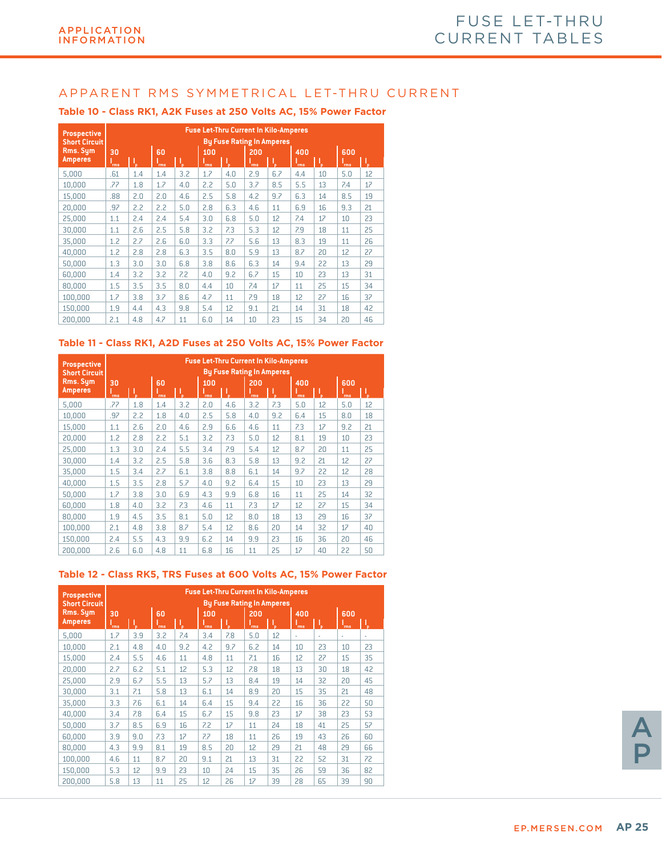| <b>Prospective</b><br><b>Short Circuit</b> |                   | <b>Fuse Let-Thru Current In Kilo-Amperes</b><br><b>By Fuse Rating In Amperes</b> |                   |     |                   |     |                   |     |                   |    |                   |    |  |  |
|--------------------------------------------|-------------------|----------------------------------------------------------------------------------|-------------------|-----|-------------------|-----|-------------------|-----|-------------------|----|-------------------|----|--|--|
| <b>Rms. Sym</b><br><b>Amperes</b>          | 30                | Τ,                                                                               | 60                | Ŋ   | 100               | l,  | 200               | J.  | 400               | V, | 600               | ı, |  |  |
| 5,000                                      | <b>Tms</b><br>.61 | 1.4                                                                              | <b>Tms</b><br>1.4 | 3.2 | <b>Tms</b><br>1.7 | 4.0 | <b>Tms</b><br>2.9 | 6.7 | <b>Tms</b><br>4.4 | 10 | <b>Tms</b><br>5.0 | 12 |  |  |
| 10,000                                     | .77               | 1.8                                                                              | 1.7               | 4.0 | 2.2               | 5.0 | 3.7               | 8.5 | 5.5               | 13 | 7.4               | 17 |  |  |
| 15,000                                     | .88               | 2.0                                                                              | 2.0               | 4.6 | 2.5               | 5.8 | 4.2               | 9.7 | 6.3               | 14 | 8.5               | 19 |  |  |
| 20,000                                     | .97               | 2.2                                                                              | 2.2               | 5.0 | 2.8               | 6.3 | 4.6               | 11  | 6.9               | 16 | 9.3               | 21 |  |  |
| 25,000                                     | 1.1               | 2.4                                                                              | 2.4               | 5.4 | 3.0               | 6.8 | 5.0               | 12  | 7.4               | 17 | 10                | 23 |  |  |
| 30,000                                     | 1.1               | 2.6                                                                              | 2.5               | 5.8 | 3.2               | 7.3 | 5.3               | 12  | 7.9               | 18 | 11                | 25 |  |  |
| 35,000                                     | 1.2               | 2.7                                                                              | 2.6               | 6.0 | 3.3               | 7.7 | 5.6               | 13  | 8.3               | 19 | 11                | 26 |  |  |
| 40,000                                     | 1.2               | 2.8                                                                              | 2.8               | 6.3 | 3.5               | 8.0 | 5.9               | 13  | 8.7               | 20 | 12                | 27 |  |  |
| 50,000                                     | 1.3               | 3.0                                                                              | 3.0               | 6.8 | 3.8               | 8.6 | 6.3               | 14  | 9.4               | 22 | 13                | 29 |  |  |
| 60.000                                     | 1.4               | 3.2                                                                              | 3.2               | 7.2 | 4.0               | 9.2 | 6.7               | 15  | 10                | 23 | 13                | 31 |  |  |
| 80.000                                     | 1.5               | 3.5                                                                              | 3.5               | 8.0 | 4.4               | 10  | 7.4               | 17  | 11                | 25 | 15                | 34 |  |  |
| 100,000                                    | 1.7               | 3.8                                                                              | 3.7               | 8.6 | 4.7               | 11  | 7.9               | 18  | 12                | 27 | 16                | 37 |  |  |
| 150,000                                    | 1.9               | 4.4                                                                              | 4.3               | 9.8 | 5.4               | 12  | 9.1               | 21  | 14                | 31 | 18                | 42 |  |  |
| 200.000                                    | 2.1               | 4.8                                                                              | 4.7               | 11  | 6.0               | 14  | 10                | 23  | 15                | 34 | 20                | 46 |  |  |

#### **Table 10 - Class RK1, A2K Fuses at 250 Volts AC, 15% Power Factor**

#### **Table 11 - Class RK1, A2D Fuses at 250 Volts AC, 15% Power Factor**

| <b>Prospective</b><br><b>Short Circuit</b> |            | <b>Fuse Let-Thru Current In Kilo-Amperes</b><br><b>By Fuse Rating In Amperes</b> |            |     |     |     |     |     |            |    |            |    |  |  |
|--------------------------------------------|------------|----------------------------------------------------------------------------------|------------|-----|-----|-----|-----|-----|------------|----|------------|----|--|--|
| Rms. Sum                                   | 30         |                                                                                  | 60         |     | 100 |     | 200 |     | 400        |    | 600        |    |  |  |
| Amperes                                    | <b>Tms</b> | Τ,                                                                               | <b>Tms</b> | Į,  | rms | μ,  | rms | I,  | <b>Tms</b> | Τ, | <b>Tms</b> | I, |  |  |
| 5,000                                      | .77        | 1.8                                                                              | 1.4        | 3.2 | 2.0 | 4.6 | 3.2 | 7.3 | 5.0        | 12 | 5.0        | 12 |  |  |
| 10.000                                     | .97        | 2.2                                                                              | 1.8        | 4.0 | 2.5 | 5.8 | 4.0 | 9.2 | 6.4        | 15 | 8.0        | 18 |  |  |
| 15.000                                     | 1.1        | 2.6                                                                              | 2.0        | 4.6 | 2.9 | 6.6 | 4.6 | 11  | 7.3        | 17 | 9.2        | 21 |  |  |
| 20,000                                     | 1.2        | 2.8                                                                              | 2.2        | 5.1 | 3.2 | 7.3 | 5.0 | 12  | 8.1        | 19 | 10         | 23 |  |  |
| 25,000                                     | 1.3        | 3.0                                                                              | 2.4        | 5.5 | 3.4 | 7.9 | 5.4 | 12  | 8.7        | 20 | 11         | 25 |  |  |
| 30,000                                     | 1.4        | 3.2                                                                              | 2.5        | 5.8 | 3.6 | 8.3 | 5.8 | 13  | 9.2        | 21 | 12         | 27 |  |  |
| 35,000                                     | 1.5        | 3.4                                                                              | 2.7        | 6.1 | 3.8 | 8.8 | 6.1 | 14  | 9.7        | 22 | 12         | 28 |  |  |
| 40,000                                     | 1.5        | 3.5                                                                              | 2.8        | 5.7 | 4.0 | 9.2 | 6.4 | 15  | 10         | 23 | 13         | 29 |  |  |
| 50,000                                     | 1.7        | 3.8                                                                              | 3.0        | 6.9 | 4.3 | 9.9 | 6.8 | 16  | 11         | 25 | 14         | 32 |  |  |
| 60,000                                     | 1.8        | 4.0                                                                              | 3.2        | 7.3 | 4.6 | 11  | 7.3 | 17  | 12         | 27 | 15         | 34 |  |  |
| 80.000                                     | 1.9        | 4.5                                                                              | 3.5        | 8.1 | 5.0 | 12  | 8.0 | 18  | 13         | 29 | 16         | 37 |  |  |
| 100,000                                    | 2.1        | 4.8                                                                              | 3.8        | 8.7 | 5.4 | 12  | 8.6 | 20  | 14         | 32 | 17         | 40 |  |  |
| 150,000                                    | 2.4        | 5.5                                                                              | 4.3        | 9.9 | 6.2 | 14  | 9.9 | 23  | 16         | 36 | 20         | 46 |  |  |
| 200.000                                    | 2.6        | 6.0                                                                              | 4.8        | 11  | 6.8 | 16  | 11  | 25  | 17         | 40 | 22         | 50 |  |  |

#### **Table 12 - Class RK5, TRS Fuses at 600 Volts AC, 15% Power Factor**

| <b>Prospective</b>         |            | <b>Fuse Let-Thru Current In Kilo-Amperes</b> |            |     |            |     |                                  |    |      |    |            |    |  |  |  |
|----------------------------|------------|----------------------------------------------|------------|-----|------------|-----|----------------------------------|----|------|----|------------|----|--|--|--|
| <b>Short Circuit</b>       |            |                                              |            |     |            |     | <b>By Fuse Rating In Amperes</b> |    |      |    |            |    |  |  |  |
| Rms. Sym<br><b>Amperes</b> | 30         |                                              | 60         |     | 100        |     | 200                              |    | 400  |    | 600        |    |  |  |  |
|                            | <b>Tms</b> | V,                                           | <b>Tms</b> | μ,  | <b>Tms</b> | V.  | <b>Tms</b>                       | ٦, | `rms | V, | <b>Tms</b> | J, |  |  |  |
| 5.000                      | 1.7        | 3.9                                          | 3.2        | 7.4 | 3.4        | 7.8 | 5.0                              | 12 | ٠    | ×, | ٠          | ł. |  |  |  |
| 10.000                     | 2.1        | 4.8                                          | 4.0        | 9.2 | 4.2        | 9.7 | 6.2                              | 14 | 10   | 23 | 10         | 23 |  |  |  |
| 15.000                     | 2.4        | 5.5                                          | 4.6        | 11  | 4.8        | 11  | 7.1                              | 16 | 12   | 27 | 15         | 35 |  |  |  |
| 20,000                     | 2.7        | 6.2                                          | 5.1        | 12  | 5.3        | 12  | 7.8                              | 18 | 13   | 30 | 18         | 42 |  |  |  |
| 25,000                     | 2.9        | 6.7                                          | 5.5        | 13  | 5.7        | 13  | 8.4                              | 19 | 14   | 32 | 20         | 45 |  |  |  |
| 30,000                     | 3.1        | 7.1                                          | 5.8        | 13  | 6.1        | 14  | 8.9                              | 20 | 15   | 35 | 21         | 48 |  |  |  |
| 35,000                     | 3.3        | 7.6                                          | 6.1        | 14  | 6.4        | 15  | 9.4                              | 22 | 16   | 36 | 22         | 50 |  |  |  |
| 40,000                     | 3.4        | 7.8                                          | 6.4        | 15  | 6.7        | 15  | 9.8                              | 23 | 17   | 38 | 23         | 53 |  |  |  |
| 50,000                     | 3.7        | 8.5                                          | 6.9        | 16  | 7.2        | 17  | 11                               | 24 | 18   | 41 | 25         | 57 |  |  |  |
| 60,000                     | 3.9        | 9.0                                          | 7.3        | 17  | 7.7        | 18  | 11                               | 26 | 19   | 43 | 26         | 60 |  |  |  |
| 80.000                     | 4.3        | 9.9                                          | 8.1        | 19  | 8.5        | 20  | 12                               | 29 | 21   | 48 | 29         | 66 |  |  |  |
| 100.000                    | 4.6        | 11                                           | 8.7        | 20  | 9.1        | 21  | 13                               | 31 | 22   | 52 | 31         | 72 |  |  |  |
| 150,000                    | 5.3        | 12                                           | 9.9        | 23  | 10         | 24  | 15                               | 35 | 26   | 59 | 36         | 82 |  |  |  |
| 200.000                    | 5.8        | 13                                           | 11         | 25  | 12         | 26  | 17                               | 39 | 28   | 65 | 39         | 90 |  |  |  |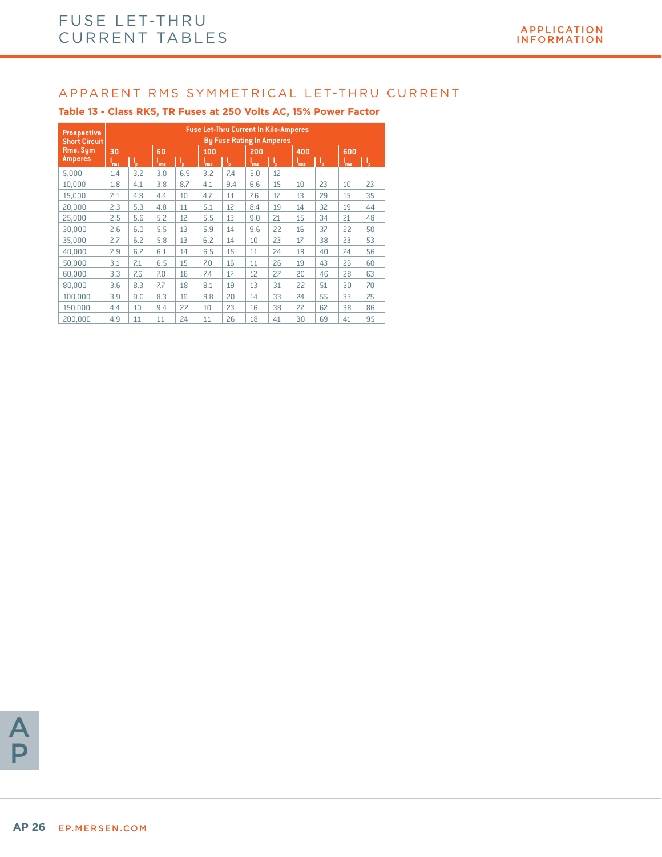#### **Table 13 - Class RK5, TR Fuses at 250 Volts AC, 15% Power Factor**

| <b>Prospective</b><br><b>Short Circuit</b> |                  | <b>Fuse Let-Thru Current In Kilo-Amperes</b><br><b>By Fuse Rating In Amperes</b> |                  |     |                   |     |            |    |                   |    |                   |    |  |  |
|--------------------------------------------|------------------|----------------------------------------------------------------------------------|------------------|-----|-------------------|-----|------------|----|-------------------|----|-------------------|----|--|--|
| Rms. Sym<br><b>Amperes</b>                 | 30<br><b>rms</b> | V,                                                                               | 60<br><b>Tms</b> | J.  | 100<br><b>Tms</b> | I,  | 200<br>rms | W  | 400<br><b>Tms</b> | Ţ, | 600<br><b>Tms</b> | Ţ, |  |  |
| 5,000                                      | 1.4              | 3.2                                                                              | 3.0              | 6.9 | 3.2               | 7.4 | 5.0        | 12 | ×,                | ٠  | ٠                 | ٠  |  |  |
| 10,000                                     | 1.8              | 4.1                                                                              | 3.8              | 8.7 | 4.1               | 9.4 | 6.6        | 15 | 10                | 23 | 10                | 23 |  |  |
| 15,000                                     | 2.1              | 4.8                                                                              | 4.4              | 10  | 4.7               | 11  | 7.6        | 17 | 13                | 29 | 15                | 35 |  |  |
| 20,000                                     | 2.3              | 5.3                                                                              | 4.8              | 11  | 5.1               | 12  | 8.4        | 19 | 14                | 32 | 19                | 44 |  |  |
| 25,000                                     | 2.5              | 5.6                                                                              | 5.2              | 12  | 5.5               | 13  | 9.0        | 21 | 15                | 34 | 21                | 48 |  |  |
| 30,000                                     | 2.6              | 6.0                                                                              | 5.5              | 13  | 5.9               | 14  | 9.6        | 22 | 16                | 37 | 22                | 50 |  |  |
| 35,000                                     | 2.7              | 6.2                                                                              | 5.8              | 13  | 6.2               | 14  | 10         | 23 | 17                | 38 | 23                | 53 |  |  |
| 40,000                                     | 2.9              | 6.7                                                                              | 6.1              | 14  | 6.5               | 15  | 11         | 24 | 18                | 40 | 24                | 56 |  |  |
| 50,000                                     | 3.1              | 7.1                                                                              | 6.5              | 15  | 7.0               | 16  | 11         | 26 | 19                | 43 | 26                | 60 |  |  |
| 60,000                                     | 3.3              | 7.6                                                                              | 7.0              | 16  | 7.4               | 17  | 12         | 27 | 20                | 46 | 28                | 63 |  |  |
| 80,000                                     | 3.6              | 8.3                                                                              | 7.7              | 18  | 8.1               | 19  | 13         | 31 | 22                | 51 | 30                | 70 |  |  |
| 100,000                                    | 3.9              | 9.0                                                                              | 8.3              | 19  | 8.8               | 20  | 14         | 33 | 24                | 55 | 33                | 75 |  |  |
| 150,000                                    | 4.4              | 10                                                                               | 9.4              | 22  | 10                | 23  | 16         | 38 | 27                | 62 | 38                | 86 |  |  |
| 200.000                                    | 4.9              | 11                                                                               | 11               | 24  | 11                | 26  | 18         | 41 | 30                | 69 | 41                | 95 |  |  |

A P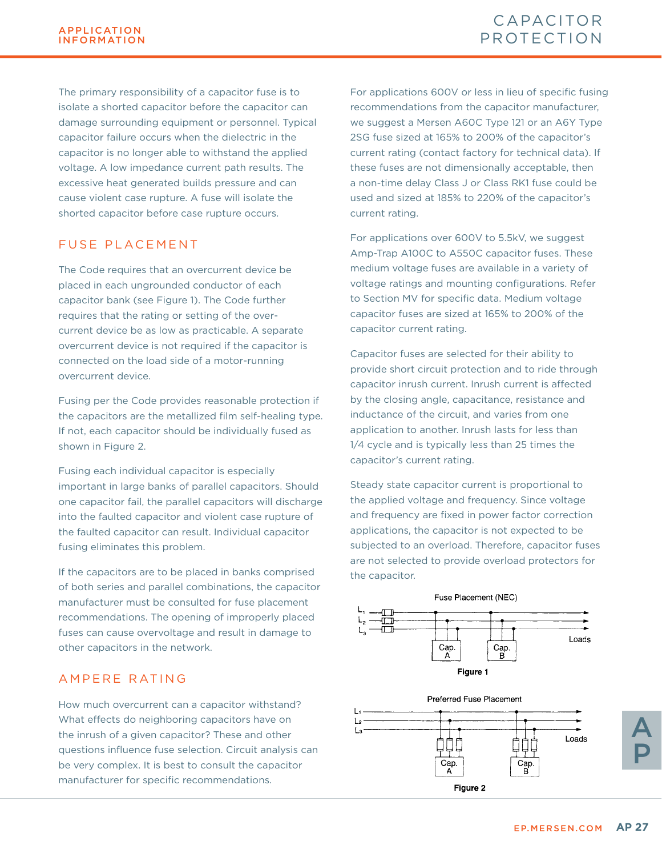The primary responsibility of a capacitor fuse is to isolate a shorted capacitor before the capacitor can damage surrounding equipment or personnel. Typical capacitor failure occurs when the dielectric in the capacitor is no longer able to withstand the applied voltage. A low impedance current path results. The excessive heat generated builds pressure and can cause violent case rupture. A fuse will isolate the shorted capacitor before case rupture occurs.

### FUSE PLACEMENT

The Code requires that an overcurrent device be placed in each ungrounded conductor of each capacitor bank (see Figure 1). The Code further requires that the rating or setting of the overcurrent device be as low as practicable. A separate overcurrent device is not required if the capacitor is connected on the load side of a motor-running overcurrent device.

Fusing per the Code provides reasonable protection if the capacitors are the metallized film self-healing type. If not, each capacitor should be individually fused as shown in Figure 2.

Fusing each individual capacitor is especially important in large banks of parallel capacitors. Should one capacitor fail, the parallel capacitors will discharge into the faulted capacitor and violent case rupture of the faulted capacitor can result. Individual capacitor fusing eliminates this problem.

If the capacitors are to be placed in banks comprised of both series and parallel combinations, the capacitor manufacturer must be consulted for fuse placement recommendations. The opening of improperly placed fuses can cause overvoltage and result in damage to other capacitors in the network.

### AMPERE RATING

How much overcurrent can a capacitor withstand? What effects do neighboring capacitors have on the inrush of a given capacitor? These and other questions influence fuse selection. Circuit analysis can be very complex. It is best to consult the capacitor manufacturer for specific recommendations.

For applications 600V or less in lieu of specific fusing recommendations from the capacitor manufacturer, we suggest a Mersen A60C Type 121 or an A6Y Type 2SG fuse sized at 165% to 200% of the capacitor's current rating (contact factory for technical data). If these fuses are not dimensionally acceptable, then a non-time delay Class J or Class RK1 fuse could be used and sized at 185% to 220% of the capacitor's current rating.

For applications over 600V to 5.5kV, we suggest Amp-Trap A100C to A550C capacitor fuses. These medium voltage fuses are available in a variety of voltage ratings and mounting configurations. Refer to Section MV for specific data. Medium voltage capacitor fuses are sized at 165% to 200% of the capacitor current rating.

Capacitor fuses are selected for their ability to provide short circuit protection and to ride through capacitor inrush current. Inrush current is affected by the closing angle, capacitance, resistance and inductance of the circuit, and varies from one application to another. Inrush lasts for less than 1/4 cycle and is typically less than 25 times the capacitor's current rating.

Steady state capacitor current is proportional to the applied voltage and frequency. Since voltage and frequency are fixed in power factor correction applications, the capacitor is not expected to be subjected to an overload. Therefore, capacitor fuses are not selected to provide overload protectors for the capacitor.





A P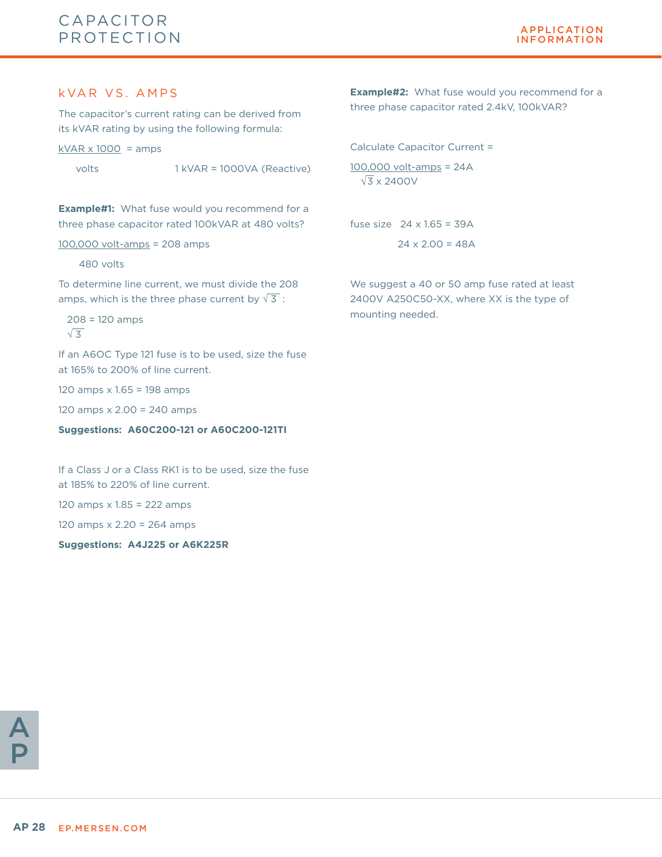#### k VAR VS. AMPS

The capacitor's current rating can be derived from its kVAR rating by using the following formula:

 $kVAR \times 1000 = \text{amps}$ 

volts 1 kVAR = 1000VA (Reactive)

**Example#1:** What fuse would you recommend for a three phase capacitor rated 100kVAR at 480 volts?

#### 100,000 volt-amps = 208 amps

#### 480 volts

To determine line current, we must divide the 208 amps, which is the three phase current by  $\sqrt{3}$ :

 208 = 120 amps  $\sqrt{3}$ 

If an A6OC Type 121 fuse is to be used, size the fuse at 165% to 200% of line current.

120 amps x 1.65 = 198 amps

120 amps x 2.00 = 240 amps

**Suggestions: A60C200-121 or A60C200-121TI**

If a Class J or a Class RK1 is to be used, size the fuse at 185% to 220% of line current.

120 amps x 1.85 = 222 amps

120 amps x 2.20 = 264 amps

**Suggestions: A4J225 or A6K225R**

**Example#2:** What fuse would you recommend for a three phase capacitor rated 2.4kV, 100kVAR?

Calculate Capacitor Current =

 $\sqrt{3}$  x 2400V 100,000 volt-amps = 24A

fuse size  $24 \times 1.65 = 39$ A  $24 \times 2.00 = 48A$ 

We suggest a 40 or 50 amp fuse rated at least 2400V A250C50-XX, where XX is the type of mounting needed.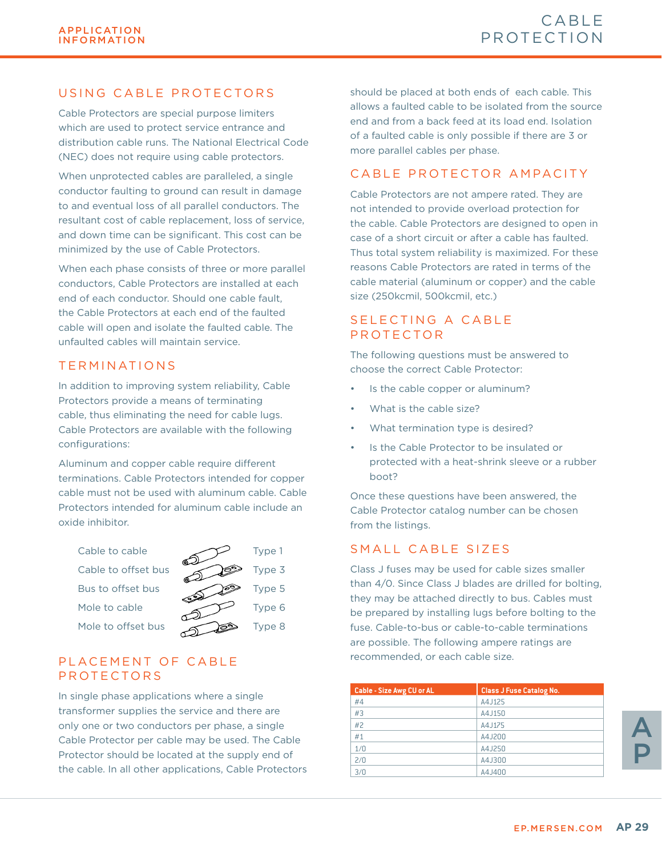### USING CABLE PROTECTORS

Cable Protectors are special purpose limiters which are used to protect service entrance and distribution cable runs. The National Electrical Code (NEC) does not require using cable protectors.

When unprotected cables are paralleled, a single conductor faulting to ground can result in damage to and eventual loss of all parallel conductors. The resultant cost of cable replacement, loss of service, and down time can be significant. This cost can be minimized by the use of Cable Protectors.

When each phase consists of three or more parallel conductors, Cable Protectors are installed at each end of each conductor. Should one cable fault, the Cable Protectors at each end of the faulted cable will open and isolate the faulted cable. The unfaulted cables will maintain service.

### TERMINATIONS

In addition to improving system reliability, Cable Protectors provide a means of terminating cable, thus eliminating the need for cable lugs. Cable Protectors are available with the following configurations:

Aluminum and copper cable require different terminations. Cable Protectors intended for copper cable must not be used with aluminum cable. Cable Protectors intended for aluminum cable include an oxide inhibitor.



### PLACEMENT OF CABLE PROTECTORS

In single phase applications where a single transformer supplies the service and there are only one or two conductors per phase, a single Cable Protector per cable may be used. The Cable Protector should be located at the supply end of the cable. In all other applications, Cable Protectors should be placed at both ends of each cable. This allows a faulted cable to be isolated from the source end and from a back feed at its load end. Isolation of a faulted cable is only possible if there are 3 or more parallel cables per phase.

### CABLE PROTECTOR AMPACITY

Cable Protectors are not ampere rated. They are not intended to provide overload protection for the cable. Cable Protectors are designed to open in case of a short circuit or after a cable has faulted. Thus total system reliability is maximized. For these reasons Cable Protectors are rated in terms of the cable material (aluminum or copper) and the cable size (250kcmil, 500kcmil, etc.)

### SELECTING A CABLE PROTECTOR

The following questions must be answered to choose the correct Cable Protector:

- Is the cable copper or aluminum?
- What is the cable size?
- What termination type is desired?
- Is the Cable Protector to be insulated or protected with a heat-shrink sleeve or a rubber boot?

Once these questions have been answered, the Cable Protector catalog number can be chosen from the listings.

### SMALL CABLE SIZES

Class J fuses may be used for cable sizes smaller than 4/0. Since Class J blades are drilled for bolting, they may be attached directly to bus. Cables must be prepared by installing lugs before bolting to the fuse. Cable-to-bus or cable-to-cable terminations are possible. The following ampere ratings are recommended, or each cable size.

| <b>Cable - Size Awg CU or AL</b> | <b>Class J Fuse Catalog No.</b> |
|----------------------------------|---------------------------------|
| #4                               | A4J125                          |
| #3                               | A4J150                          |
| #2                               | A4.J175                         |
| #1                               | A4.J200                         |
| 1/0                              | A4J250                          |
| 2/0                              | A4J300                          |
| 3/0                              | A4J400                          |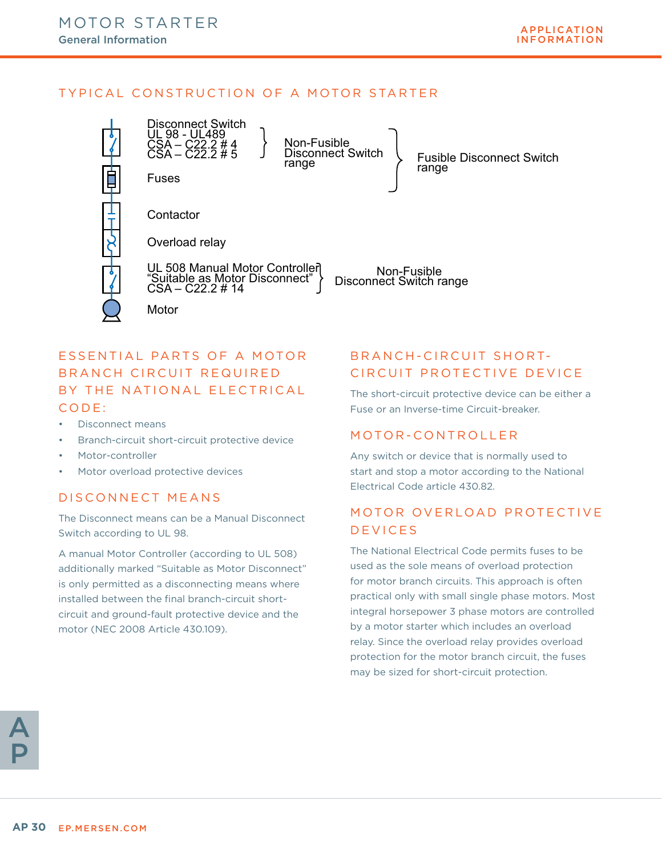### TYPICAL CONSTRUCTION OF A MOTOR STARTER





### ESSENTIAL PARTS OF A MOTOR BRANCH CIRCUIT REQUIRED BY THE NATIONAL ELECTRICAL CODE:

- Disconnect means
- Branch-circuit short-circuit protective device
- Motor-controller
- Motor overload protective devices

### DISCONNECT MEANS

The Disconnect means can be a Manual Disconnect Switch according to UL 98.

A manual Motor Controller (according to UL 508) additionally marked "Suitable as Motor Disconnect" is only permitted as a disconnecting means where installed between the final branch-circuit shortcircuit and ground-fault protective device and the motor (NEC 2008 Article 430.109).

### BRANCH-CIRCUIT SHORT-CIRCUIT PROTECTIVE DEVICE

The short-circuit protective device can be either a Fuse or an Inverse-time Circuit-breaker.

### MOTOR-CONTROLLER

Any switch or device that is normally used to start and stop a motor according to the National Electrical Code article 430.82.

### MOTOR OVERLOAD PROTECTIVE DEVICES

The National Electrical Code permits fuses to be used as the sole means of overload protection for motor branch circuits. This approach is often practical only with small single phase motors. Most integral horsepower 3 phase motors are controlled by a motor starter which includes an overload relay. Since the overload relay provides overload protection for the motor branch circuit, the fuses may be sized for short-circuit protection.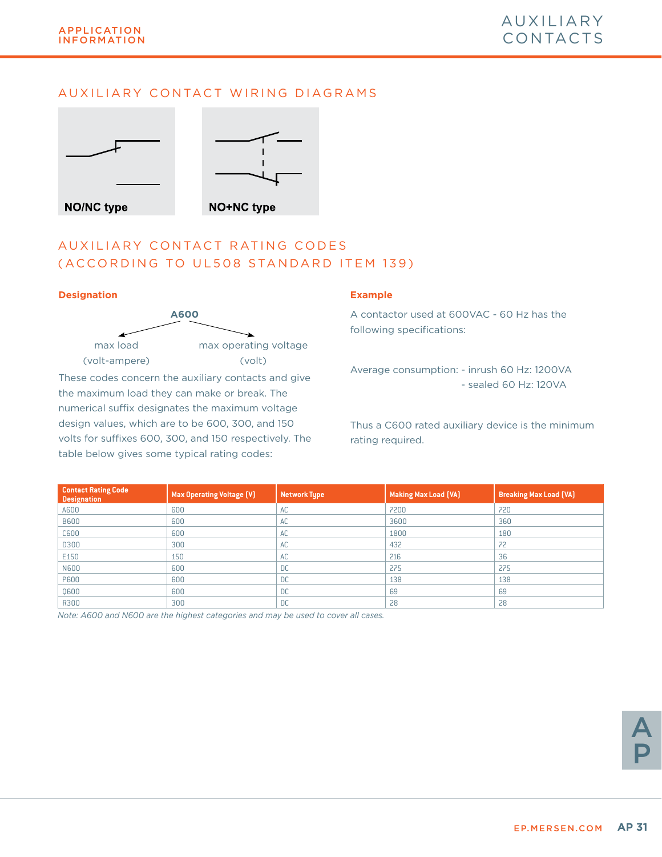### AUXILIARY CONTACT WIRING DIAGRAMS



### AUXILIARY CONTACT RATING CODES (ACCORDING TO UL508 STANDARD ITEM 139)

#### **Designation Example**



These codes concern the auxiliary contacts and give the maximum load they can make or break. The numerical suffix designates the maximum voltage design values, which are to be 600, 300, and 150 volts for suffixes 600, 300, and 150 respectively. The table below gives some typical rating codes:

A contactor used at 600VAC - 60 Hz has the following specifications:

Average consumption: - inrush 60 Hz: 1200VA - sealed 60 Hz: 120VA

Thus a C600 rated auxiliary device is the minimum rating required.

| <b>Contact Rating Code</b><br><b>Designation</b> | <b>Max Operating Voltage (V)</b> | <b>Network Type</b> | Making Max Load (VA) | <b>Breaking Max Load (VA)</b> |
|--------------------------------------------------|----------------------------------|---------------------|----------------------|-------------------------------|
| A600                                             | 600                              | AC                  | 7200                 | 720                           |
| <b>B600</b>                                      | 600                              | AC                  | 3600                 | 360                           |
| C600                                             | 600                              | AC                  | 1800                 | 180                           |
| D300                                             | 300                              | AC                  | 432                  | 72                            |
| E150                                             | 150                              | AC                  | 216                  | 36                            |
| <b>N600</b>                                      | 600                              | <b>DC</b>           | 275                  | 275                           |
| <b>P600</b>                                      | 600                              | <b>DC</b>           | 138                  | 138                           |
| 0600                                             | 600                              | <b>DC</b>           | 69                   | 69                            |
| R300                                             | 300                              | <b>DC</b>           | 28                   | 28                            |

*Note: A600 and N600 are the highest categories and may be used to cover all cases.*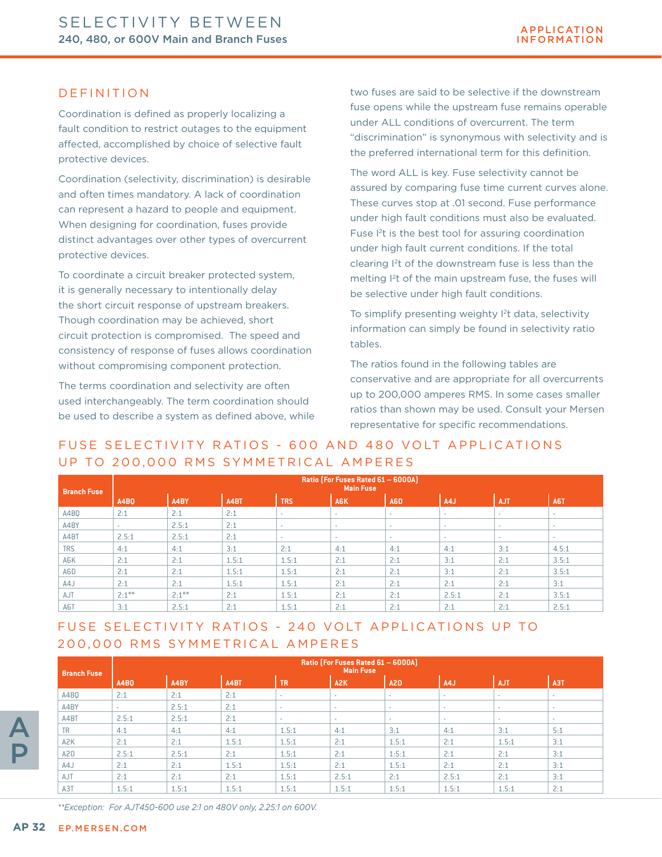### DEFINITION

Coordination is defined as properly localizing a fault condition to restrict outages to the equipment affected, accomplished by choice of selective fault protective devices.

Coordination (selectivity, discrimination) is desirable and often times mandatory. A lack of coordination can represent a hazard to people and equipment. When designing for coordination, fuses provide distinct advantages over other types of overcurrent protective devices.

To coordinate a circuit breaker protected system, it is generally necessary to intentionally delay the short circuit response of upstream breakers. Though coordination may be achieved, short circuit protection is compromised. The speed and consistency of response of fuses allows coordination without compromising component protection.

The terms coordination and selectivity are often used interchangeably. The term coordination should be used to describe a system as defined above, while two fuses are said to be selective if the downstream fuse opens while the upstream fuse remains operable under ALL conditions of overcurrent. The term "discrimination" is synonymous with selectivity and is the preferred international term for this definition.

The word ALL is key. Fuse selectivity cannot be assured by comparing fuse time current curves alone. These curves stop at .01 second. Fuse performance under high fault conditions must also be evaluated. Fuse I<sup>2</sup>t is the best tool for assuring coordination under high fault current conditions. If the total clearing I2t of the downstream fuse is less than the melting I<sup>2</sup>t of the main upstream fuse, the fuses will be selective under high fault conditions.

To simplify presenting weighty <sup>2</sup>t data, selectivity information can simply be found in selectivity ratio tables.

The ratios found in the following tables are conservative and are appropriate for all overcurrents up to 200,000 amperes RMS. In some cases smaller ratios than shown may be used. Consult your Mersen representative for specific recommendations.

### FUSE SELECTIVITY RATIOS - 600 AND 480 VOLT APPLICATIONS UP TO 200,000 RMS SYMMETRICAL AMPERES

| <b>Branch Fuse</b> | Ratio (For Fuses Rated 61 - 6000A)<br><b>Main Fuse</b> |          |       |            |        |     |        |                          |        |  |  |  |
|--------------------|--------------------------------------------------------|----------|-------|------------|--------|-----|--------|--------------------------|--------|--|--|--|
|                    | <b>A4BO</b>                                            | A4BY     | A4BT  | <b>TRS</b> | A6K    | A6D | A4J    | <b>AJT</b>               | A6T    |  |  |  |
| A4BO               | 2:1                                                    | 2:1      | 2:1   | $\sim$     | $\sim$ | ۰.  | ٠      | $\overline{\phantom{a}}$ |        |  |  |  |
| A4BY               | $\sim$                                                 | 2.5:1    | 2:1   | н.         | $\sim$ | ۰.  | ۰.     | $\sim$                   | $\sim$ |  |  |  |
| A4BT               | 2.5:1                                                  | 2.5:1    | 2:1   | $\sim$     | $\sim$ | ۰.  | $\sim$ | $\sim$                   | $\sim$ |  |  |  |
| <b>TRS</b>         | 4:1                                                    | 4:1      | 3:1   | 2:1        | 4:1    | 4:1 | 4:1    | 3:1                      | 4.5:1  |  |  |  |
| A6K                | 2:1                                                    | 2:1      | 1.5:1 | 1.5:1      | 2:1    | 2:1 | 3:1    | 2:1                      | 3.5:1  |  |  |  |
| A6D                | 2:1                                                    | 2:1      | 1.5:1 | 1.5:1      | 2:1    | 2:1 | 3:1    | 2:1                      | 3.5:1  |  |  |  |
| A4J                | 2:1                                                    | 2:1      | 1.5:1 | 1.5:1      | 2:1    | 2:1 | 2:1    | 2:1                      | 3:1    |  |  |  |
| AJT                | $2:1***$                                               | $2:1***$ | 2:1   | 1.5:1      | 2:1    | 2:1 | 2.5:1  | 2:1                      | 3.5:1  |  |  |  |
| A6T                | 3:1                                                    | 2.5:1    | 2:1   | 1.5:1      | 2:1    | 2:1 | 2:1    | 2:1                      | 2.5:1  |  |  |  |

## FUSE SELECTIVITY RATIOS - 240 VOLT APPLICATIONS UP TO 200,000 RMS SYMMETRICAL AMPERES

| <b>Branch Fuse</b> |             | Ratio (For Fuses Rated 61 – 6000A)<br><b>Main Fuse</b> |       |           |                  |                  |        |                          |                  |  |  |  |  |
|--------------------|-------------|--------------------------------------------------------|-------|-----------|------------------|------------------|--------|--------------------------|------------------|--|--|--|--|
|                    | <b>A4BO</b> | A4BY                                                   | A4BT  | <b>TR</b> | A <sub>2</sub> K | A <sub>2</sub> D | A4J    | <b>AJT</b>               | A <sub>3</sub> T |  |  |  |  |
| A4BQ               | 2:1         | 2:1                                                    | 2:1   | $\sim$    | $\sim$           | $\sim$           | $\sim$ | $\overline{\phantom{a}}$ | ۰.               |  |  |  |  |
| A4BY               |             | 2.5:1                                                  | 2:1   | $\sim$    | $\sim$           | $\sim$           | $\sim$ | $\overline{\phantom{a}}$ | ۰.               |  |  |  |  |
| A4BT               | 2.5:1       | 2.5:1                                                  | 2:1   | $\sim$    | $\sim$           | $\sim$           | $\sim$ | $\sim$                   | ۰.               |  |  |  |  |
| <b>TR</b>          | 4:1         | 4:1                                                    | 4:1   | 1.5:1     | 4:1              | 3:1              | 4:1    | 3:1                      | 5:1              |  |  |  |  |
| A <sub>2</sub> K   | 2:1         | 2:1                                                    | 1.5:1 | 1.5:1     | 2:1              | 1.5:1            | 2:1    | 1.5:1                    | 3:1              |  |  |  |  |
| A <sub>2</sub> D   | 2.5:1       | 2.5:1                                                  | 2:1   | 1.5:1     | 2:1              | 1:5:1            | 2:1    | 2:1                      | 3:1              |  |  |  |  |
| A4J                | 2:1         | 2:1                                                    | 1.5:1 | 1.5:1     | 2:1              | 1.5:1            | 2:1    | 2:1                      | 3:1              |  |  |  |  |
| AJT                | 2:1         | 2:1                                                    | 2:1   | 1.5:1     | 2.5:1            | 2:1              | 2.5:1  | 2:1                      | 3:1              |  |  |  |  |
| A3T                | 1.5:1       | 1.5:1                                                  | 1.5:1 | 1.5:1     | 1.5:1            | 1.5:1            | 1.5:1  | 1.5:1                    | 2:1              |  |  |  |  |

*\*\*Exception: For AJT450-600 use 2:1 on 480V only, 2.25:1 on 600V.*

A

P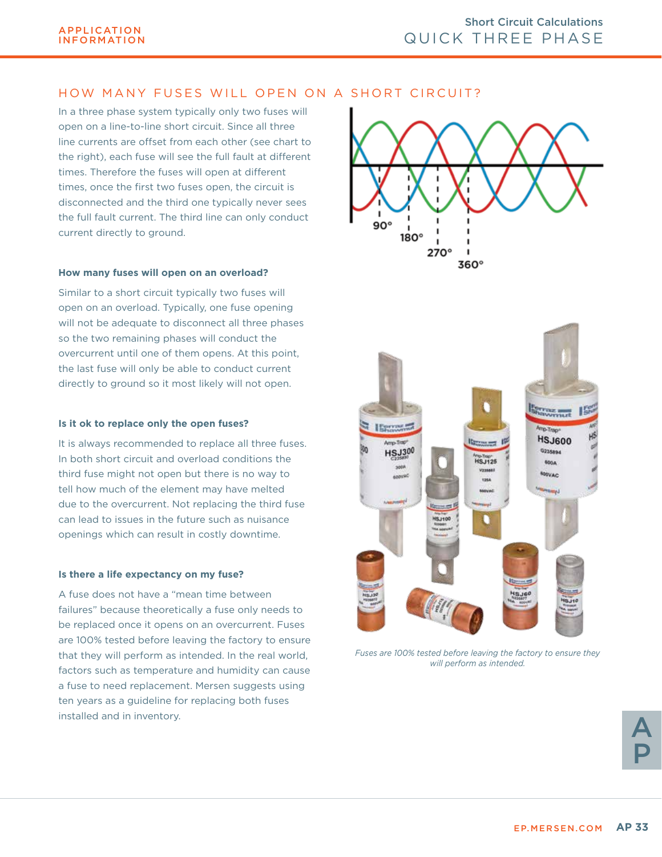### HOW MANY FUSES WILL OPEN ON A SHORT CIRCUIT?

In a three phase system typically only two fuses will open on a line-to-line short circuit. Since all three line currents are offset from each other (see chart to the right), each fuse will see the full fault at different times. Therefore the fuses will open at different times, once the first two fuses open, the circuit is disconnected and the third one typically never sees the full fault current. The third line can only conduct current directly to ground.

#### **How many fuses will open on an overload?**

Similar to a short circuit typically two fuses will open on an overload. Typically, one fuse opening will not be adequate to disconnect all three phases so the two remaining phases will conduct the overcurrent until one of them opens. At this point, the last fuse will only be able to conduct current directly to ground so it most likely will not open.

#### **Is it ok to replace only the open fuses?**

It is always recommended to replace all three fuses. In both short circuit and overload conditions the third fuse might not open but there is no way to tell how much of the element may have melted due to the overcurrent. Not replacing the third fuse can lead to issues in the future such as nuisance openings which can result in costly downtime.

#### **Is there a life expectancy on my fuse?**

A fuse does not have a "mean time between failures" because theoretically a fuse only needs to be replaced once it opens on an overcurrent. Fuses are 100% tested before leaving the factory to ensure that they will perform as intended. In the real world, factors such as temperature and humidity can cause a fuse to need replacement. Mersen suggests using ten years as a guideline for replacing both fuses installed and in inventory.





*Fuses are 100% tested before leaving the factory to ensure they will perform as intended.*

A P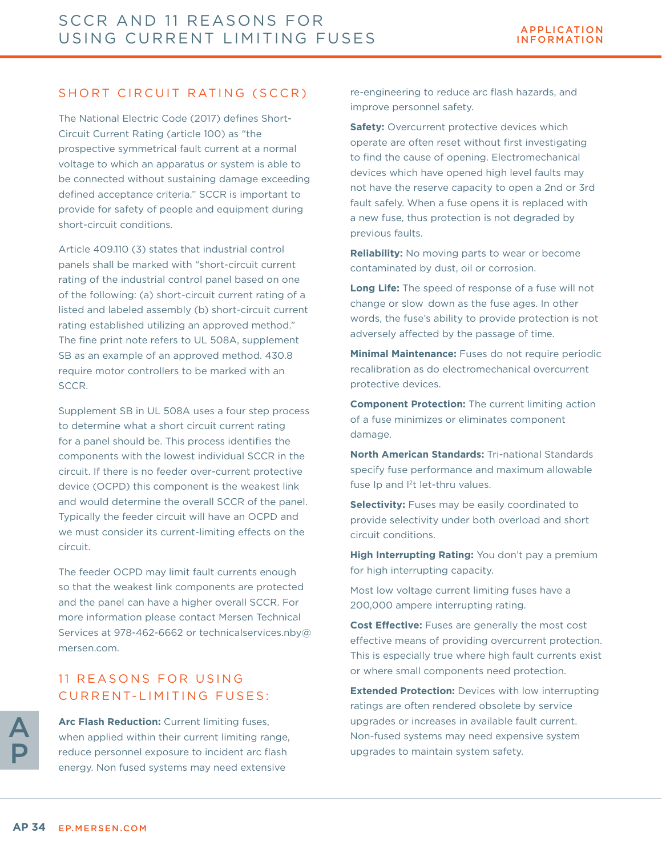### SHORT CIRCUIT RATING (SCCR)

The National Electric Code (2017) defines Short-Circuit Current Rating (article 100) as "the prospective symmetrical fault current at a normal voltage to which an apparatus or system is able to be connected without sustaining damage exceeding defined acceptance criteria." SCCR is important to provide for safety of people and equipment during short-circuit conditions.

Article 409.110 (3) states that industrial control panels shall be marked with "short-circuit current rating of the industrial control panel based on one of the following: (a) short-circuit current rating of a listed and labeled assembly (b) short-circuit current rating established utilizing an approved method." The fine print note refers to UL 508A, supplement SB as an example of an approved method. 430.8 require motor controllers to be marked with an SCCR.

Supplement SB in UL 508A uses a four step process to determine what a short circuit current rating for a panel should be. This process identifies the components with the lowest individual SCCR in the circuit. If there is no feeder over-current protective device (OCPD) this component is the weakest link and would determine the overall SCCR of the panel. Typically the feeder circuit will have an OCPD and we must consider its current-limiting effects on the circuit.

The feeder OCPD may limit fault currents enough so that the weakest link components are protected and the panel can have a higher overall SCCR. For more information please contact Mersen Technical Services at 978-462-6662 or technicalservices.nby@ mersen.com.

### 11 REASONS FOR USING CURRENT-LIMITING FUSES:

**Arc Flash Reduction:** Current limiting fuses, when applied within their current limiting range, reduce personnel exposure to incident arc flash energy. Non fused systems may need extensive

re-engineering to reduce arc flash hazards, and improve personnel safety.

**Safety:** Overcurrent protective devices which operate are often reset without first investigating to find the cause of opening. Electromechanical devices which have opened high level faults may not have the reserve capacity to open a 2nd or 3rd fault safely. When a fuse opens it is replaced with a new fuse, thus protection is not degraded by previous faults.

**Reliability:** No moving parts to wear or become contaminated by dust, oil or corrosion.

**Long Life:** The speed of response of a fuse will not change or slow down as the fuse ages. In other words, the fuse's ability to provide protection is not adversely affected by the passage of time.

**Minimal Maintenance:** Fuses do not require periodic recalibration as do electromechanical overcurrent protective devices.

**Component Protection:** The current limiting action of a fuse minimizes or eliminates component damage.

**North American Standards:** Tri-national Standards specify fuse performance and maximum allowable fuse Ip and I<sup>2</sup>t let-thru values.

**Selectivity:** Fuses may be easily coordinated to provide selectivity under both overload and short circuit conditions.

**High Interrupting Rating:** You don't pay a premium for high interrupting capacity.

Most low voltage current limiting fuses have a 200,000 ampere interrupting rating.

**Cost Effective:** Fuses are generally the most cost effective means of providing overcurrent protection. This is especially true where high fault currents exist or where small components need protection.

**Extended Protection:** Devices with low interrupting ratings are often rendered obsolete by service upgrades or increases in available fault current. Non-fused systems may need expensive system upgrades to maintain system safety.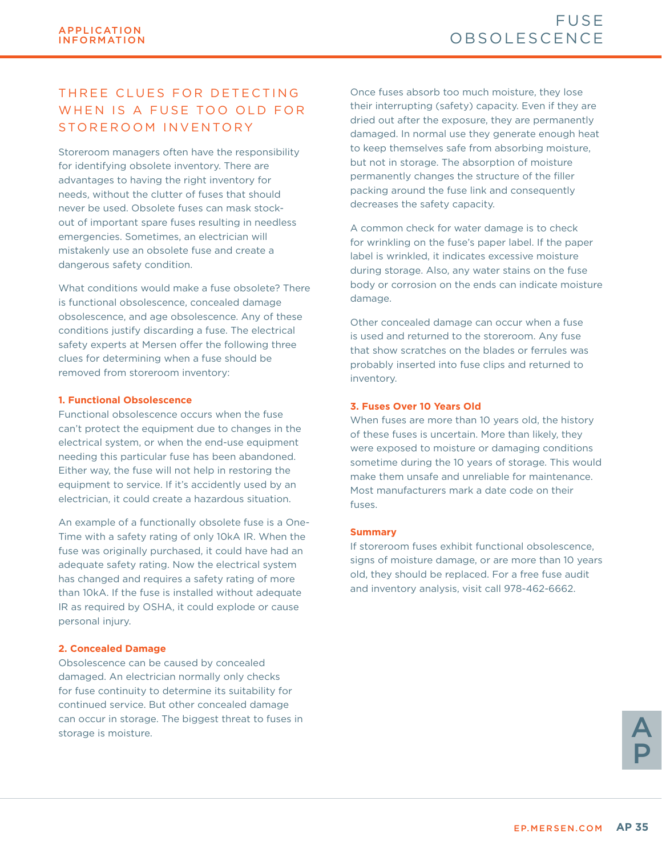### THREE CLUES FOR DETECTING WHEN IS A FUSE TOO OLD FOR STOREROOM INVENTORY

Storeroom managers often have the responsibility for identifying obsolete inventory. There are advantages to having the right inventory for needs, without the clutter of fuses that should never be used. Obsolete fuses can mask stockout of important spare fuses resulting in needless emergencies. Sometimes, an electrician will mistakenly use an obsolete fuse and create a dangerous safety condition.

What conditions would make a fuse obsolete? There is functional obsolescence, concealed damage obsolescence, and age obsolescence. Any of these conditions justify discarding a fuse. The electrical safety experts at Mersen offer the following three clues for determining when a fuse should be removed from storeroom inventory:

#### **1. Functional Obsolescence**

Functional obsolescence occurs when the fuse can't protect the equipment due to changes in the electrical system, or when the end-use equipment needing this particular fuse has been abandoned. Either way, the fuse will not help in restoring the equipment to service. If it's accidently used by an electrician, it could create a hazardous situation.

An example of a functionally obsolete fuse is a One-Time with a safety rating of only 10kA IR. When the fuse was originally purchased, it could have had an adequate safety rating. Now the electrical system has changed and requires a safety rating of more than 10kA. If the fuse is installed without adequate IR as required by OSHA, it could explode or cause personal injury.

#### **2. Concealed Damage**

Obsolescence can be caused by concealed damaged. An electrician normally only checks for fuse continuity to determine its suitability for continued service. But other concealed damage can occur in storage. The biggest threat to fuses in storage is moisture.

Once fuses absorb too much moisture, they lose their interrupting (safety) capacity. Even if they are dried out after the exposure, they are permanently damaged. In normal use they generate enough heat to keep themselves safe from absorbing moisture, but not in storage. The absorption of moisture permanently changes the structure of the filler packing around the fuse link and consequently decreases the safety capacity.

A common check for water damage is to check for wrinkling on the fuse's paper label. If the paper label is wrinkled, it indicates excessive moisture during storage. Also, any water stains on the fuse body or corrosion on the ends can indicate moisture damage.

Other concealed damage can occur when a fuse is used and returned to the storeroom. Any fuse that show scratches on the blades or ferrules was probably inserted into fuse clips and returned to inventory.

#### **3. Fuses Over 10 Years Old**

When fuses are more than 10 years old, the history of these fuses is uncertain. More than likely, they were exposed to moisture or damaging conditions sometime during the 10 years of storage. This would make them unsafe and unreliable for maintenance. Most manufacturers mark a date code on their fuses.

#### **Summary**

If storeroom fuses exhibit functional obsolescence, signs of moisture damage, or are more than 10 years old, they should be replaced. For a free fuse audit and inventory analysis, visit call 978-462-6662.

> A P